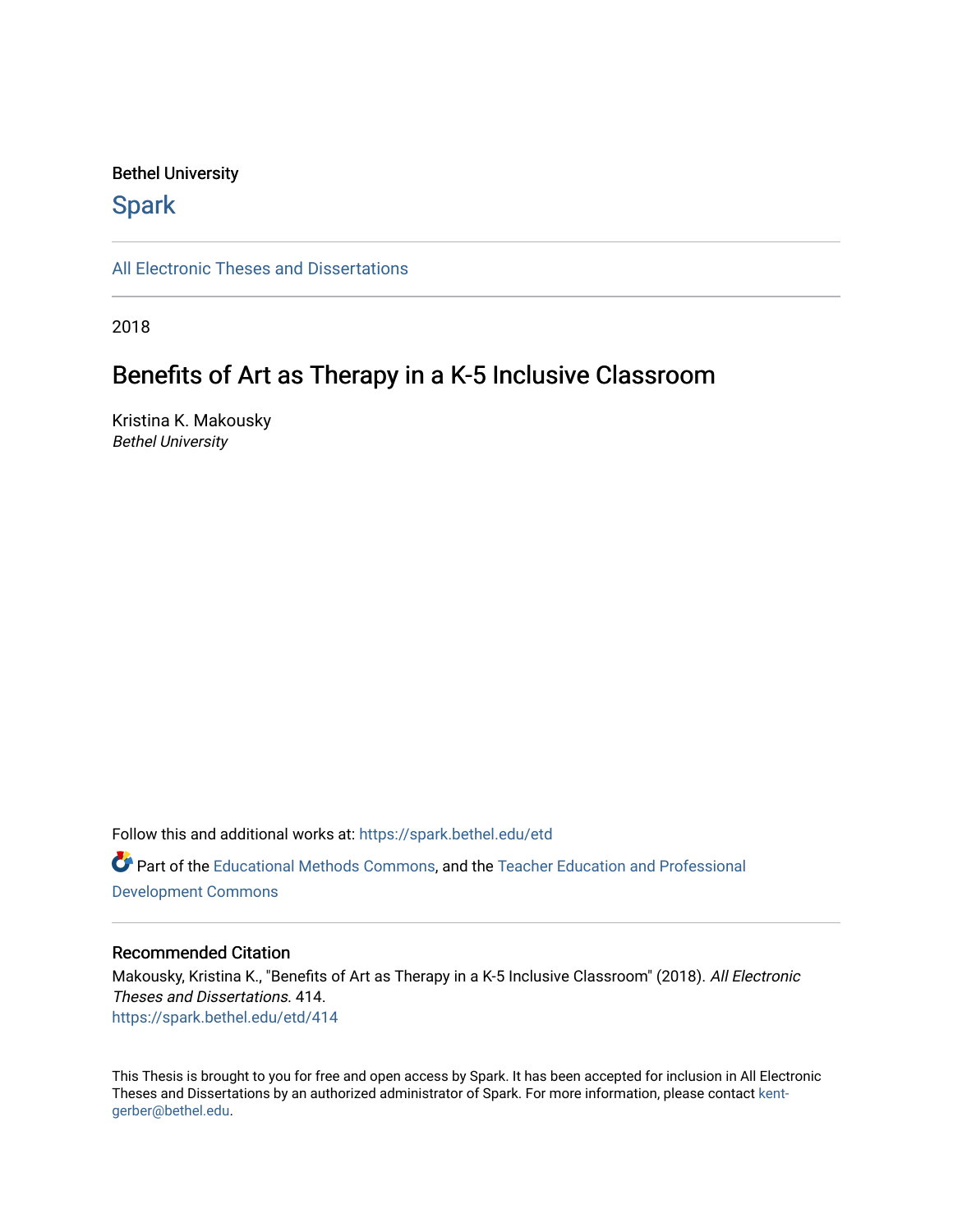# Bethel University

# **Spark**

[All Electronic Theses and Dissertations](https://spark.bethel.edu/etd) 

2018

# Benefits of Art as Therapy in a K-5 Inclusive Classroom

Kristina K. Makousky Bethel University

Follow this and additional works at: [https://spark.bethel.edu/etd](https://spark.bethel.edu/etd?utm_source=spark.bethel.edu%2Fetd%2F414&utm_medium=PDF&utm_campaign=PDFCoverPages) Part of the [Educational Methods Commons,](http://network.bepress.com/hgg/discipline/1227?utm_source=spark.bethel.edu%2Fetd%2F414&utm_medium=PDF&utm_campaign=PDFCoverPages) and the [Teacher Education and Professional](http://network.bepress.com/hgg/discipline/803?utm_source=spark.bethel.edu%2Fetd%2F414&utm_medium=PDF&utm_campaign=PDFCoverPages)  [Development Commons](http://network.bepress.com/hgg/discipline/803?utm_source=spark.bethel.edu%2Fetd%2F414&utm_medium=PDF&utm_campaign=PDFCoverPages) 

### Recommended Citation

Makousky, Kristina K., "Benefits of Art as Therapy in a K-5 Inclusive Classroom" (2018). All Electronic Theses and Dissertations. 414. [https://spark.bethel.edu/etd/414](https://spark.bethel.edu/etd/414?utm_source=spark.bethel.edu%2Fetd%2F414&utm_medium=PDF&utm_campaign=PDFCoverPages)

This Thesis is brought to you for free and open access by Spark. It has been accepted for inclusion in All Electronic Theses and Dissertations by an authorized administrator of Spark. For more information, please contact [kent](mailto:kent-gerber@bethel.edu)[gerber@bethel.edu.](mailto:kent-gerber@bethel.edu)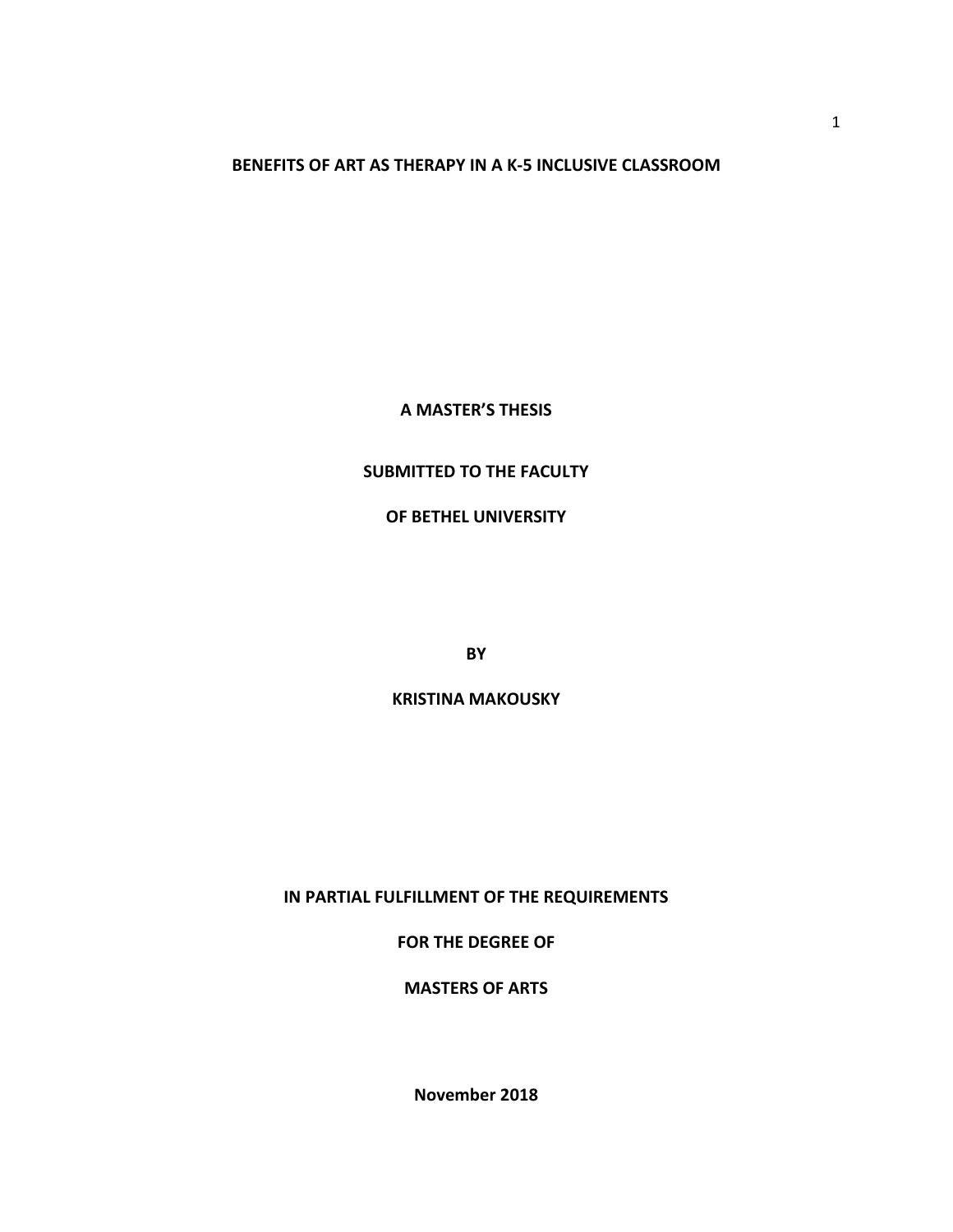**BENEFITS OF ART AS THERAPY IN A K-5 INCLUSIVE CLASSROOM**

**A MASTER'S THESIS**

# **SUBMITTED TO THE FACULTY**

**OF BETHEL UNIVERSITY** 

**BY**

# **KRISTINA MAKOUSKY**

**IN PARTIAL FULFILLMENT OF THE REQUIREMENTS** 

**FOR THE DEGREE OF** 

**MASTERS OF ARTS** 

**November 2018**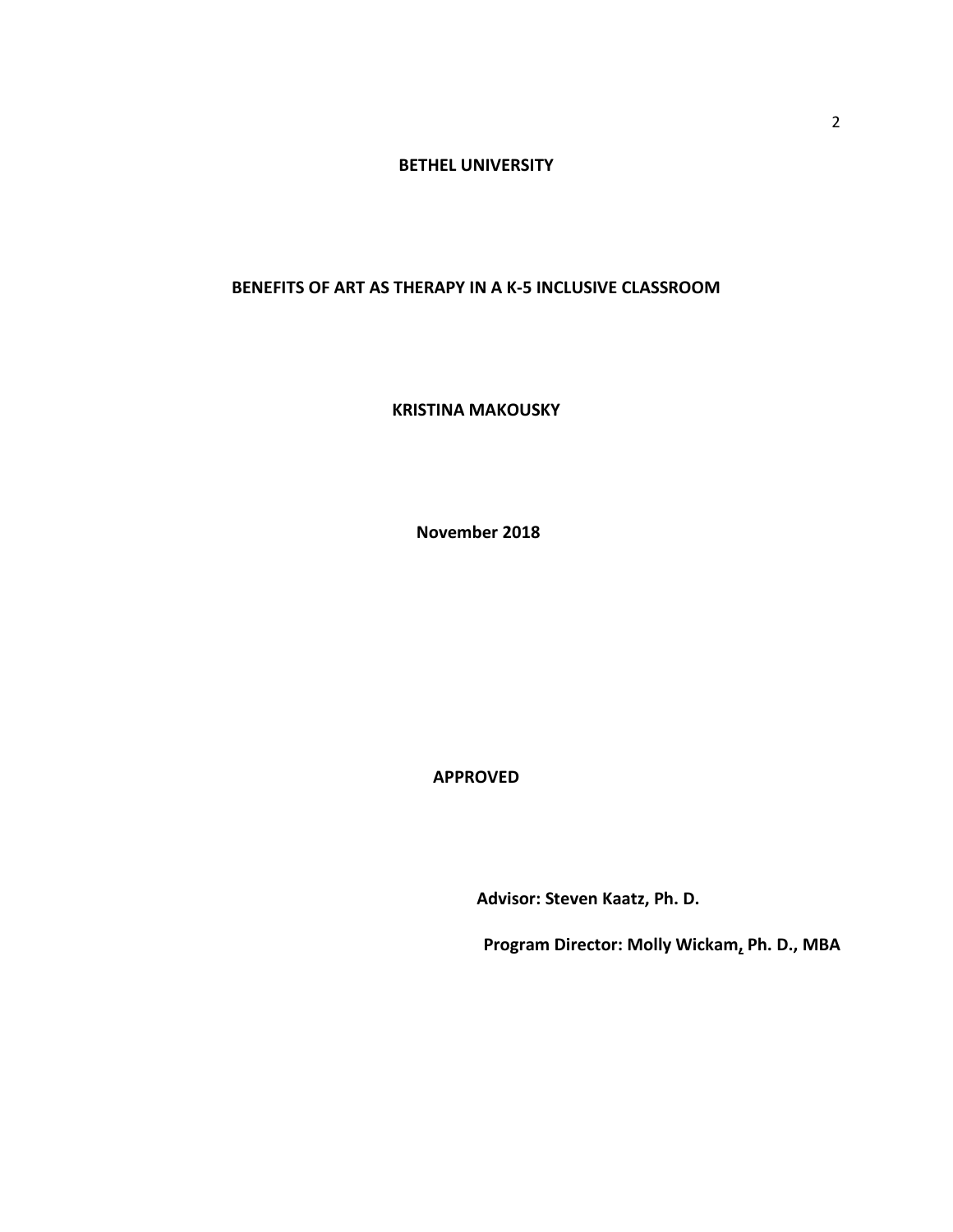# **BETHEL UNIVERSITY**

# **BENEFITS OF ART AS THERAPY IN A K-5 INCLUSIVE CLASSROOM**

**KRISTINA MAKOUSKY** 

**November 2018**

**APPROVED**

**Advisor: Steven Kaatz, Ph. D.** 

**Program Director: Molly Wickam, Ph. D., MBA**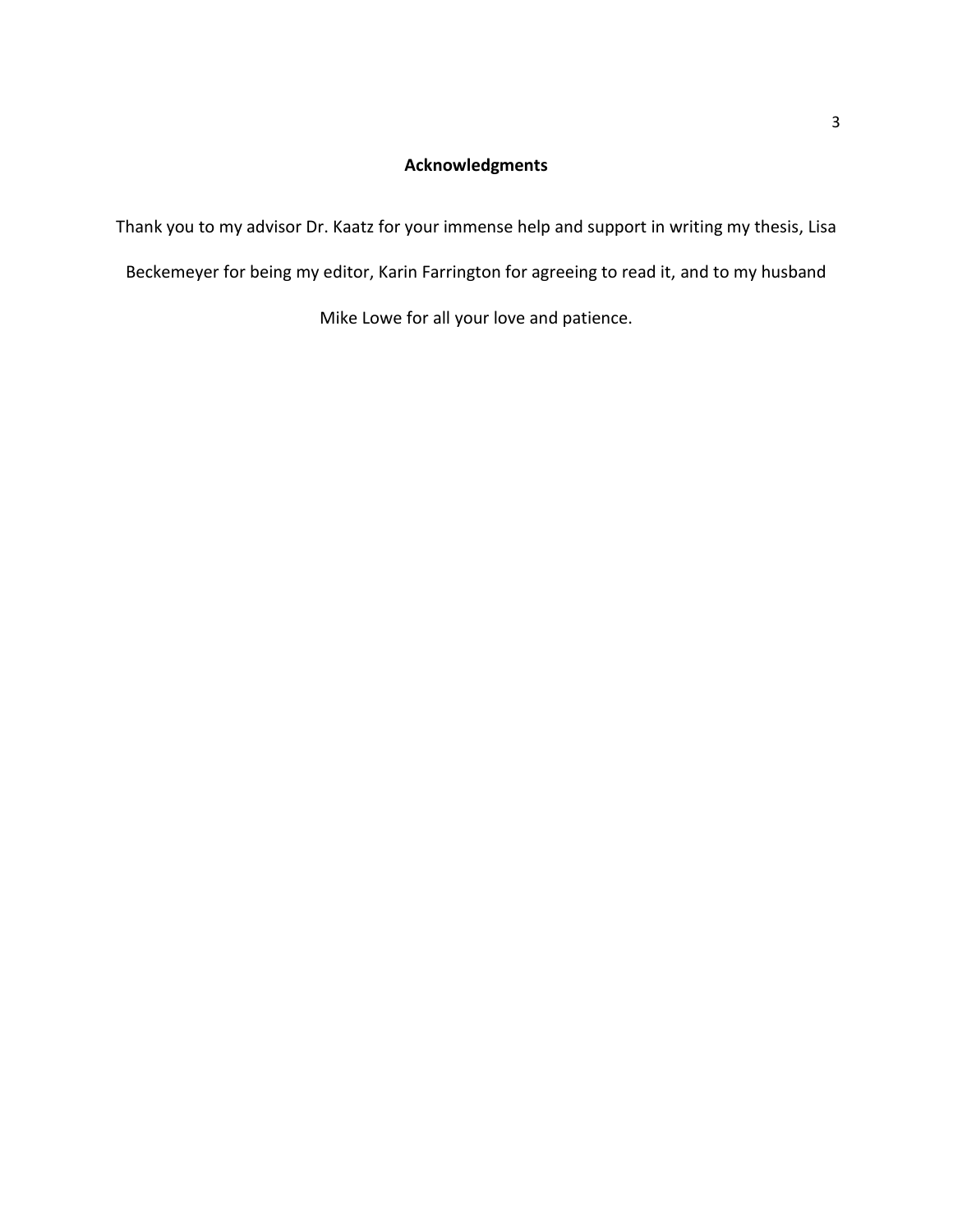# **Acknowledgments**

Thank you to my advisor Dr. Kaatz for your immense help and support in writing my thesis, Lisa

Beckemeyer for being my editor, Karin Farrington for agreeing to read it, and to my husband

Mike Lowe for all your love and patience.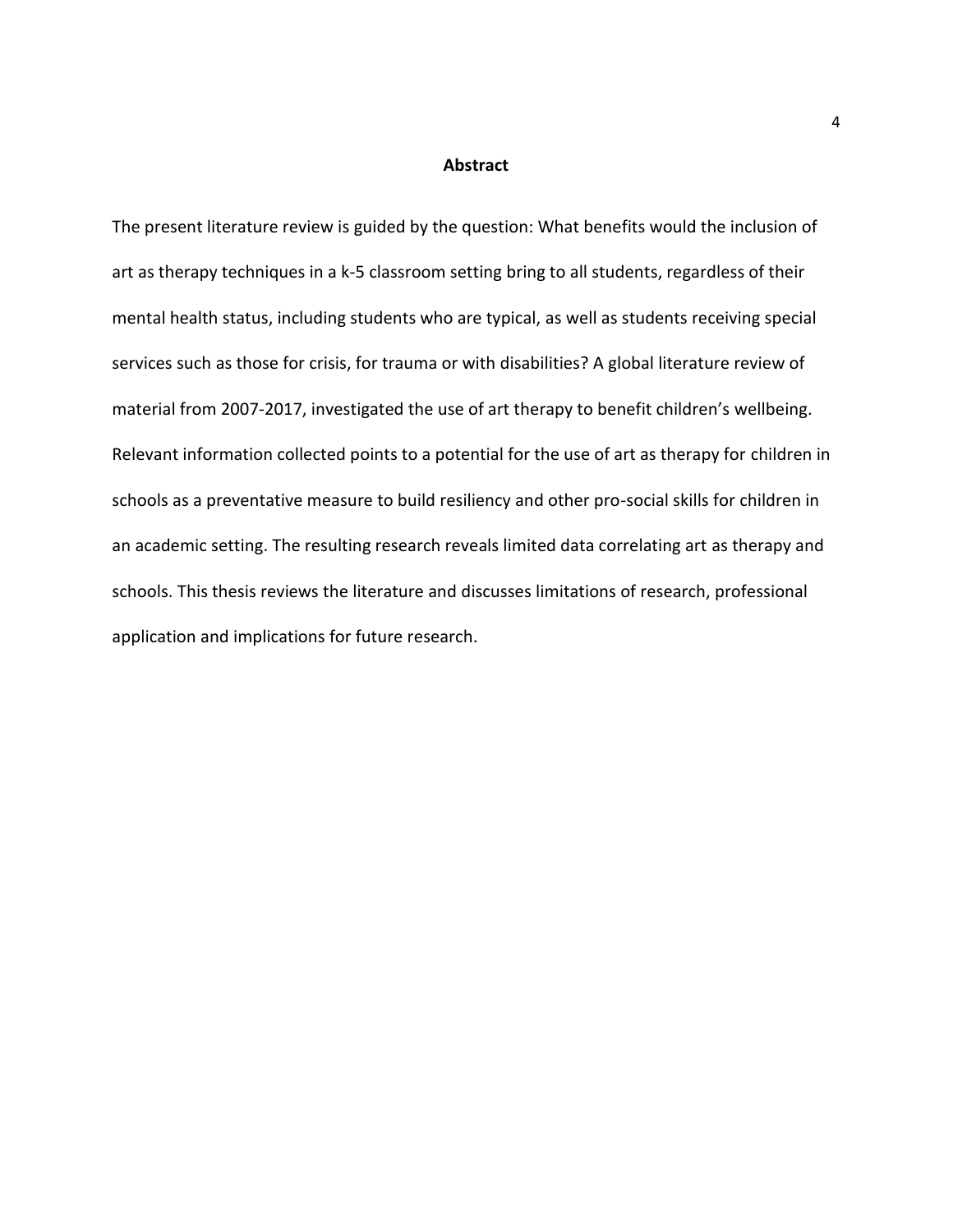#### **Abstract**

The present literature review is guided by the question: What benefits would the inclusion of art as therapy techniques in a k-5 classroom setting bring to all students, regardless of their mental health status, including students who are typical, as well as students receiving special services such as those for crisis, for trauma or with disabilities? A global literature review of material from 2007-2017, investigated the use of art therapy to benefit children's wellbeing. Relevant information collected points to a potential for the use of art as therapy for children in schools as a preventative measure to build resiliency and other pro-social skills for children in an academic setting. The resulting research reveals limited data correlating art as therapy and schools. This thesis reviews the literature and discusses limitations of research, professional application and implications for future research.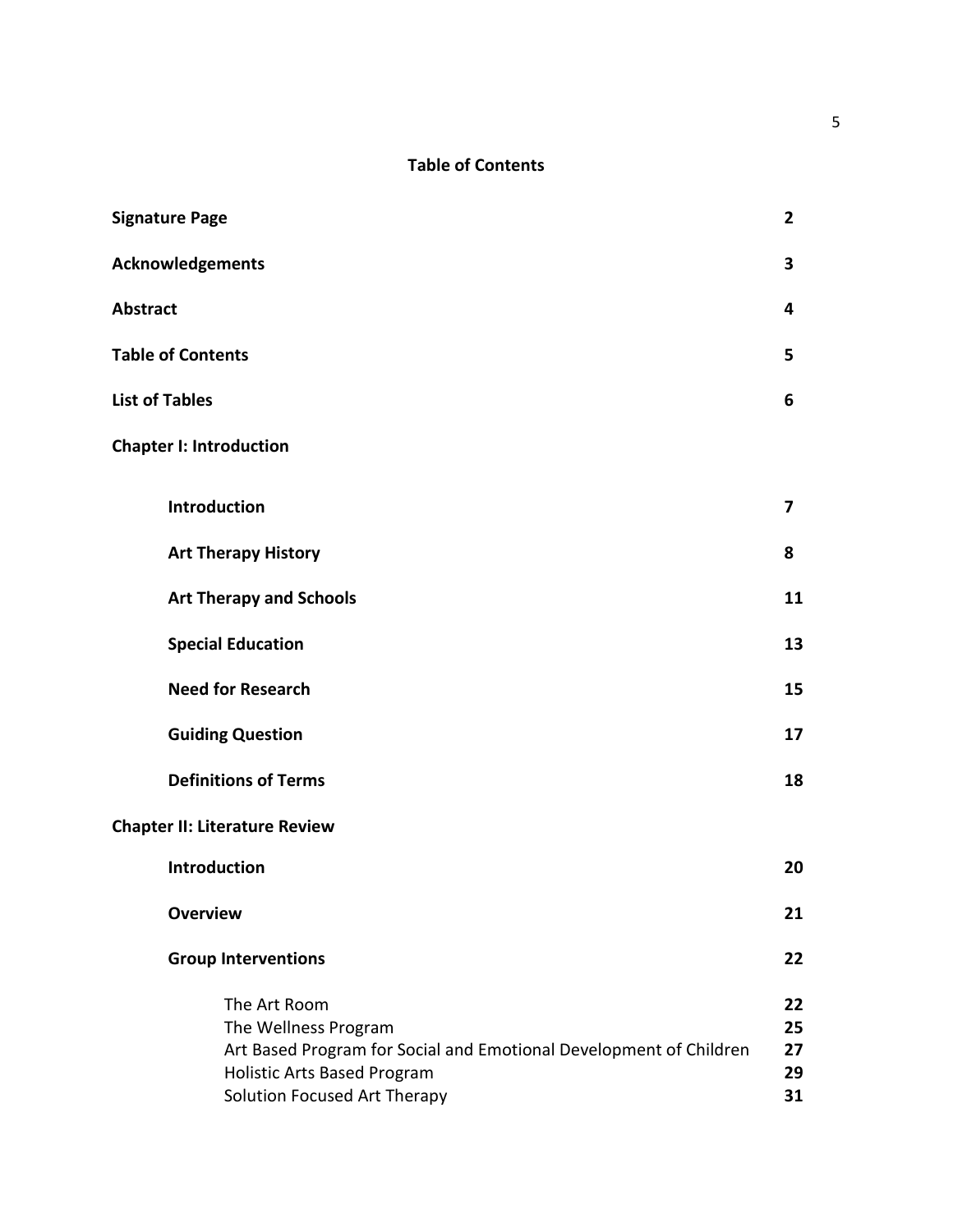# **Table of Contents**

| <b>Signature Page</b>                                                                                                                                                            | $\mathbf{2}$               |
|----------------------------------------------------------------------------------------------------------------------------------------------------------------------------------|----------------------------|
| Acknowledgements                                                                                                                                                                 | 3                          |
| <b>Abstract</b>                                                                                                                                                                  | 4                          |
| <b>Table of Contents</b>                                                                                                                                                         | 5                          |
| <b>List of Tables</b>                                                                                                                                                            | 6                          |
| <b>Chapter I: Introduction</b>                                                                                                                                                   |                            |
| <b>Introduction</b>                                                                                                                                                              | 7                          |
| <b>Art Therapy History</b>                                                                                                                                                       | 8                          |
| <b>Art Therapy and Schools</b>                                                                                                                                                   | 11                         |
| <b>Special Education</b>                                                                                                                                                         | 13                         |
| <b>Need for Research</b>                                                                                                                                                         | 15                         |
| <b>Guiding Question</b>                                                                                                                                                          | 17                         |
| <b>Definitions of Terms</b>                                                                                                                                                      | 18                         |
| <b>Chapter II: Literature Review</b>                                                                                                                                             |                            |
| Introduction                                                                                                                                                                     | 20                         |
| <b>Overview</b>                                                                                                                                                                  | 21                         |
| <b>Group Interventions</b>                                                                                                                                                       | 22                         |
| The Art Room<br>The Wellness Program<br>Art Based Program for Social and Emotional Development of Children<br><b>Holistic Arts Based Program</b><br>Solution Focused Art Therapy | 22<br>25<br>27<br>29<br>31 |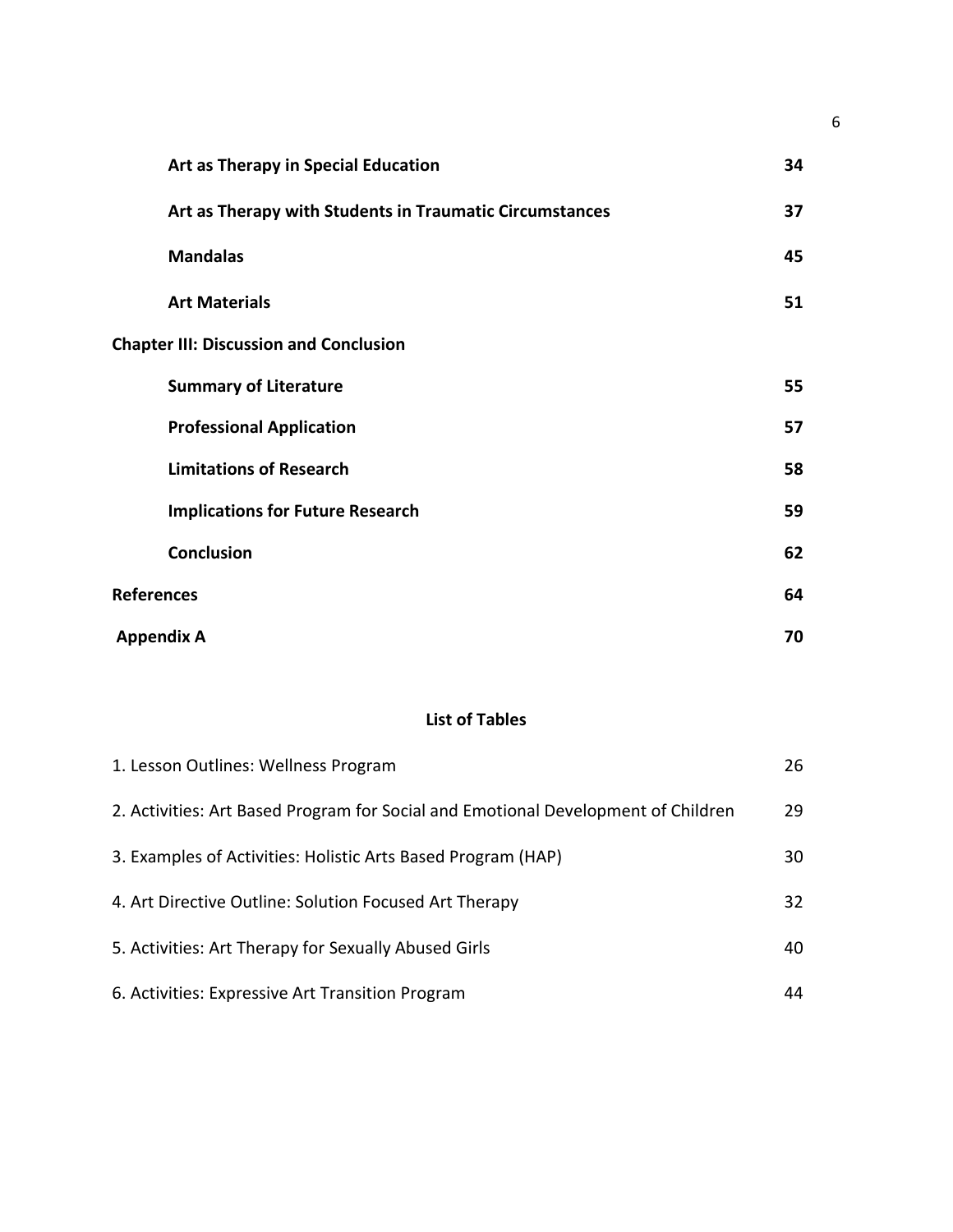|                   | Art as Therapy in Special Education                     | 34 |
|-------------------|---------------------------------------------------------|----|
|                   | Art as Therapy with Students in Traumatic Circumstances | 37 |
|                   | <b>Mandalas</b>                                         | 45 |
|                   | <b>Art Materials</b>                                    | 51 |
|                   | <b>Chapter III: Discussion and Conclusion</b>           |    |
|                   | <b>Summary of Literature</b>                            | 55 |
|                   | <b>Professional Application</b>                         | 57 |
|                   | <b>Limitations of Research</b>                          | 58 |
|                   | <b>Implications for Future Research</b>                 | 59 |
|                   | Conclusion                                              | 62 |
| <b>References</b> |                                                         | 64 |
|                   | <b>Appendix A</b>                                       | 70 |

# **List of Tables**

| 1. Lesson Outlines: Wellness Program                                              | 26 |
|-----------------------------------------------------------------------------------|----|
| 2. Activities: Art Based Program for Social and Emotional Development of Children | 29 |
| 3. Examples of Activities: Holistic Arts Based Program (HAP)                      | 30 |
| 4. Art Directive Outline: Solution Focused Art Therapy                            | 32 |
| 5. Activities: Art Therapy for Sexually Abused Girls                              | 40 |
| 6. Activities: Expressive Art Transition Program                                  | 44 |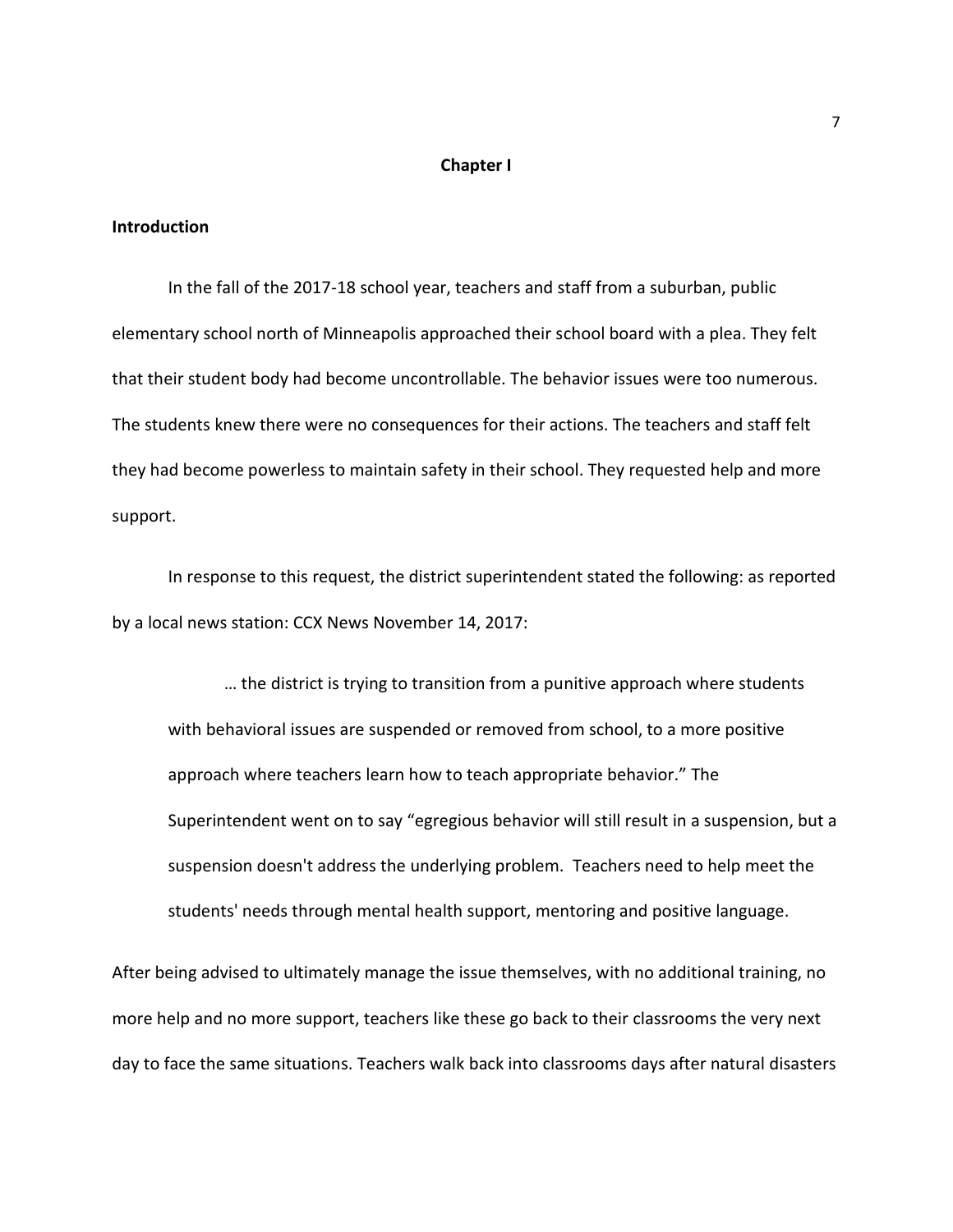#### **Chapter I**

#### **Introduction**

In the fall of the 2017-18 school year, teachers and staff from a suburban, public elementary school north of Minneapolis approached their school board with a plea. They felt that their student body had become uncontrollable. The behavior issues were too numerous. The students knew there were no consequences for their actions. The teachers and staff felt they had become powerless to maintain safety in their school. They requested help and more support.

In response to this request, the district superintendent stated the following: as reported by a local news station: CCX News November 14, 2017:

… the district is trying to transition from a punitive approach where students with behavioral issues are suspended or removed from school, to a more positive approach where teachers learn how to teach appropriate behavior." The Superintendent went on to say "egregious behavior will still result in a suspension, but a suspension doesn't address the underlying problem. Teachers need to help meet the students' needs through mental health support, mentoring and positive language.

After being advised to ultimately manage the issue themselves, with no additional training, no more help and no more support, teachers like these go back to their classrooms the very next day to face the same situations. Teachers walk back into classrooms days after natural disasters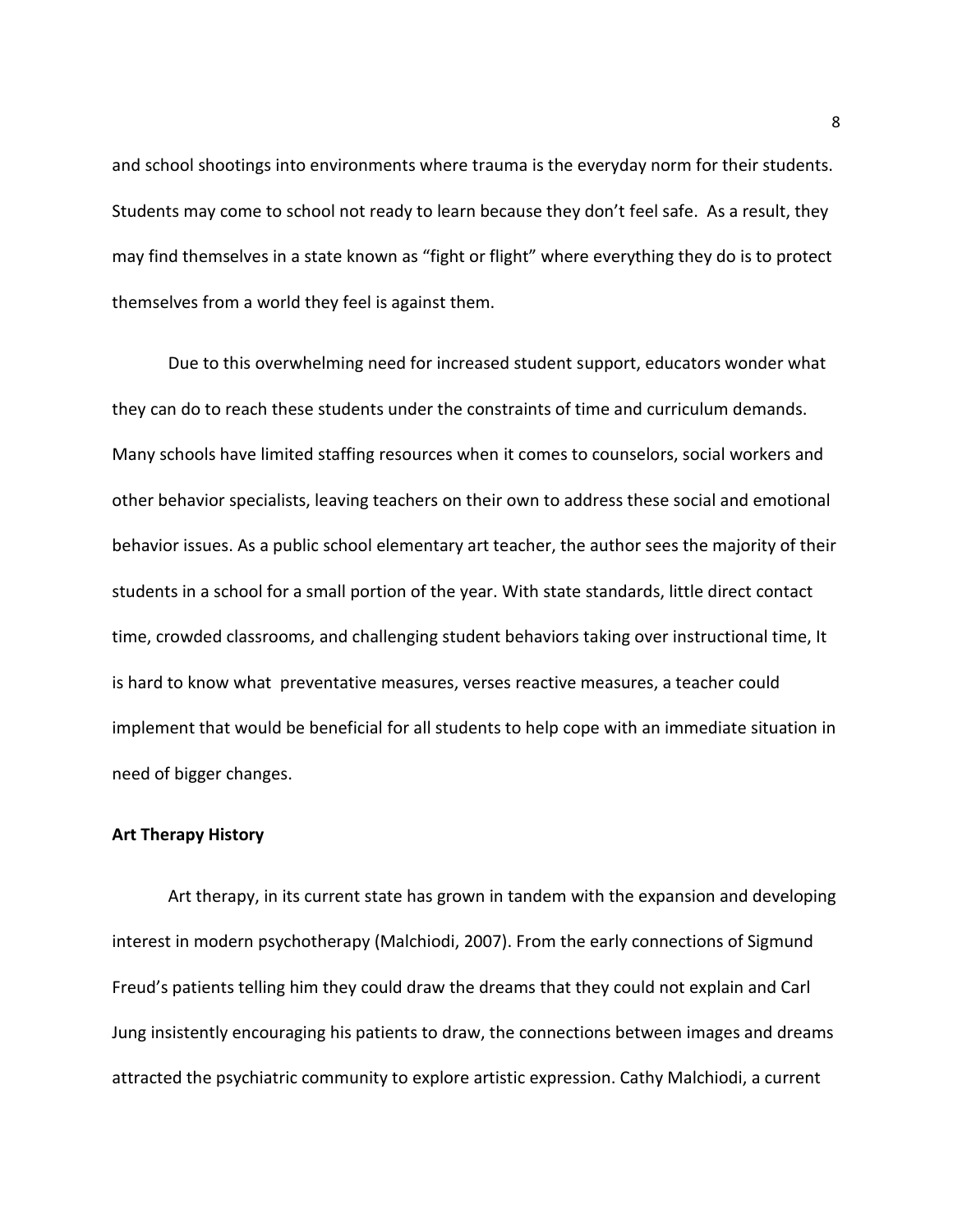and school shootings into environments where trauma is the everyday norm for their students. Students may come to school not ready to learn because they don't feel safe. As a result, they may find themselves in a state known as "fight or flight" where everything they do is to protect themselves from a world they feel is against them.

Due to this overwhelming need for increased student support, educators wonder what they can do to reach these students under the constraints of time and curriculum demands. Many schools have limited staffing resources when it comes to counselors, social workers and other behavior specialists, leaving teachers on their own to address these social and emotional behavior issues. As a public school elementary art teacher, the author sees the majority of their students in a school for a small portion of the year. With state standards, little direct contact time, crowded classrooms, and challenging student behaviors taking over instructional time, It is hard to know what preventative measures, verses reactive measures, a teacher could implement that would be beneficial for all students to help cope with an immediate situation in need of bigger changes.

#### **Art Therapy History**

Art therapy, in its current state has grown in tandem with the expansion and developing interest in modern psychotherapy (Malchiodi, 2007). From the early connections of Sigmund Freud's patients telling him they could draw the dreams that they could not explain and Carl Jung insistently encouraging his patients to draw, the connections between images and dreams attracted the psychiatric community to explore artistic expression. Cathy Malchiodi, a current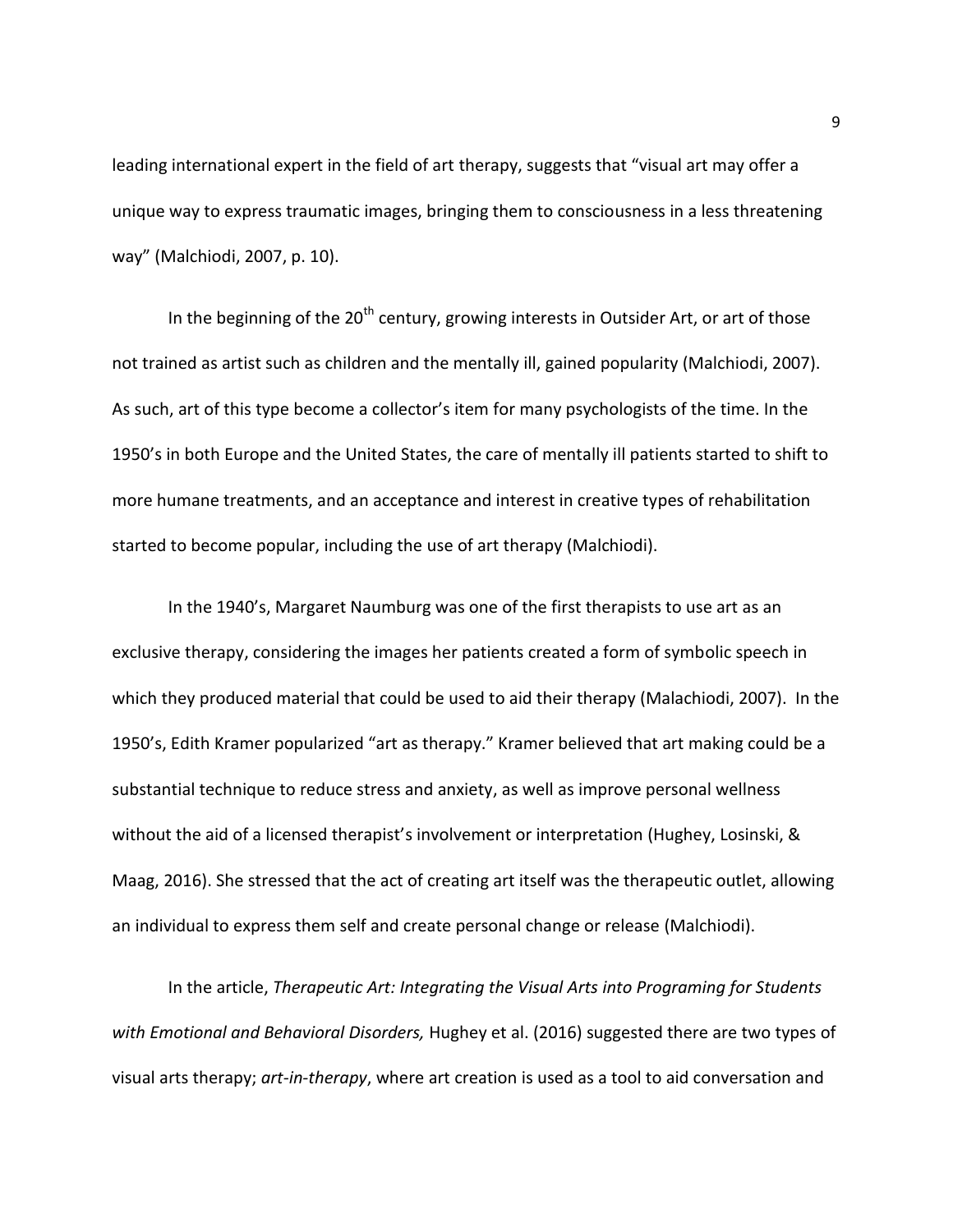leading international expert in the field of art therapy, suggests that "visual art may offer a unique way to express traumatic images, bringing them to consciousness in a less threatening way" (Malchiodi, 2007, p. 10).

In the beginning of the  $20<sup>th</sup>$  century, growing interests in Outsider Art, or art of those not trained as artist such as children and the mentally ill, gained popularity (Malchiodi, 2007). As such, art of this type become a collector's item for many psychologists of the time. In the 1950's in both Europe and the United States, the care of mentally ill patients started to shift to more humane treatments, and an acceptance and interest in creative types of rehabilitation started to become popular, including the use of art therapy (Malchiodi).

In the 1940's, Margaret Naumburg was one of the first therapists to use art as an exclusive therapy, considering the images her patients created a form of symbolic speech in which they produced material that could be used to aid their therapy (Malachiodi, 2007). In the 1950's, Edith Kramer popularized "art as therapy." Kramer believed that art making could be a substantial technique to reduce stress and anxiety, as well as improve personal wellness without the aid of a licensed therapist's involvement or interpretation (Hughey, Losinski, & Maag, 2016). She stressed that the act of creating art itself was the therapeutic outlet, allowing an individual to express them self and create personal change or release (Malchiodi).

In the article, *Therapeutic Art: Integrating the Visual Arts into Programing for Students with Emotional and Behavioral Disorders,* Hughey et al. (2016) suggested there are two types of visual arts therapy; *art-in-therapy*, where art creation is used as a tool to aid conversation and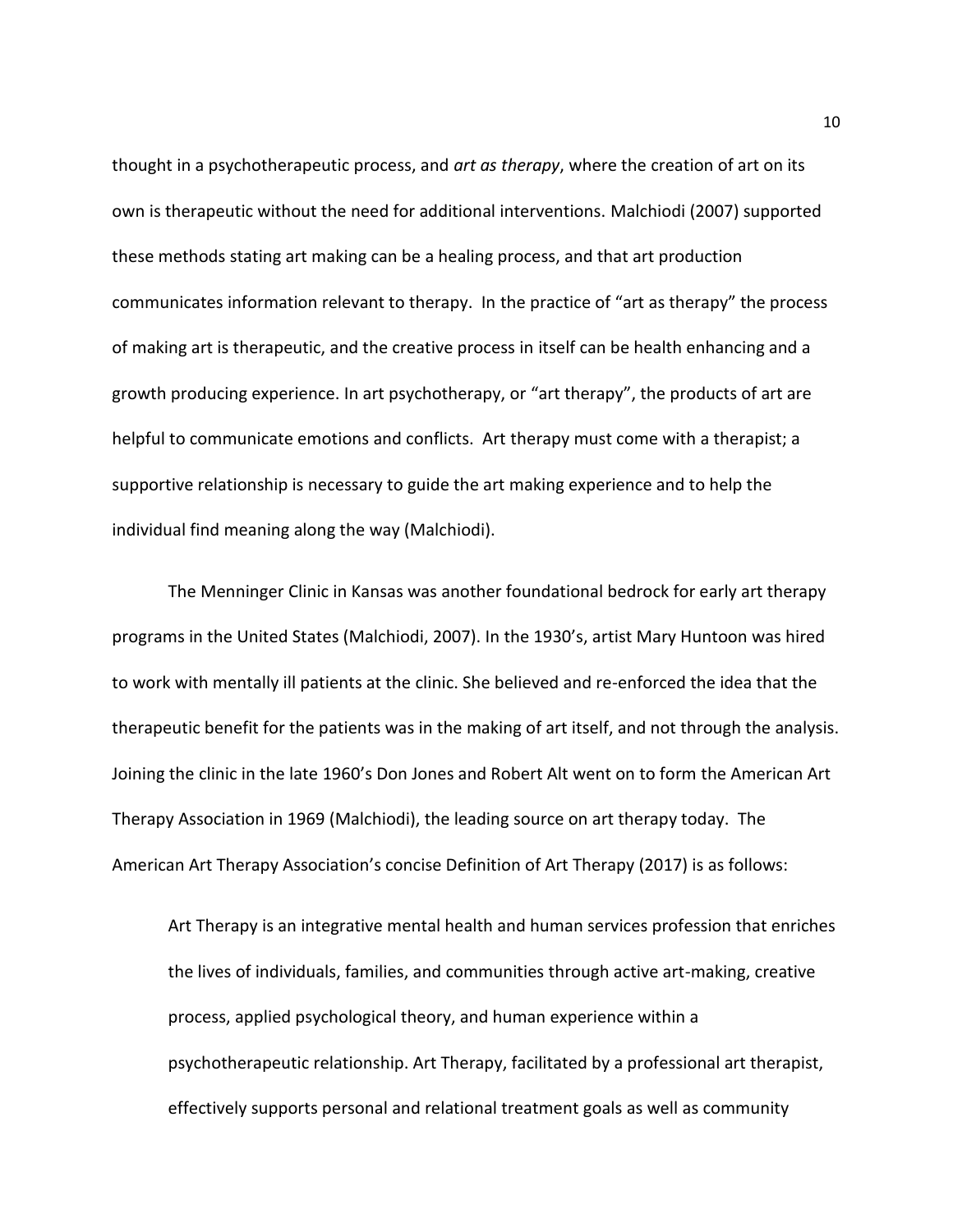thought in a psychotherapeutic process, and *art as therapy*, where the creation of art on its own is therapeutic without the need for additional interventions. Malchiodi (2007) supported these methods stating art making can be a healing process, and that art production communicates information relevant to therapy. In the practice of "art as therapy" the process of making art is therapeutic, and the creative process in itself can be health enhancing and a growth producing experience. In art psychotherapy, or "art therapy", the products of art are helpful to communicate emotions and conflicts. Art therapy must come with a therapist; a supportive relationship is necessary to guide the art making experience and to help the individual find meaning along the way (Malchiodi).

The Menninger Clinic in Kansas was another foundational bedrock for early art therapy programs in the United States (Malchiodi, 2007). In the 1930's, artist Mary Huntoon was hired to work with mentally ill patients at the clinic. She believed and re-enforced the idea that the therapeutic benefit for the patients was in the making of art itself, and not through the analysis. Joining the clinic in the late 1960's Don Jones and Robert Alt went on to form the American Art Therapy Association in 1969 (Malchiodi), the leading source on art therapy today. The American Art Therapy Association's concise Definition of Art Therapy (2017) is as follows:

Art Therapy is an integrative mental health and human services profession that enriches the lives of individuals, families, and communities through active art-making, creative process, applied psychological theory, and human experience within a psychotherapeutic relationship. Art Therapy, facilitated by a professional art therapist, effectively supports personal and relational treatment goals as well as community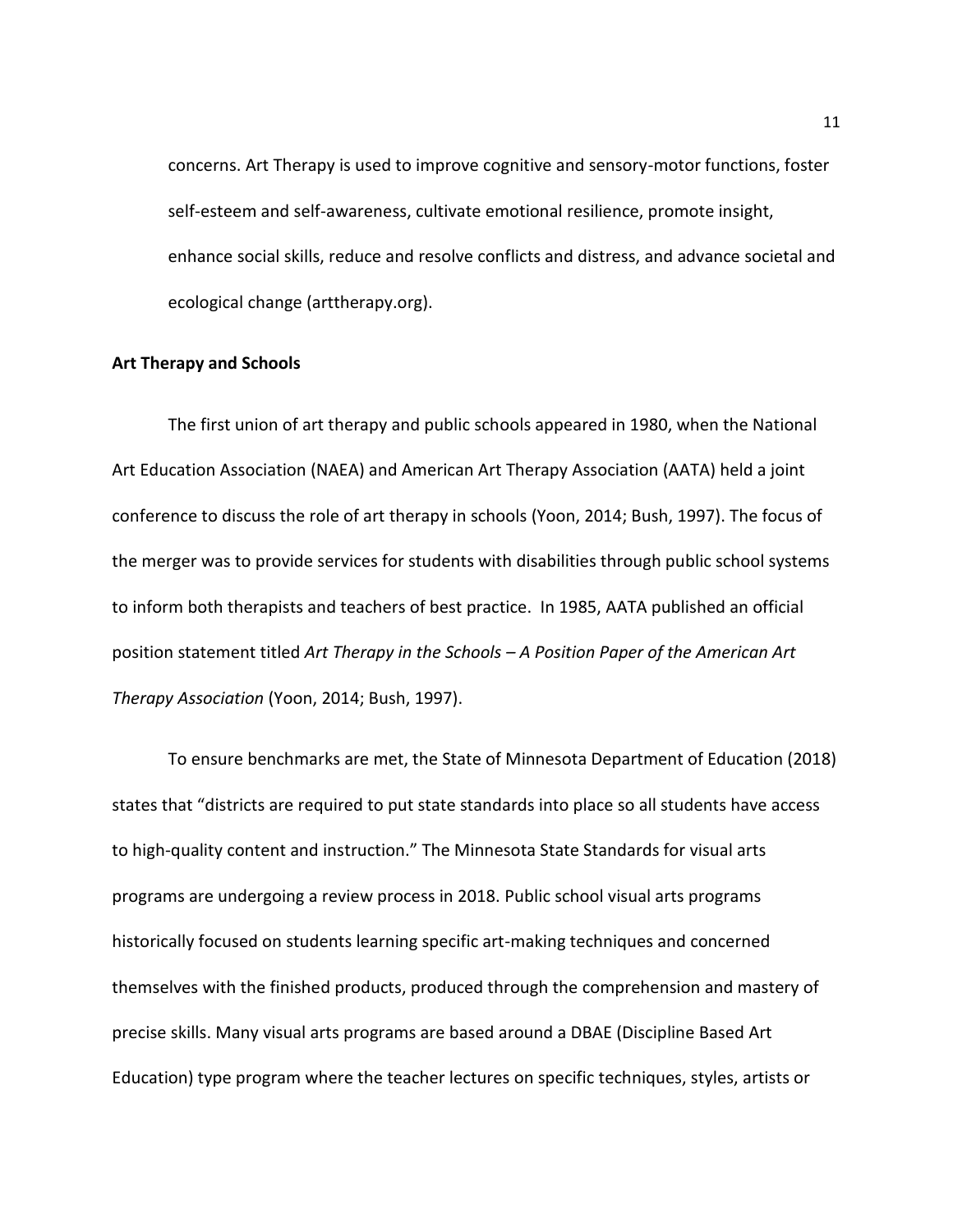concerns. Art Therapy is used to improve cognitive and sensory-motor functions, foster self-esteem and self-awareness, cultivate emotional resilience, promote insight, enhance social skills, reduce and resolve conflicts and distress, and advance societal and ecological change (arttherapy.org).

#### **Art Therapy and Schools**

The first union of art therapy and public schools appeared in 1980, when the National Art Education Association (NAEA) and American Art Therapy Association (AATA) held a joint conference to discuss the role of art therapy in schools (Yoon, 2014; Bush, 1997). The focus of the merger was to provide services for students with disabilities through public school systems to inform both therapists and teachers of best practice. In 1985, AATA published an official position statement titled *Art Therapy in the Schools – A Position Paper of the American Art Therapy Association* (Yoon, 2014; Bush, 1997).

To ensure benchmarks are met, the State of Minnesota Department of Education (2018) states that "districts are required to put state standards into place so all students have access to high-quality content and instruction." The Minnesota State Standards for visual arts programs are undergoing a review process in 2018. Public school visual arts programs historically focused on students learning specific art-making techniques and concerned themselves with the finished products, produced through the comprehension and mastery of precise skills. Many visual arts programs are based around a DBAE (Discipline Based Art Education) type program where the teacher lectures on specific techniques, styles, artists or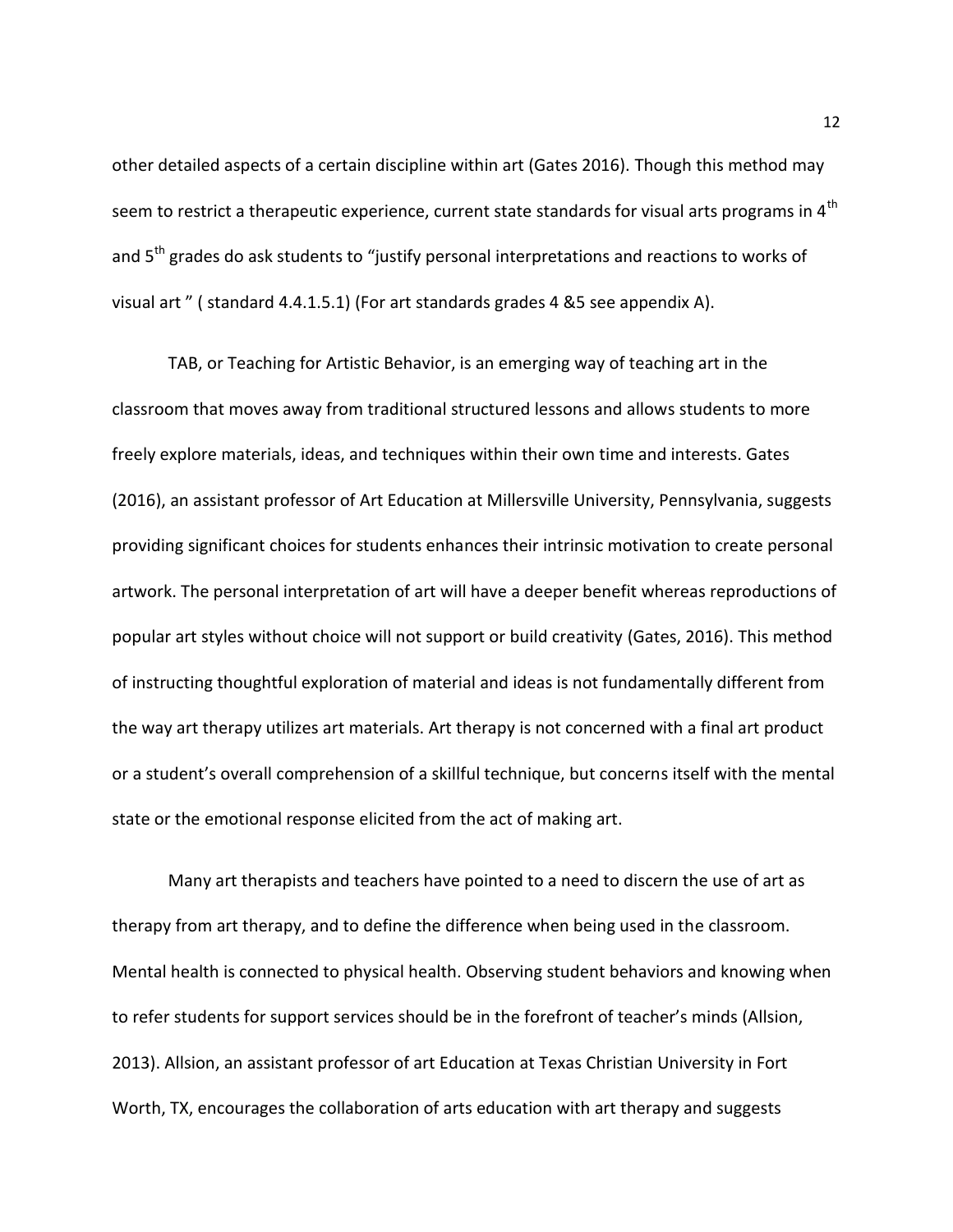other detailed aspects of a certain discipline within art (Gates 2016). Though this method may seem to restrict a therapeutic experience, current state standards for visual arts programs in 4<sup>th</sup> and 5<sup>th</sup> grades do ask students to "justify personal interpretations and reactions to works of visual art " ( standard 4.4.1.5.1) (For art standards grades 4 &5 see appendix A).

TAB, or Teaching for Artistic Behavior, is an emerging way of teaching art in the classroom that moves away from traditional structured lessons and allows students to more freely explore materials, ideas, and techniques within their own time and interests. Gates (2016), an assistant professor of Art Education at Millersville University, Pennsylvania, suggests providing significant choices for students enhances their intrinsic motivation to create personal artwork. The personal interpretation of art will have a deeper benefit whereas reproductions of popular art styles without choice will not support or build creativity (Gates, 2016). This method of instructing thoughtful exploration of material and ideas is not fundamentally different from the way art therapy utilizes art materials. Art therapy is not concerned with a final art product or a student's overall comprehension of a skillful technique, but concerns itself with the mental state or the emotional response elicited from the act of making art.

Many art therapists and teachers have pointed to a need to discern the use of art as therapy from art therapy, and to define the difference when being used in the classroom. Mental health is connected to physical health. Observing student behaviors and knowing when to refer students for support services should be in the forefront of teacher's minds (Allsion, 2013). Allsion, an assistant professor of art Education at Texas Christian University in Fort Worth, TX, encourages the collaboration of arts education with art therapy and suggests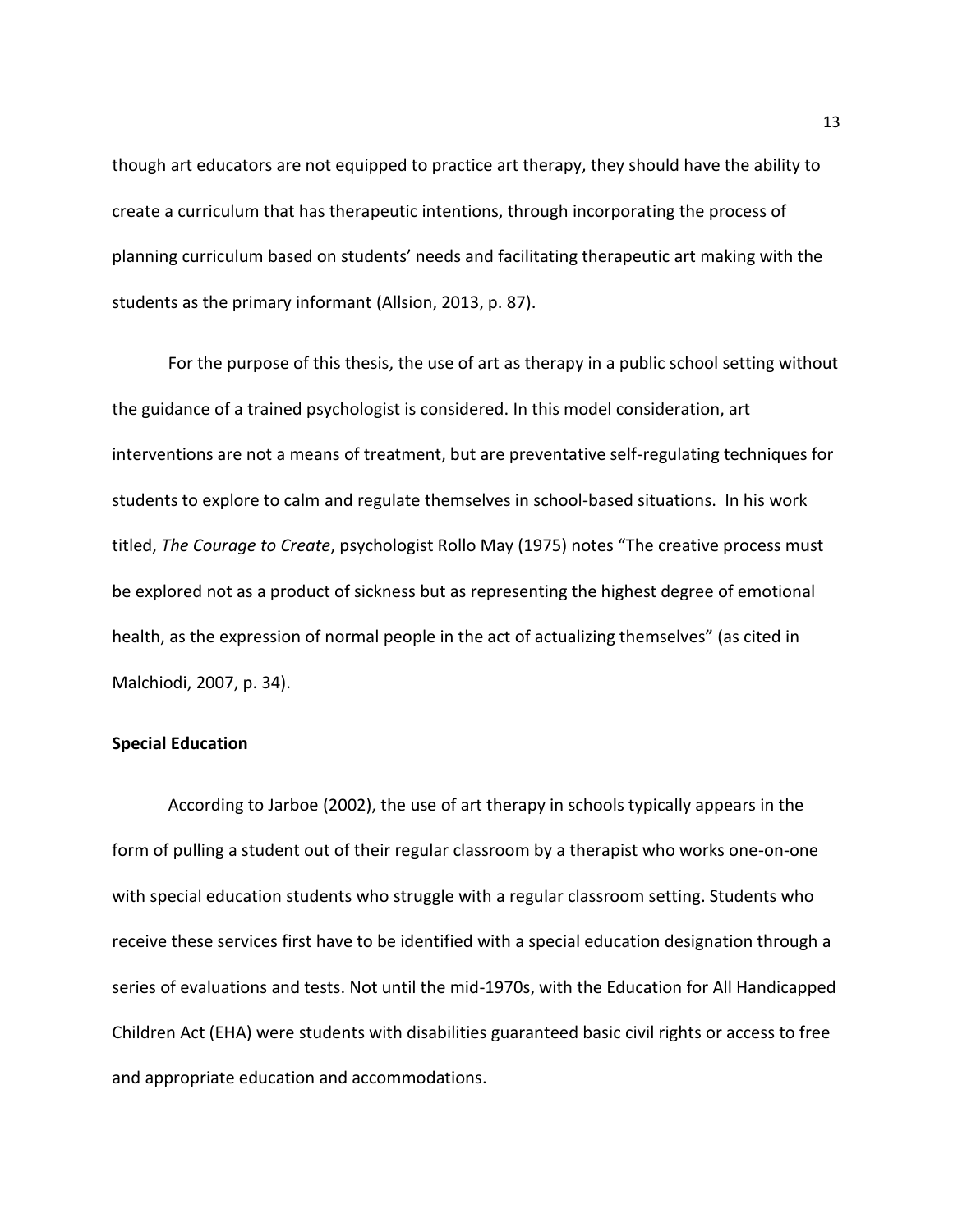though art educators are not equipped to practice art therapy, they should have the ability to create a curriculum that has therapeutic intentions, through incorporating the process of planning curriculum based on students' needs and facilitating therapeutic art making with the students as the primary informant (Allsion, 2013, p. 87).

For the purpose of this thesis, the use of art as therapy in a public school setting without the guidance of a trained psychologist is considered. In this model consideration, art interventions are not a means of treatment, but are preventative self-regulating techniques for students to explore to calm and regulate themselves in school-based situations. In his work titled, *The Courage to Create*, psychologist Rollo May (1975) notes "The creative process must be explored not as a product of sickness but as representing the highest degree of emotional health, as the expression of normal people in the act of actualizing themselves" (as cited in Malchiodi, 2007, p. 34).

### **Special Education**

According to Jarboe (2002), the use of art therapy in schools typically appears in the form of pulling a student out of their regular classroom by a therapist who works one-on-one with special education students who struggle with a regular classroom setting. Students who receive these services first have to be identified with a special education designation through a series of evaluations and tests. Not until the mid-1970s, with the Education for All Handicapped Children Act (EHA) were students with disabilities guaranteed basic civil rights or access to free and appropriate education and accommodations.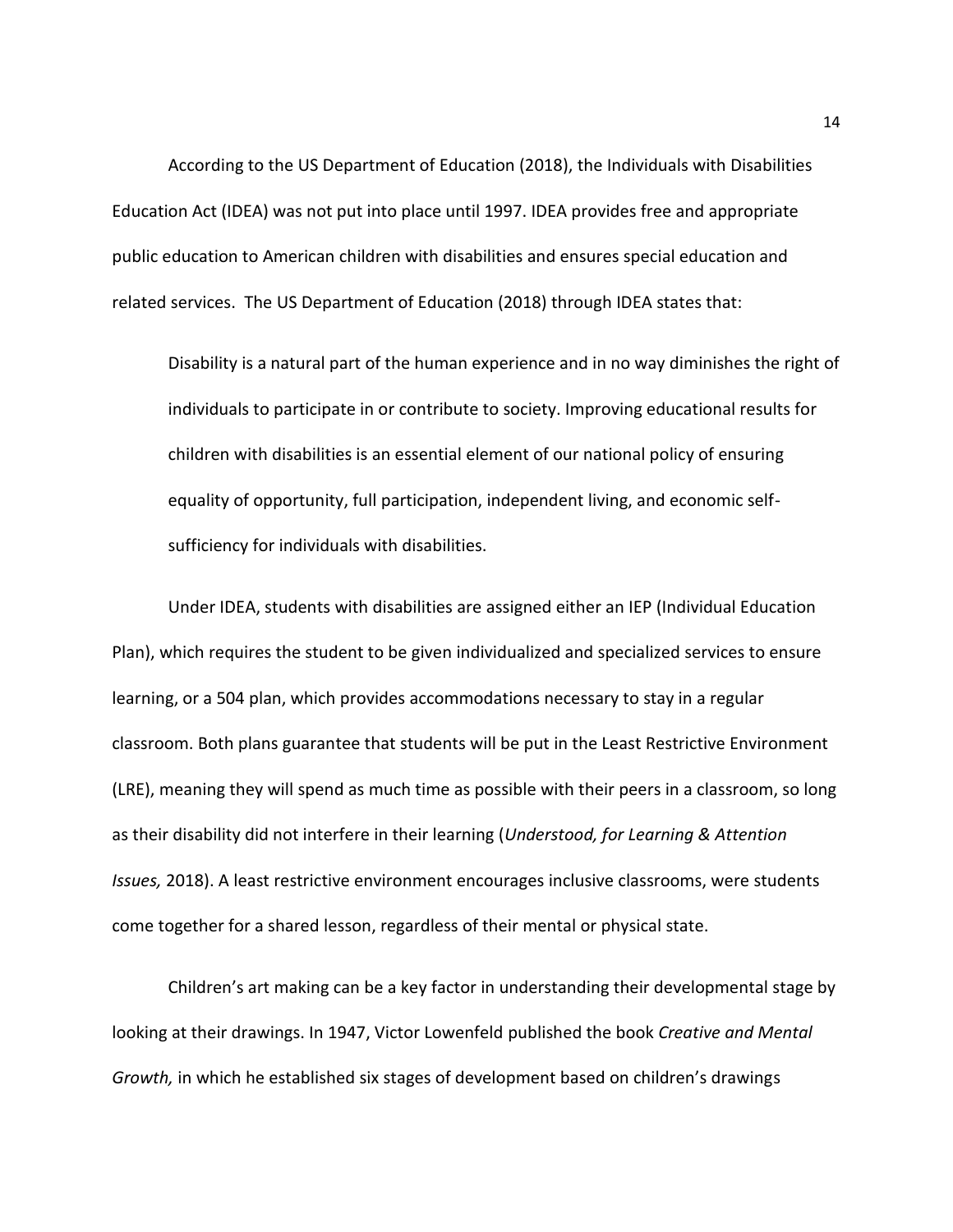According to the US Department of Education (2018), the Individuals with Disabilities Education Act (IDEA) was not put into place until 1997. IDEA provides free and appropriate public education to American children with disabilities and ensures special education and related services. The US Department of Education (2018) through IDEA states that:

Disability is a natural part of the human experience and in no way diminishes the right of individuals to participate in or contribute to society. Improving educational results for children with disabilities is an essential element of our national policy of ensuring equality of opportunity, full participation, independent living, and economic selfsufficiency for individuals with disabilities.

Under IDEA, students with disabilities are assigned either an IEP (Individual Education Plan), which requires the student to be given individualized and specialized services to ensure learning, or a 504 plan, which provides accommodations necessary to stay in a regular classroom. Both plans guarantee that students will be put in the Least Restrictive Environment (LRE), meaning they will spend as much time as possible with their peers in a classroom, so long as their disability did not interfere in their learning (*Understood, for Learning & Attention Issues,* 2018). A least restrictive environment encourages inclusive classrooms, were students come together for a shared lesson, regardless of their mental or physical state.

Children's art making can be a key factor in understanding their developmental stage by looking at their drawings. In 1947, Victor Lowenfeld published the book *Creative and Mental Growth,* in which he established six stages of development based on children's drawings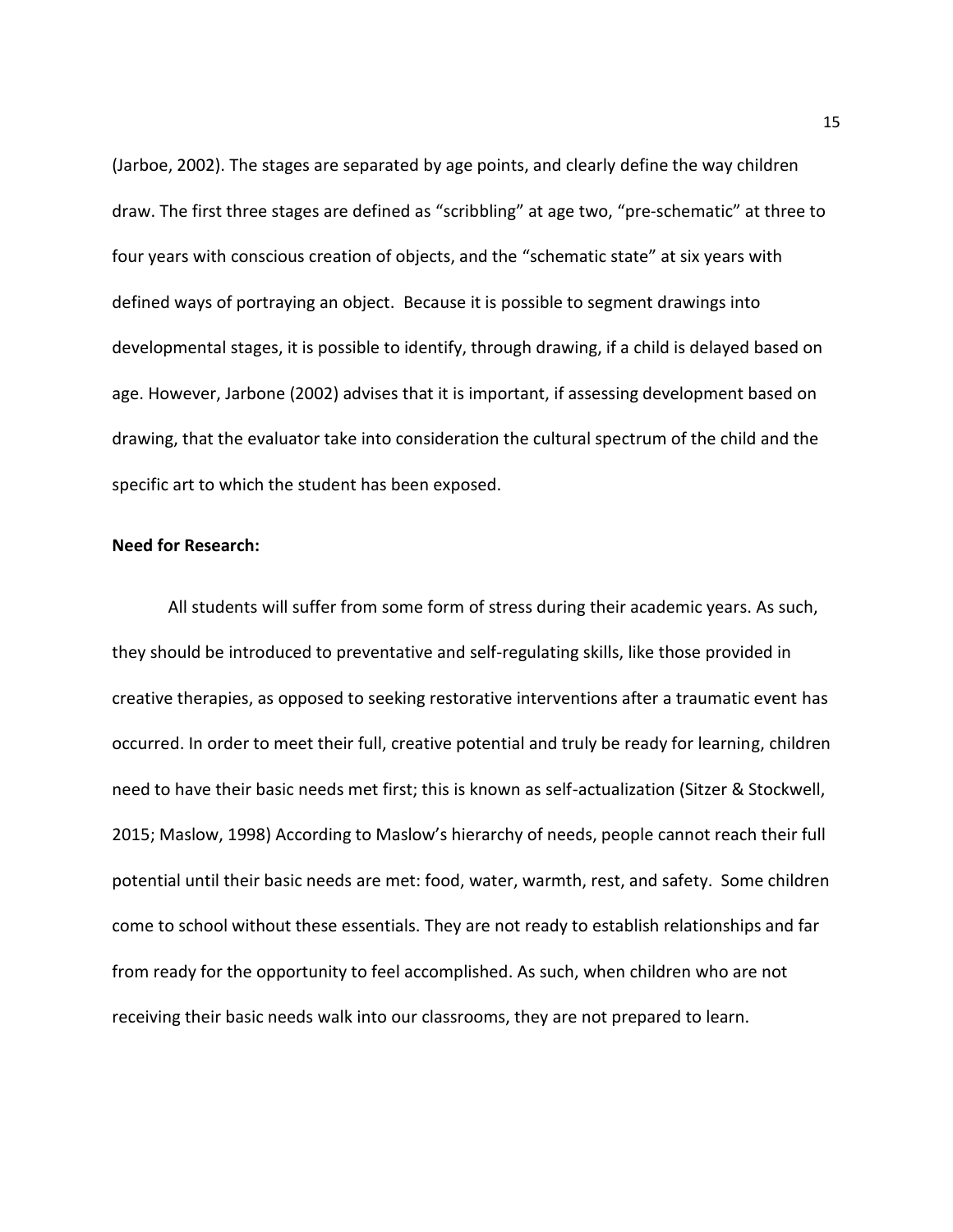(Jarboe, 2002). The stages are separated by age points, and clearly define the way children draw. The first three stages are defined as "scribbling" at age two, "pre-schematic" at three to four years with conscious creation of objects, and the "schematic state" at six years with defined ways of portraying an object. Because it is possible to segment drawings into developmental stages, it is possible to identify, through drawing, if a child is delayed based on age. However, Jarbone (2002) advises that it is important, if assessing development based on drawing, that the evaluator take into consideration the cultural spectrum of the child and the specific art to which the student has been exposed.

#### **Need for Research:**

All students will suffer from some form of stress during their academic years. As such, they should be introduced to preventative and self-regulating skills, like those provided in creative therapies, as opposed to seeking restorative interventions after a traumatic event has occurred. In order to meet their full, creative potential and truly be ready for learning, children need to have their basic needs met first; this is known as self-actualization (Sitzer & Stockwell, 2015; Maslow, 1998) According to Maslow's hierarchy of needs, people cannot reach their full potential until their basic needs are met: food, water, warmth, rest, and safety. Some children come to school without these essentials. They are not ready to establish relationships and far from ready for the opportunity to feel accomplished. As such, when children who are not receiving their basic needs walk into our classrooms, they are not prepared to learn.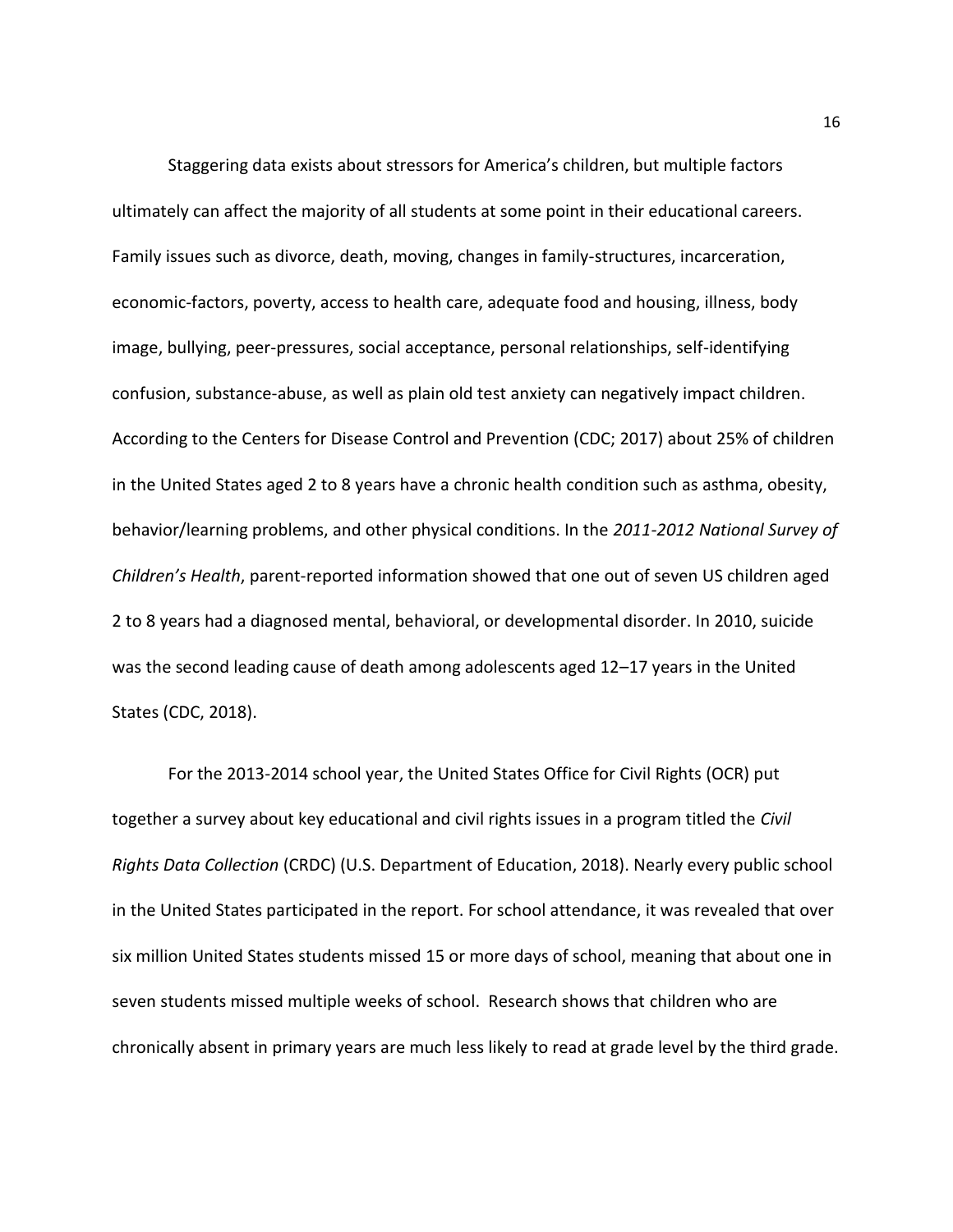Staggering data exists about stressors for America's children, but multiple factors ultimately can affect the majority of all students at some point in their educational careers. Family issues such as divorce, death, moving, changes in family-structures, incarceration, economic-factors, poverty, access to health care, adequate food and housing, illness, body image, bullying, peer-pressures, social acceptance, personal relationships, self-identifying confusion, substance-abuse, as well as plain old test anxiety can negatively impact children. According to the Centers for Disease Control and Prevention (CDC; 2017) about 25% of children in the United States aged 2 to 8 years have a chronic health condition such as asthma, obesity, behavior/learning problems, and other physical conditions. In the *2011-2012 National Survey of Children's Health*, parent-reported information showed that one out of seven US children aged 2 to 8 years had a diagnosed mental, behavioral, or developmental disorder. In 2010, suicide was the second leading cause of death among adolescents aged 12–17 years in the United States (CDC, 2018).

For the 2013-2014 school year, the United States Office for Civil Rights (OCR) put together a survey about key educational and civil rights issues in a program titled the *Civil Rights Data Collection* (CRDC) (U.S. Department of Education, 2018). Nearly every public school in the United States participated in the report. For school attendance, it was revealed that over six million United States students missed 15 or more days of school, meaning that about one in seven students missed multiple weeks of school. Research shows that children who are chronically absent in primary years are much less likely to read at grade level by the third grade.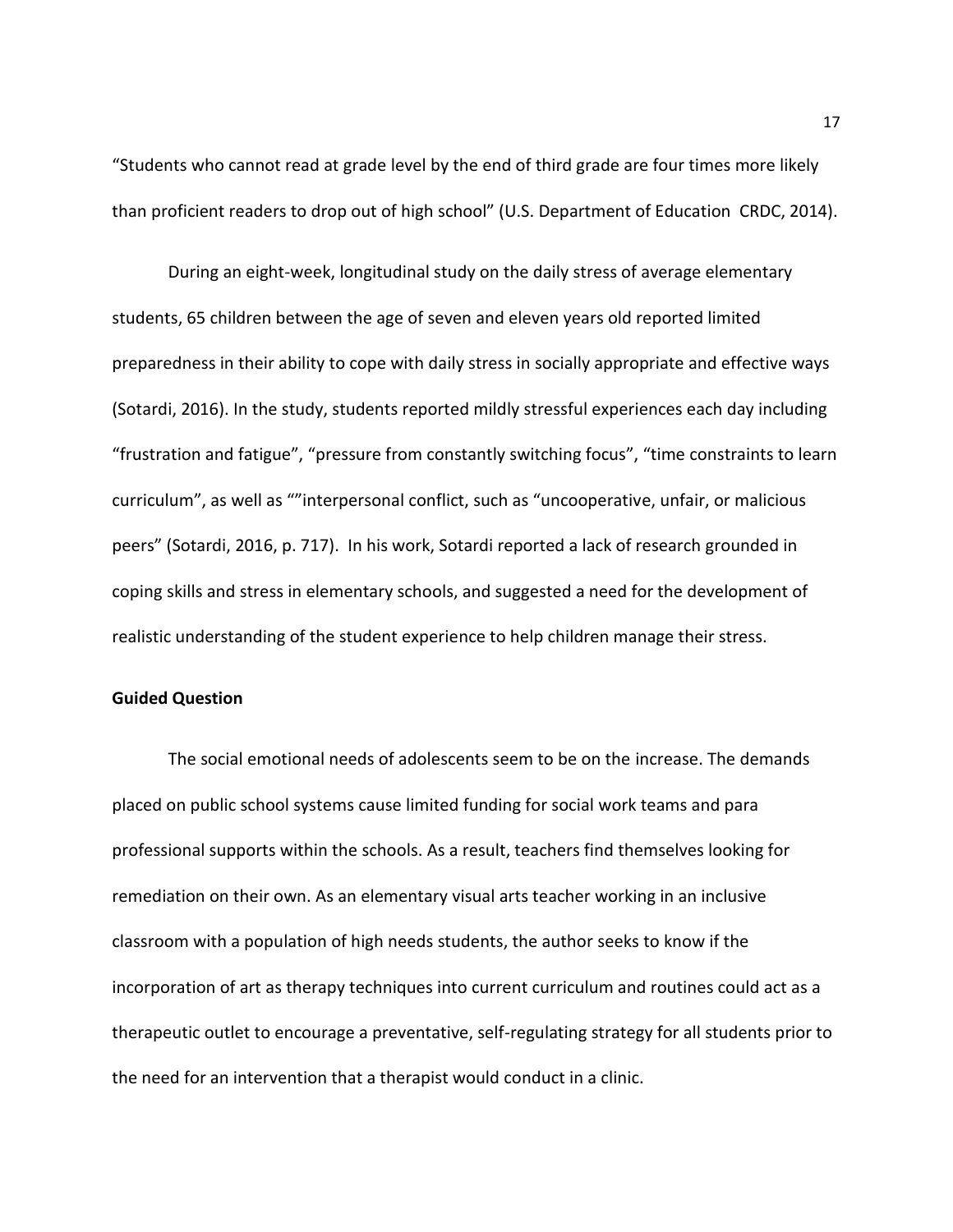"Students who cannot read at grade level by the end of third grade are four times more likely than proficient readers to drop out of high school" (U.S. Department of Education CRDC, 2014).

During an eight-week, longitudinal study on the daily stress of average elementary students, 65 children between the age of seven and eleven years old reported limited preparedness in their ability to cope with daily stress in socially appropriate and effective ways (Sotardi, 2016). In the study, students reported mildly stressful experiences each day including "frustration and fatigue", "pressure from constantly switching focus", "time constraints to learn curriculum", as well as ""interpersonal conflict, such as "uncooperative, unfair, or malicious peers" (Sotardi, 2016, p. 717). In his work, Sotardi reported a lack of research grounded in coping skills and stress in elementary schools, and suggested a need for the development of realistic understanding of the student experience to help children manage their stress.

### **Guided Question**

The social emotional needs of adolescents seem to be on the increase. The demands placed on public school systems cause limited funding for social work teams and para professional supports within the schools. As a result, teachers find themselves looking for remediation on their own. As an elementary visual arts teacher working in an inclusive classroom with a population of high needs students, the author seeks to know if the incorporation of art as therapy techniques into current curriculum and routines could act as a therapeutic outlet to encourage a preventative, self-regulating strategy for all students prior to the need for an intervention that a therapist would conduct in a clinic.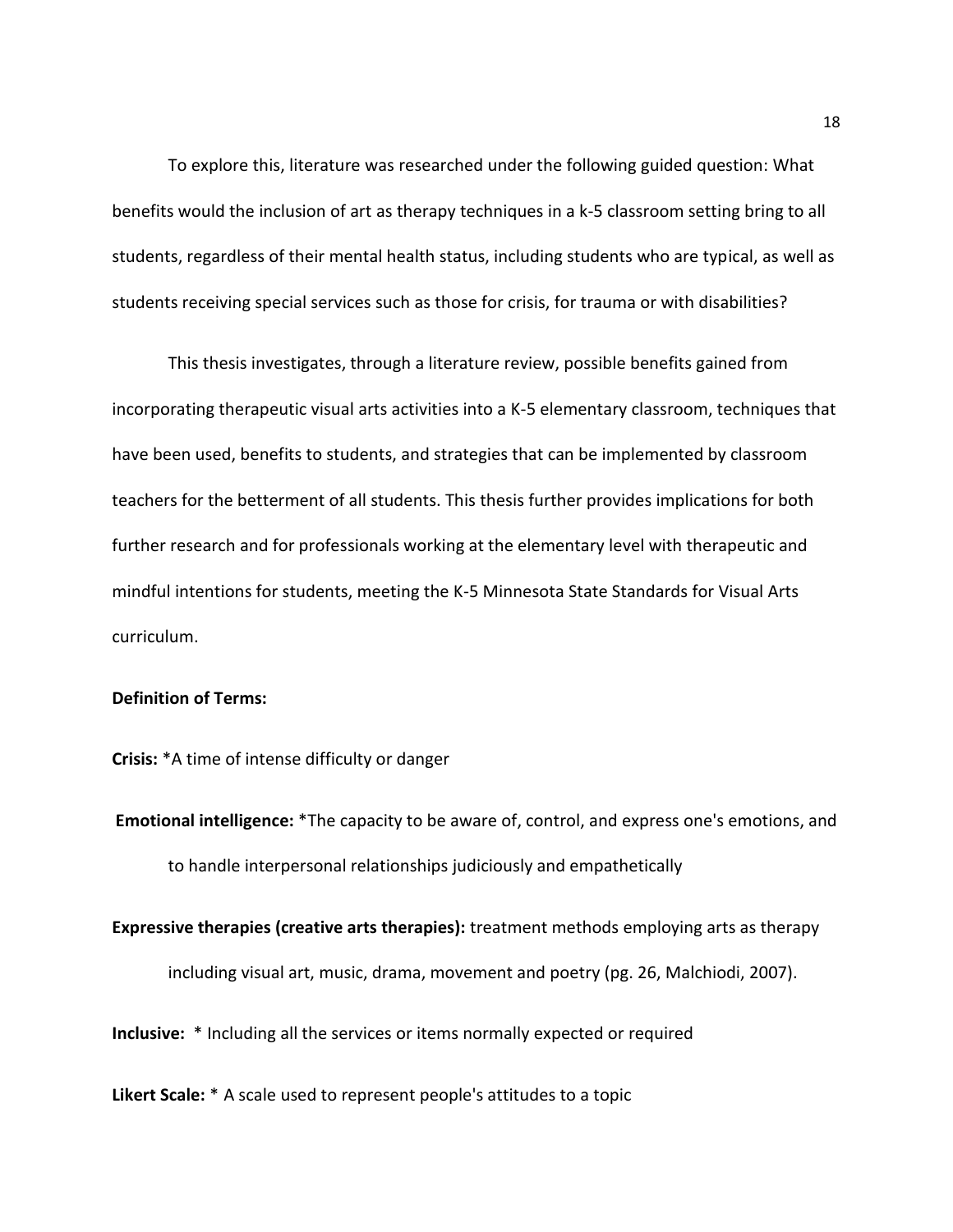To explore this, literature was researched under the following guided question: What benefits would the inclusion of art as therapy techniques in a k-5 classroom setting bring to all students, regardless of their mental health status, including students who are typical, as well as students receiving special services such as those for crisis, for trauma or with disabilities?

This thesis investigates, through a literature review, possible benefits gained from incorporating therapeutic visual arts activities into a K-5 elementary classroom, techniques that have been used, benefits to students, and strategies that can be implemented by classroom teachers for the betterment of all students. This thesis further provides implications for both further research and for professionals working at the elementary level with therapeutic and mindful intentions for students, meeting the K-5 Minnesota State Standards for Visual Arts curriculum.

# **Definition of Terms:**

**Crisis:** \*A time of intense difficulty or danger

**Emotional intelligence:** \*The capacity to be aware of, control, and express one's emotions, and to handle interpersonal relationships judiciously and empathetically

**Expressive therapies (creative arts therapies):** treatment methods employing arts as therapy including visual art, music, drama, movement and poetry (pg. 26, Malchiodi, 2007).

**Inclusive:** \* Including all the services or items normally expected or required

**Likert Scale:** \* A scale used to represent people's attitudes to a topic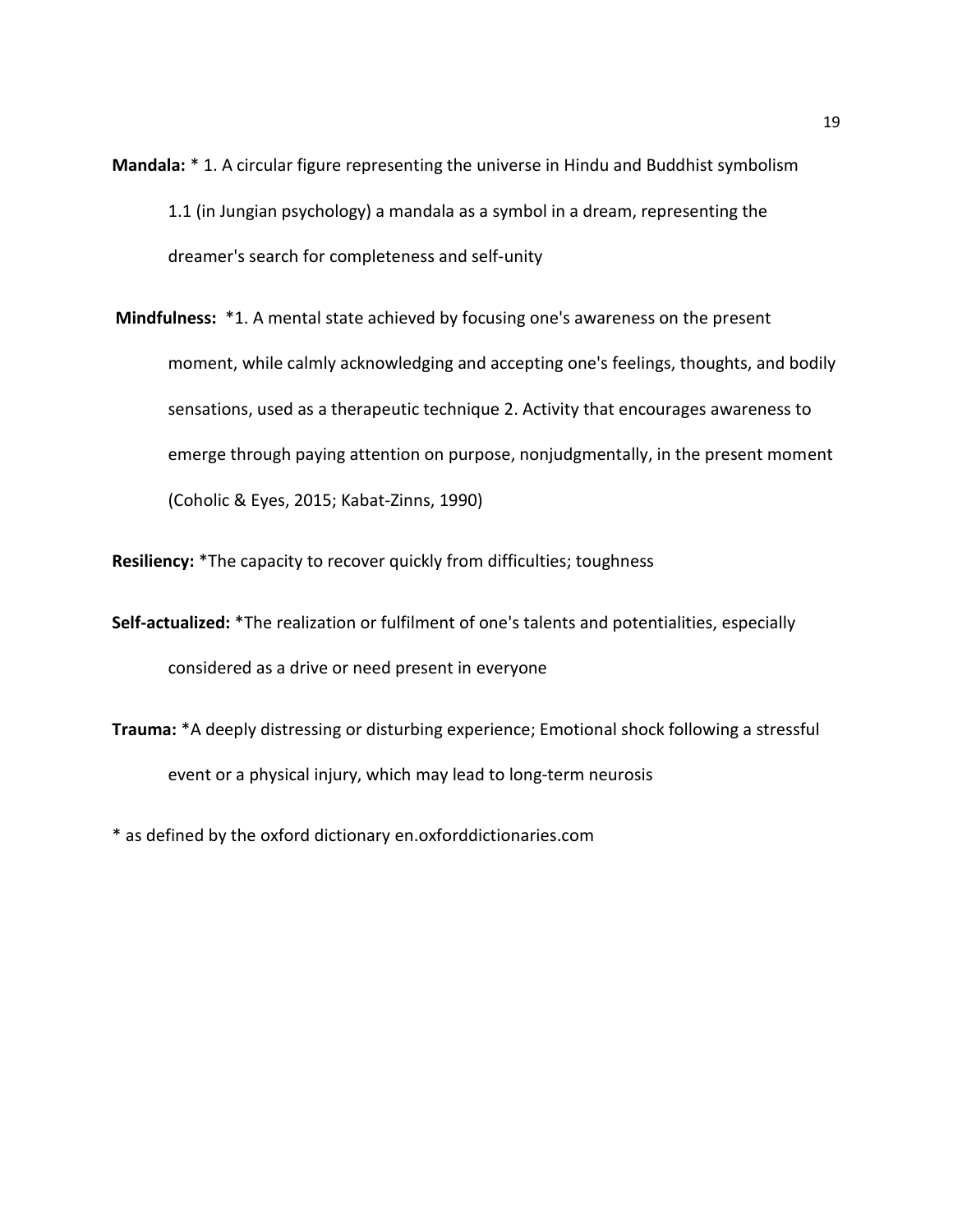- **Mandala:** \* 1. A circular figure representing the universe in Hindu and Buddhist symbolism 1.1 (in Jungian psychology) a mandala as a symbol in a dream, representing the dreamer's search for completeness and self-unity
- **Mindfulness:** \*1. A mental state achieved by focusing one's awareness on the present moment, while calmly acknowledging and accepting one's feelings, thoughts, and bodily sensations, used as a therapeutic technique 2. Activity that encourages awareness to emerge through paying attention on purpose, nonjudgmentally, in the present moment (Coholic & Eyes, 2015; Kabat-Zinns, 1990)

**Resiliency:** \*The capacity to recover quickly from difficulties; toughness

- **Self-actualized:** \*The realization or fulfilment of one's talents and potentialities, especially considered as a drive or need present in everyone
- **Trauma:** \*A deeply distressing or disturbing experience; Emotional shock following a stressful event or a physical injury, which may lead to long-term neurosis

\* as defined by the oxford dictionary en.oxforddictionaries.com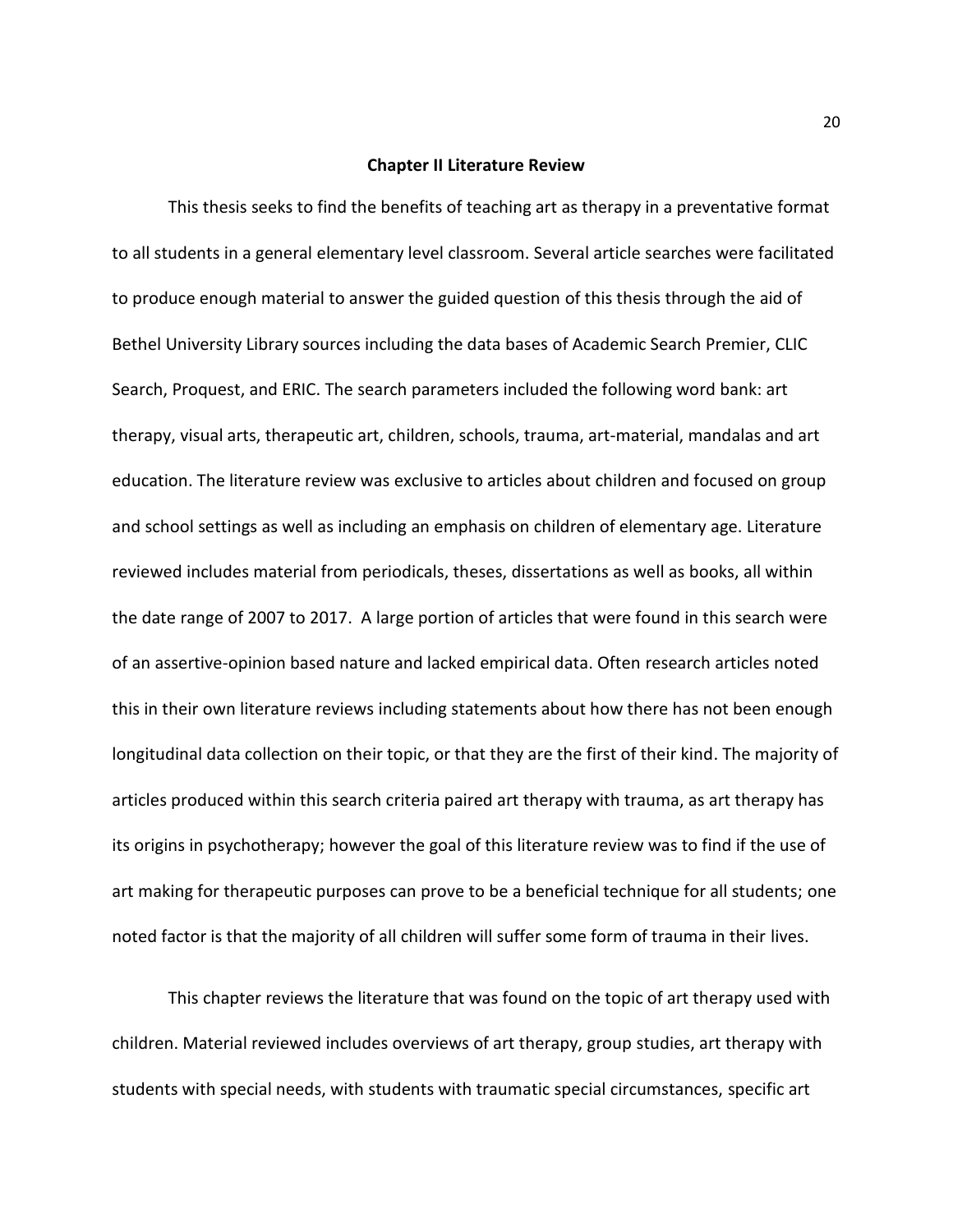#### **Chapter II Literature Review**

This thesis seeks to find the benefits of teaching art as therapy in a preventative format to all students in a general elementary level classroom. Several article searches were facilitated to produce enough material to answer the guided question of this thesis through the aid of Bethel University Library sources including the data bases of Academic Search Premier, CLIC Search, Proquest, and ERIC. The search parameters included the following word bank: art therapy, visual arts, therapeutic art, children, schools, trauma, art-material, mandalas and art education. The literature review was exclusive to articles about children and focused on group and school settings as well as including an emphasis on children of elementary age. Literature reviewed includes material from periodicals, theses, dissertations as well as books, all within the date range of 2007 to 2017. A large portion of articles that were found in this search were of an assertive-opinion based nature and lacked empirical data. Often research articles noted this in their own literature reviews including statements about how there has not been enough longitudinal data collection on their topic, or that they are the first of their kind. The majority of articles produced within this search criteria paired art therapy with trauma, as art therapy has its origins in psychotherapy; however the goal of this literature review was to find if the use of art making for therapeutic purposes can prove to be a beneficial technique for all students; one noted factor is that the majority of all children will suffer some form of trauma in their lives.

This chapter reviews the literature that was found on the topic of art therapy used with children. Material reviewed includes overviews of art therapy, group studies, art therapy with students with special needs, with students with traumatic special circumstances, specific art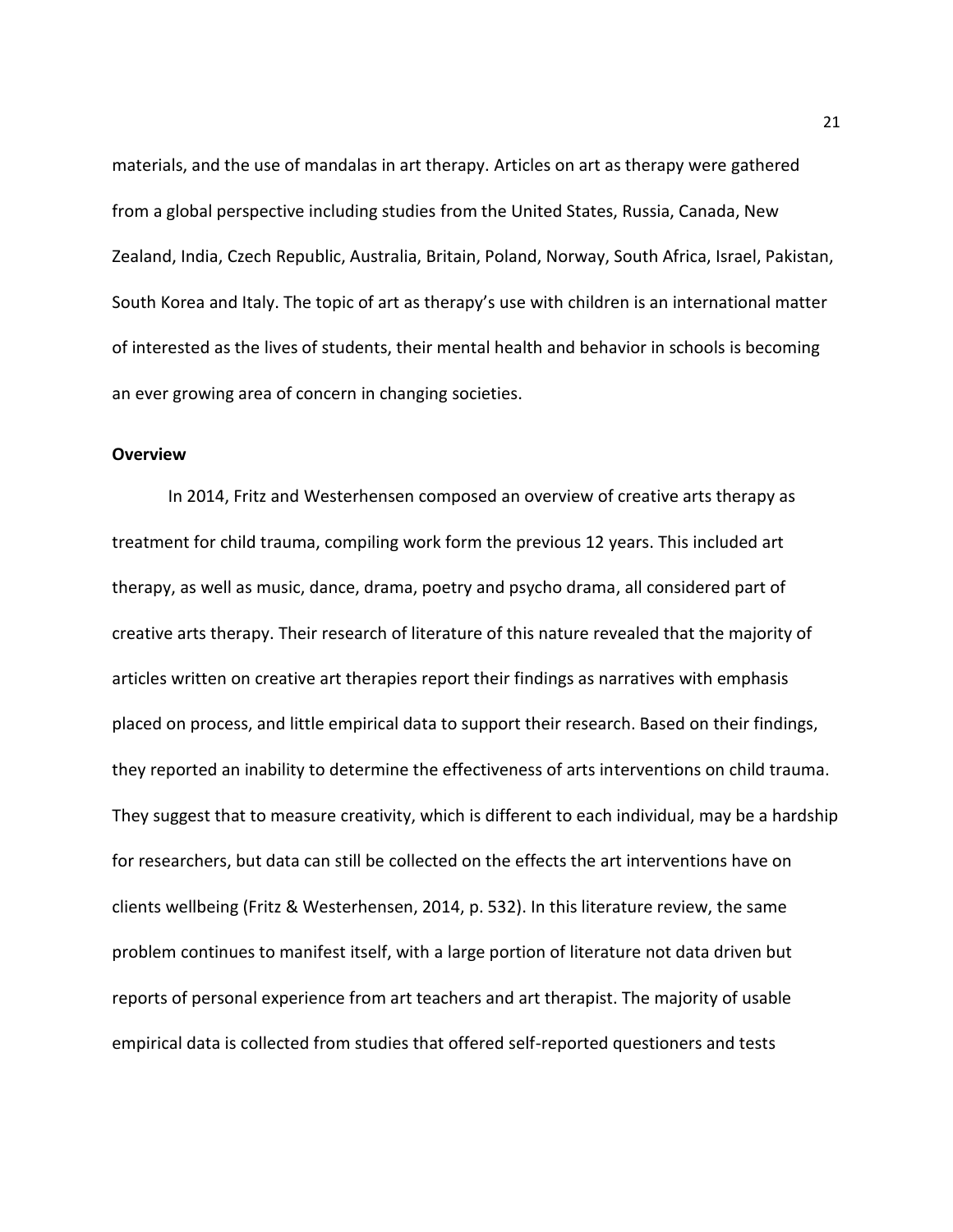materials, and the use of mandalas in art therapy. Articles on art as therapy were gathered from a global perspective including studies from the United States, Russia, Canada, New Zealand, India, Czech Republic, Australia, Britain, Poland, Norway, South Africa, Israel, Pakistan, South Korea and Italy. The topic of art as therapy's use with children is an international matter of interested as the lives of students, their mental health and behavior in schools is becoming an ever growing area of concern in changing societies.

#### **Overview**

 In 2014, Fritz and Westerhensen composed an overview of creative arts therapy as treatment for child trauma, compiling work form the previous 12 years. This included art therapy, as well as music, dance, drama, poetry and psycho drama, all considered part of creative arts therapy. Their research of literature of this nature revealed that the majority of articles written on creative art therapies report their findings as narratives with emphasis placed on process, and little empirical data to support their research. Based on their findings, they reported an inability to determine the effectiveness of arts interventions on child trauma. They suggest that to measure creativity, which is different to each individual, may be a hardship for researchers, but data can still be collected on the effects the art interventions have on clients wellbeing (Fritz & Westerhensen, 2014, p. 532). In this literature review, the same problem continues to manifest itself, with a large portion of literature not data driven but reports of personal experience from art teachers and art therapist. The majority of usable empirical data is collected from studies that offered self-reported questioners and tests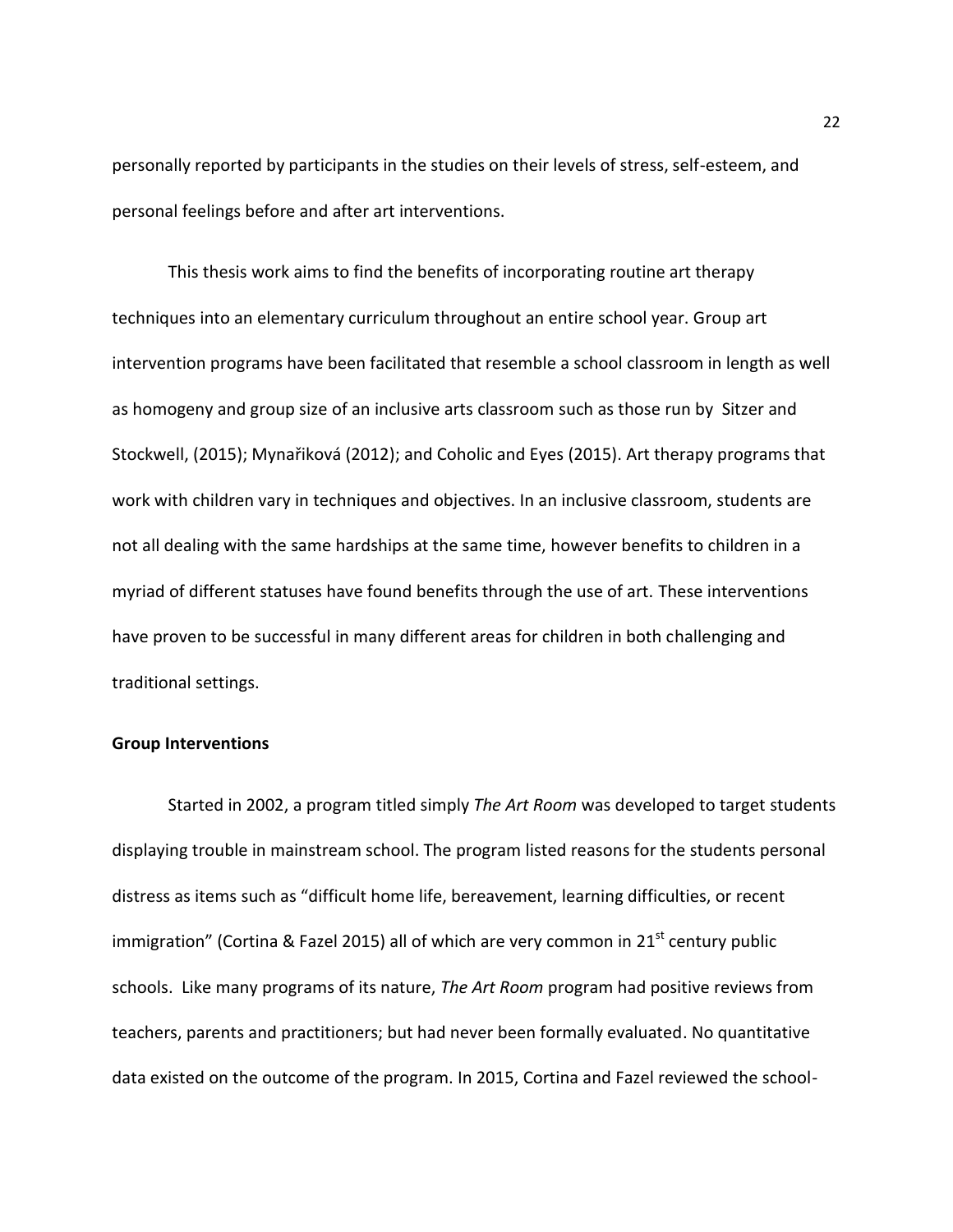personally reported by participants in the studies on their levels of stress, self-esteem, and personal feelings before and after art interventions.

This thesis work aims to find the benefits of incorporating routine art therapy techniques into an elementary curriculum throughout an entire school year. Group art intervention programs have been facilitated that resemble a school classroom in length as well as homogeny and group size of an inclusive arts classroom such as those run by Sitzer and Stockwell, (2015); Mynařiková (2012); and Coholic and Eyes (2015). Art therapy programs that work with children vary in techniques and objectives. In an inclusive classroom, students are not all dealing with the same hardships at the same time, however benefits to children in a myriad of different statuses have found benefits through the use of art. These interventions have proven to be successful in many different areas for children in both challenging and traditional settings.

#### **Group Interventions**

Started in 2002, a program titled simply *The Art Room* was developed to target students displaying trouble in mainstream school. The program listed reasons for the students personal distress as items such as "difficult home life, bereavement, learning difficulties, or recent immigration" (Cortina & Fazel 2015) all of which are very common in  $21<sup>st</sup>$  century public schools. Like many programs of its nature, *The Art Room* program had positive reviews from teachers, parents and practitioners; but had never been formally evaluated. No quantitative data existed on the outcome of the program. In 2015, Cortina and Fazel reviewed the school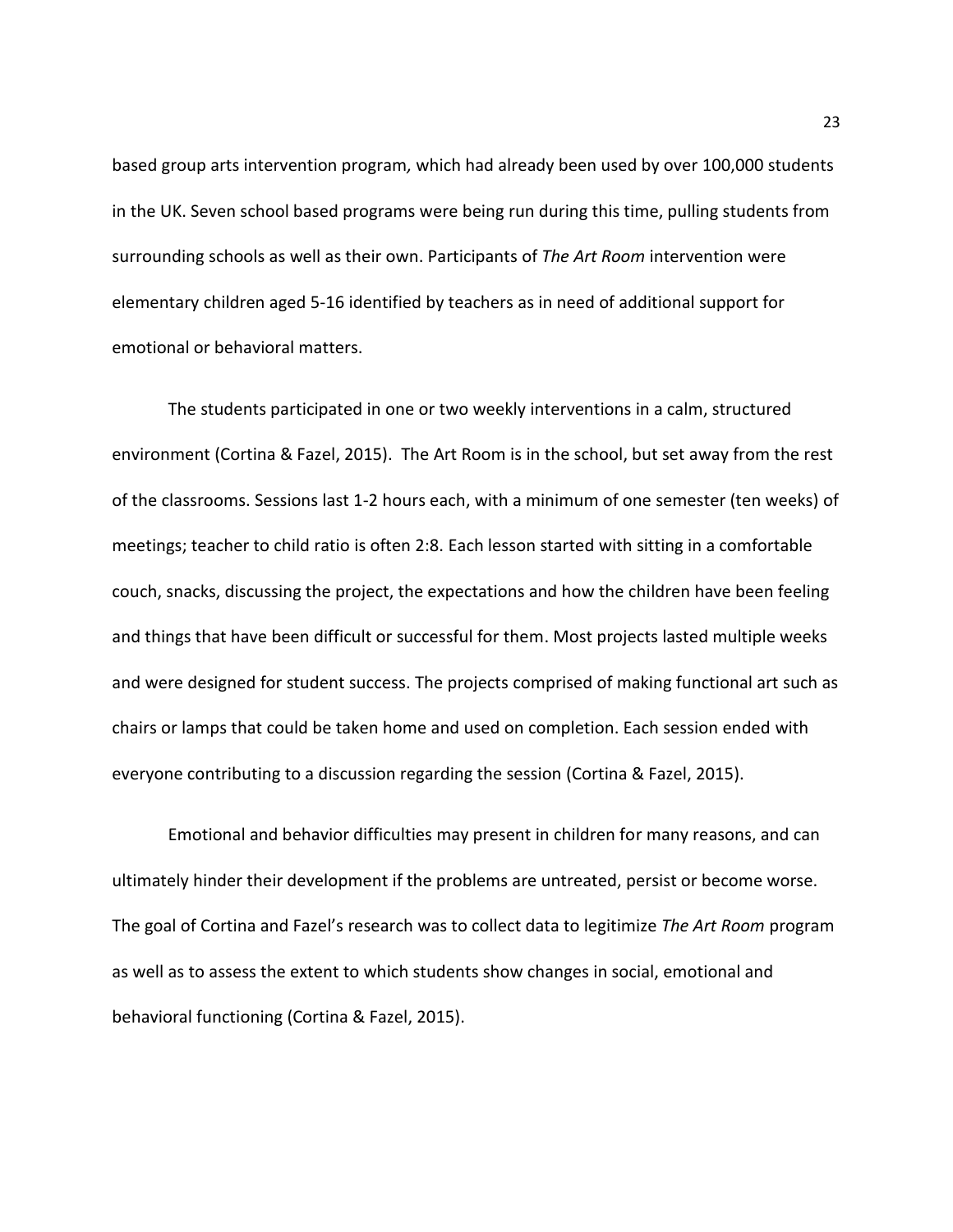based group arts intervention program*,* which had already been used by over 100,000 students in the UK. Seven school based programs were being run during this time, pulling students from surrounding schools as well as their own. Participants of *The Art Room* intervention were elementary children aged 5-16 identified by teachers as in need of additional support for emotional or behavioral matters.

The students participated in one or two weekly interventions in a calm, structured environment (Cortina & Fazel, 2015). The Art Room is in the school, but set away from the rest of the classrooms. Sessions last 1-2 hours each, with a minimum of one semester (ten weeks) of meetings; teacher to child ratio is often 2:8. Each lesson started with sitting in a comfortable couch, snacks, discussing the project, the expectations and how the children have been feeling and things that have been difficult or successful for them. Most projects lasted multiple weeks and were designed for student success. The projects comprised of making functional art such as chairs or lamps that could be taken home and used on completion. Each session ended with everyone contributing to a discussion regarding the session (Cortina & Fazel, 2015).

Emotional and behavior difficulties may present in children for many reasons, and can ultimately hinder their development if the problems are untreated, persist or become worse. The goal of Cortina and Fazel's research was to collect data to legitimize *The Art Room* program as well as to assess the extent to which students show changes in social, emotional and behavioral functioning (Cortina & Fazel, 2015).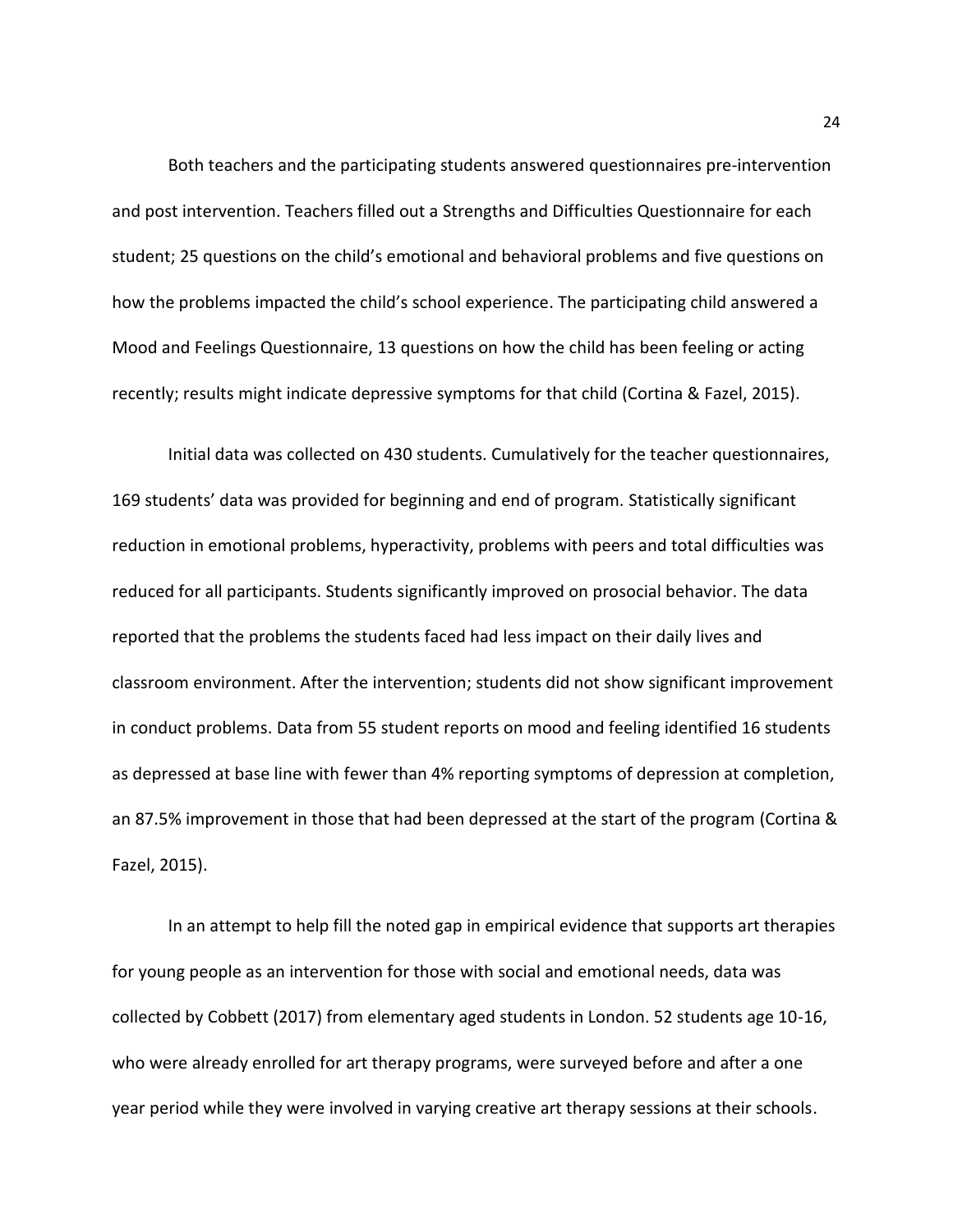Both teachers and the participating students answered questionnaires pre-intervention and post intervention. Teachers filled out a Strengths and Difficulties Questionnaire for each student; 25 questions on the child's emotional and behavioral problems and five questions on how the problems impacted the child's school experience. The participating child answered a Mood and Feelings Questionnaire, 13 questions on how the child has been feeling or acting recently; results might indicate depressive symptoms for that child (Cortina & Fazel, 2015).

Initial data was collected on 430 students. Cumulatively for the teacher questionnaires, 169 students' data was provided for beginning and end of program. Statistically significant reduction in emotional problems, hyperactivity, problems with peers and total difficulties was reduced for all participants. Students significantly improved on prosocial behavior. The data reported that the problems the students faced had less impact on their daily lives and classroom environment. After the intervention; students did not show significant improvement in conduct problems. Data from 55 student reports on mood and feeling identified 16 students as depressed at base line with fewer than 4% reporting symptoms of depression at completion, an 87.5% improvement in those that had been depressed at the start of the program (Cortina & Fazel, 2015).

In an attempt to help fill the noted gap in empirical evidence that supports art therapies for young people as an intervention for those with social and emotional needs, data was collected by Cobbett (2017) from elementary aged students in London. 52 students age 10-16, who were already enrolled for art therapy programs, were surveyed before and after a one year period while they were involved in varying creative art therapy sessions at their schools.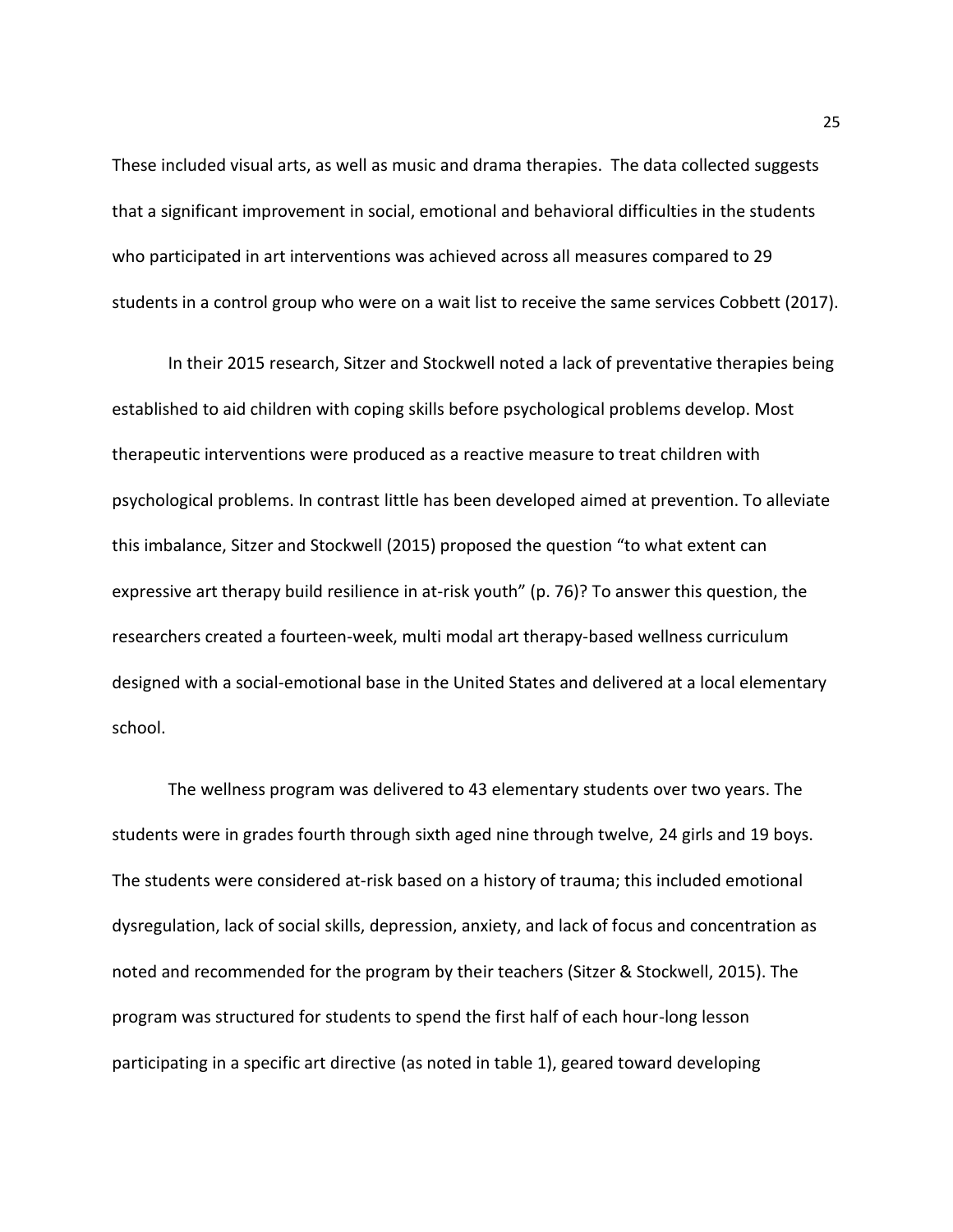These included visual arts, as well as music and drama therapies. The data collected suggests that a significant improvement in social, emotional and behavioral difficulties in the students who participated in art interventions was achieved across all measures compared to 29 students in a control group who were on a wait list to receive the same services Cobbett (2017).

In their 2015 research, Sitzer and Stockwell noted a lack of preventative therapies being established to aid children with coping skills before psychological problems develop. Most therapeutic interventions were produced as a reactive measure to treat children with psychological problems. In contrast little has been developed aimed at prevention. To alleviate this imbalance, Sitzer and Stockwell (2015) proposed the question "to what extent can expressive art therapy build resilience in at-risk youth" (p. 76)? To answer this question, the researchers created a fourteen-week, multi modal art therapy-based wellness curriculum designed with a social-emotional base in the United States and delivered at a local elementary school.

The wellness program was delivered to 43 elementary students over two years. The students were in grades fourth through sixth aged nine through twelve, 24 girls and 19 boys. The students were considered at-risk based on a history of trauma; this included emotional dysregulation, lack of social skills, depression, anxiety, and lack of focus and concentration as noted and recommended for the program by their teachers (Sitzer & Stockwell, 2015). The program was structured for students to spend the first half of each hour-long lesson participating in a specific art directive (as noted in table 1), geared toward developing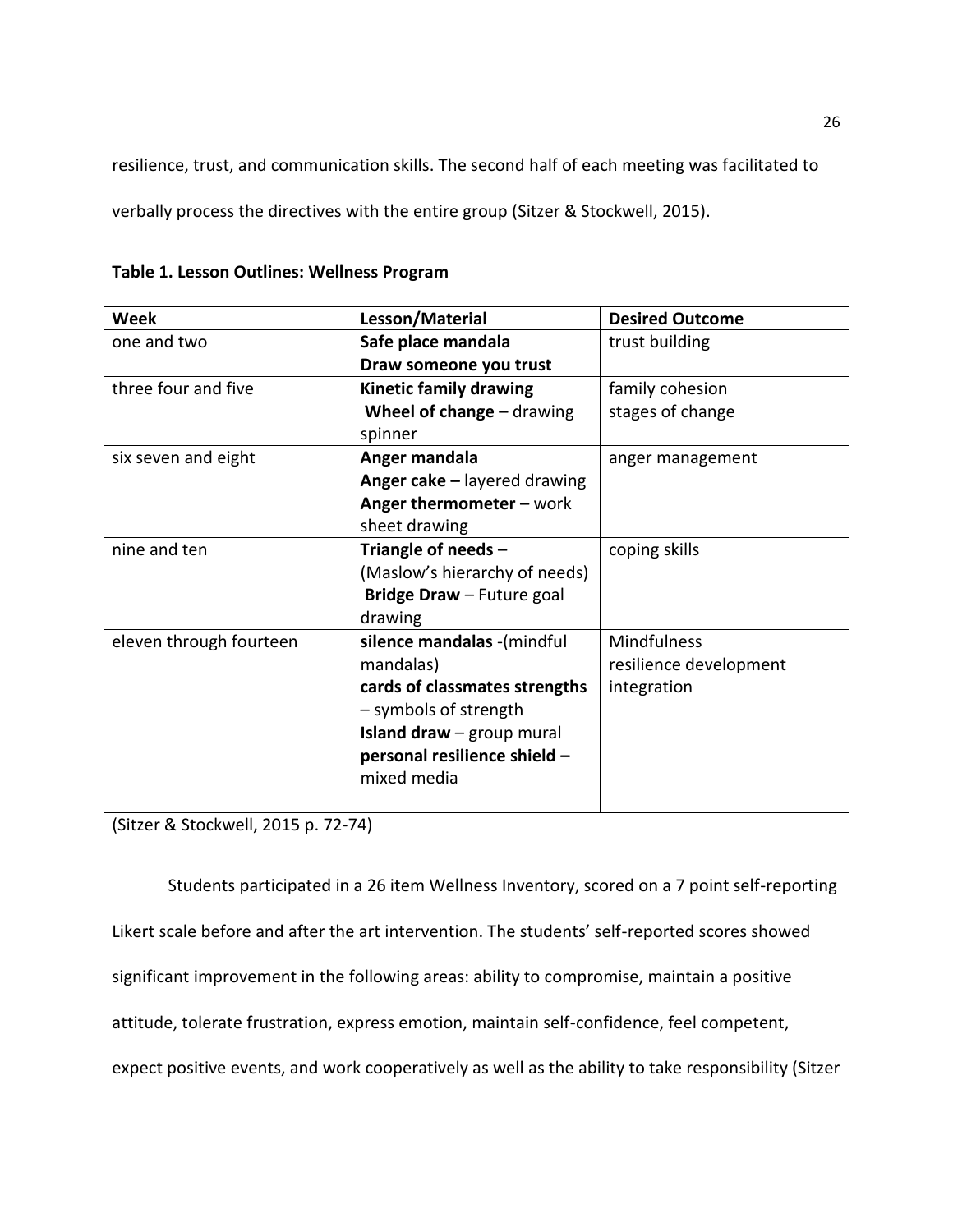resilience, trust, and communication skills. The second half of each meeting was facilitated to

verbally process the directives with the entire group (Sitzer & Stockwell, 2015).

| <b>Week</b>             | Lesson/Material                    | <b>Desired Outcome</b> |  |
|-------------------------|------------------------------------|------------------------|--|
| one and two             | Safe place mandala                 | trust building         |  |
|                         | Draw someone you trust             |                        |  |
| three four and five     | <b>Kinetic family drawing</b>      | family cohesion        |  |
|                         | Wheel of change $-$ drawing        | stages of change       |  |
|                         | spinner                            |                        |  |
| six seven and eight     | Anger mandala                      | anger management       |  |
|                         | Anger cake - layered drawing       |                        |  |
|                         | Anger thermometer - work           |                        |  |
|                         | sheet drawing                      |                        |  |
| nine and ten            | Triangle of needs $-$              | coping skills          |  |
|                         | (Maslow's hierarchy of needs)      |                        |  |
|                         | Bridge Draw - Future goal          |                        |  |
|                         | drawing                            |                        |  |
| eleven through fourteen | silence mandalas - (mindful        | Mindfulness            |  |
|                         | mandalas)                          | resilience development |  |
|                         | cards of classmates strengths      | integration            |  |
|                         | - symbols of strength              |                        |  |
|                         | <b>Island draw</b> $-$ group mural |                        |  |
|                         | personal resilience shield -       |                        |  |
|                         | mixed media                        |                        |  |
|                         |                                    |                        |  |

**Table 1. Lesson Outlines: Wellness Program** 

(Sitzer & Stockwell, 2015 p. 72-74)

Students participated in a 26 item Wellness Inventory, scored on a 7 point self-reporting Likert scale before and after the art intervention. The students' self-reported scores showed significant improvement in the following areas: ability to compromise, maintain a positive attitude, tolerate frustration, express emotion, maintain self-confidence, feel competent, expect positive events, and work cooperatively as well as the ability to take responsibility (Sitzer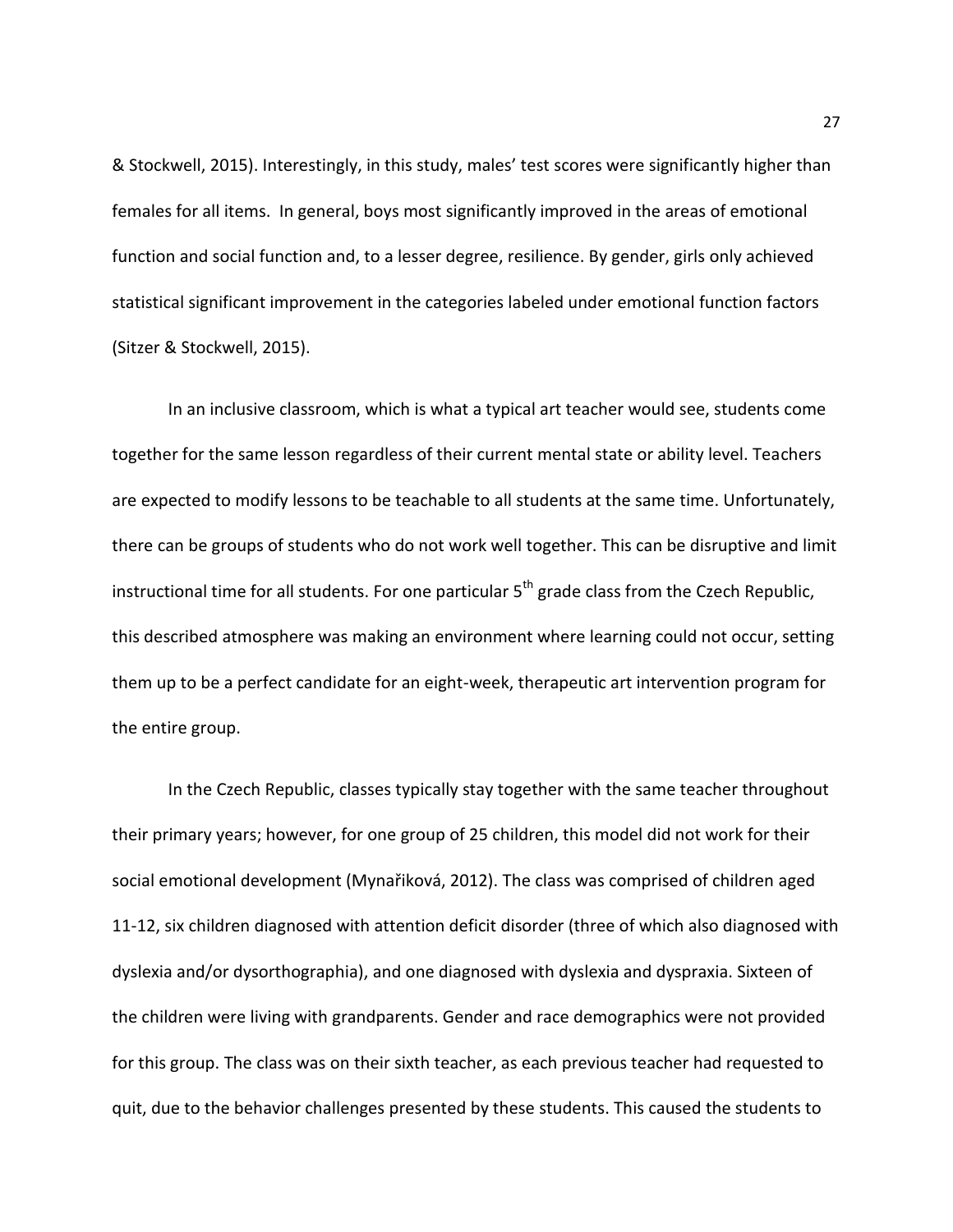& Stockwell, 2015). Interestingly, in this study, males' test scores were significantly higher than females for all items. In general, boys most significantly improved in the areas of emotional function and social function and, to a lesser degree, resilience. By gender, girls only achieved statistical significant improvement in the categories labeled under emotional function factors (Sitzer & Stockwell, 2015).

 In an inclusive classroom, which is what a typical art teacher would see, students come together for the same lesson regardless of their current mental state or ability level. Teachers are expected to modify lessons to be teachable to all students at the same time. Unfortunately, there can be groups of students who do not work well together. This can be disruptive and limit instructional time for all students. For one particular  $5<sup>th</sup>$  grade class from the Czech Republic, this described atmosphere was making an environment where learning could not occur, setting them up to be a perfect candidate for an eight-week, therapeutic art intervention program for the entire group.

 In the Czech Republic, classes typically stay together with the same teacher throughout their primary years; however, for one group of 25 children, this model did not work for their social emotional development (Mynařiková, 2012). The class was comprised of children aged 11-12, six children diagnosed with attention deficit disorder (three of which also diagnosed with dyslexia and/or dysorthographia), and one diagnosed with dyslexia and dyspraxia. Sixteen of the children were living with grandparents. Gender and race demographics were not provided for this group. The class was on their sixth teacher, as each previous teacher had requested to quit, due to the behavior challenges presented by these students. This caused the students to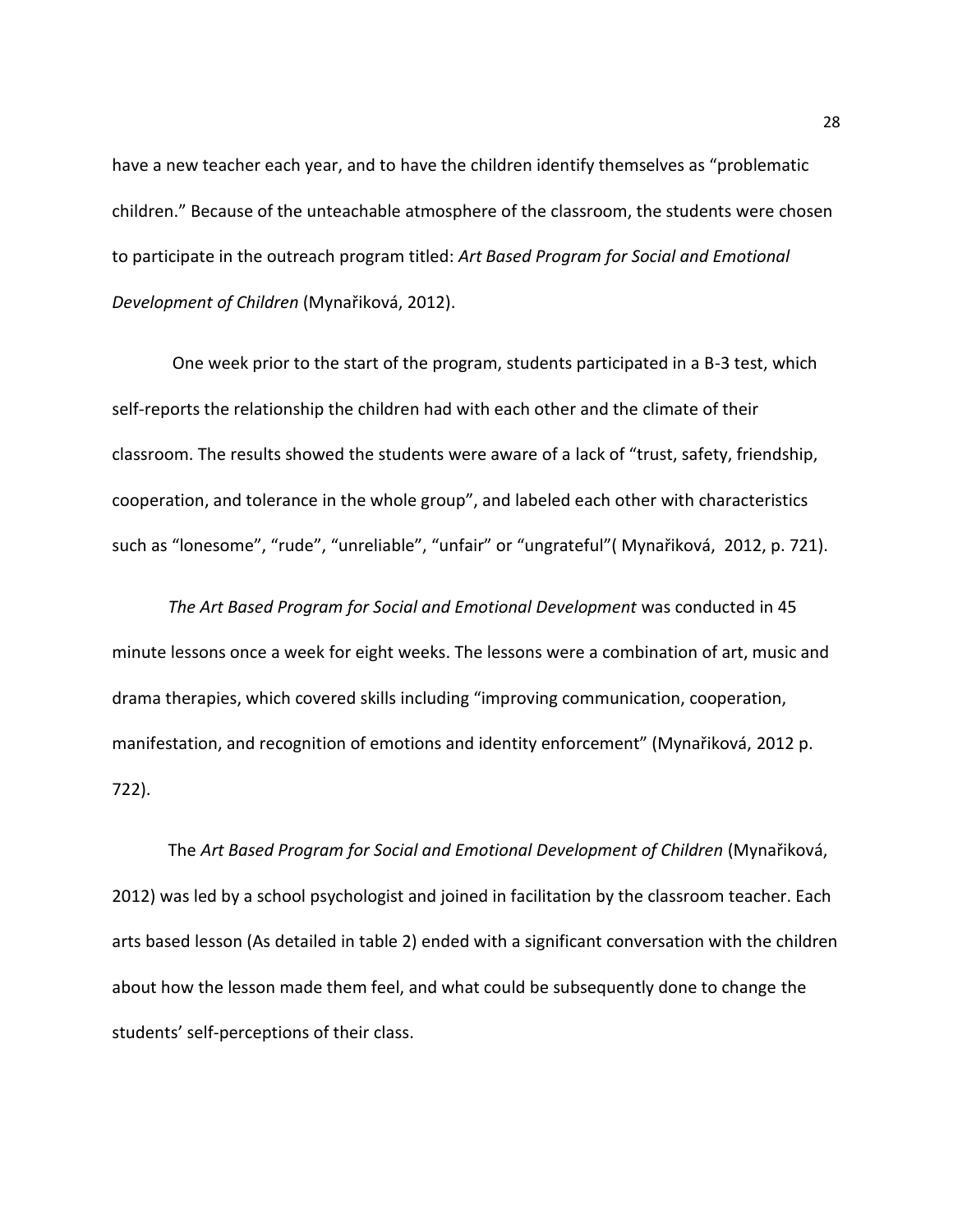have a new teacher each year, and to have the children identify themselves as "problematic children." Because of the unteachable atmosphere of the classroom, the students were chosen to participate in the outreach program titled: *Art Based Program for Social and Emotional Development of Children* (Mynařiková, 2012).

 One week prior to the start of the program, students participated in a B-3 test, which self-reports the relationship the children had with each other and the climate of their classroom. The results showed the students were aware of a lack of "trust, safety, friendship, cooperation, and tolerance in the whole group", and labeled each other with characteristics such as "lonesome", "rude", "unreliable", "unfair" or "ungrateful"( Mynařiková, 2012, p. 721).

 *The Art Based Program for Social and Emotional Development* was conducted in 45 minute lessons once a week for eight weeks. The lessons were a combination of art, music and drama therapies, which covered skills including "improving communication, cooperation, manifestation, and recognition of emotions and identity enforcement" (Mynařiková, 2012 p. 722).

The *Art Based Program for Social and Emotional Development of Children* (Mynařiková, 2012) was led by a school psychologist and joined in facilitation by the classroom teacher. Each arts based lesson (As detailed in table 2) ended with a significant conversation with the children about how the lesson made them feel, and what could be subsequently done to change the students' self-perceptions of their class.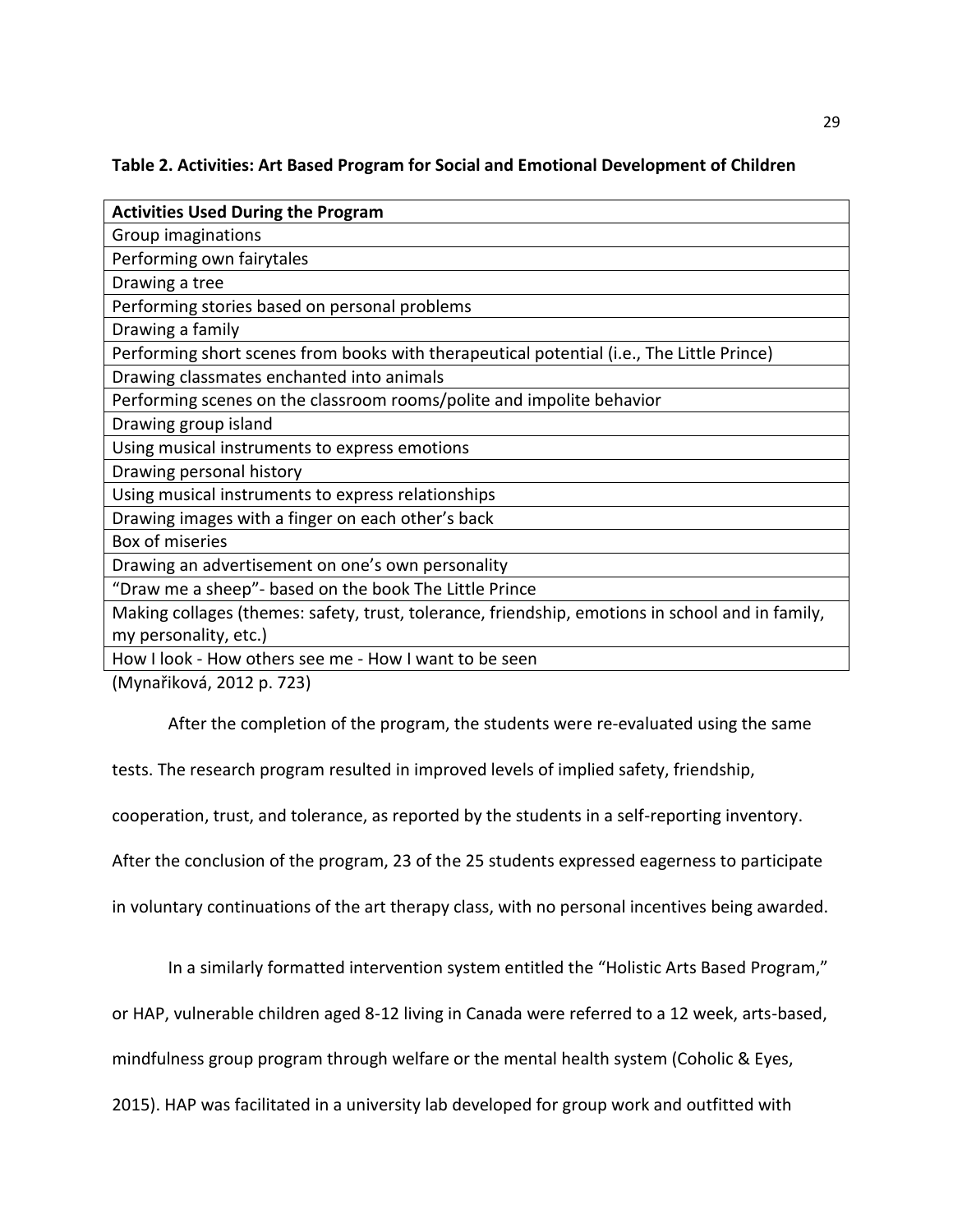# **Table 2. Activities: Art Based Program for Social and Emotional Development of Children**

| <b>Activities Used During the Program</b>                                                        |
|--------------------------------------------------------------------------------------------------|
| Group imaginations                                                                               |
| Performing own fairytales                                                                        |
| Drawing a tree                                                                                   |
| Performing stories based on personal problems                                                    |
| Drawing a family                                                                                 |
| Performing short scenes from books with therapeutical potential (i.e., The Little Prince)        |
| Drawing classmates enchanted into animals                                                        |
| Performing scenes on the classroom rooms/polite and impolite behavior                            |
| Drawing group island                                                                             |
| Using musical instruments to express emotions                                                    |
| Drawing personal history                                                                         |
| Using musical instruments to express relationships                                               |
| Drawing images with a finger on each other's back                                                |
| Box of miseries                                                                                  |
| Drawing an advertisement on one's own personality                                                |
| "Draw me a sheep"- based on the book The Little Prince                                           |
| Making collages (themes: safety, trust, tolerance, friendship, emotions in school and in family, |
| my personality, etc.)                                                                            |
| How I look - How others see me - How I want to be seen                                           |

(Mynařiková, 2012 p. 723)

After the completion of the program, the students were re-evaluated using the same

tests. The research program resulted in improved levels of implied safety, friendship,

cooperation, trust, and tolerance, as reported by the students in a self-reporting inventory.

After the conclusion of the program, 23 of the 25 students expressed eagerness to participate

in voluntary continuations of the art therapy class, with no personal incentives being awarded.

In a similarly formatted intervention system entitled the "Holistic Arts Based Program,"

or HAP, vulnerable children aged 8-12 living in Canada were referred to a 12 week, arts-based,

mindfulness group program through welfare or the mental health system (Coholic & Eyes,

2015). HAP was facilitated in a university lab developed for group work and outfitted with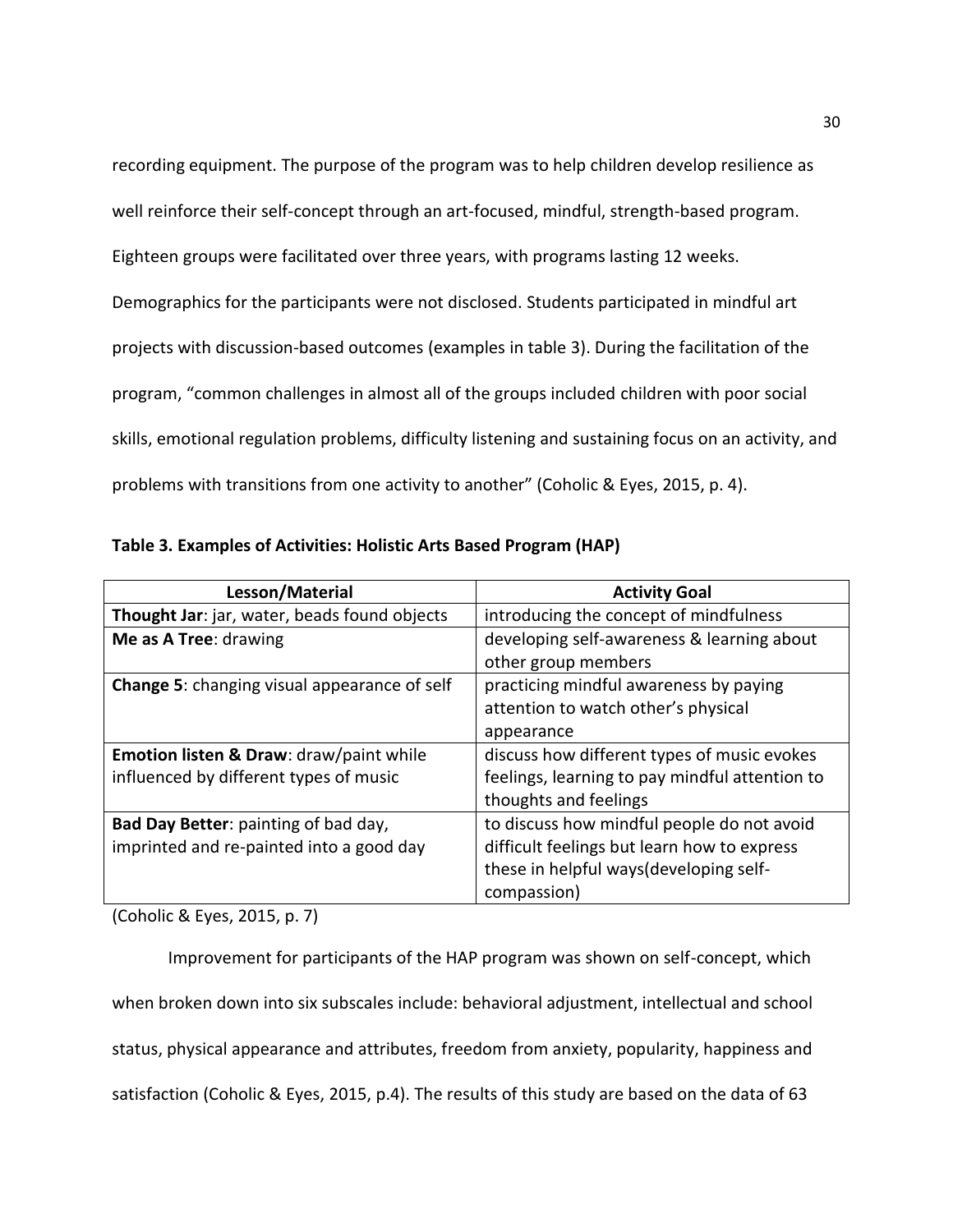recording equipment. The purpose of the program was to help children develop resilience as well reinforce their self-concept through an art-focused, mindful, strength-based program. Eighteen groups were facilitated over three years, with programs lasting 12 weeks. Demographics for the participants were not disclosed. Students participated in mindful art projects with discussion-based outcomes (examples in table 3). During the facilitation of the program, "common challenges in almost all of the groups included children with poor social skills, emotional regulation problems, difficulty listening and sustaining focus on an activity, and problems with transitions from one activity to another" (Coholic & Eyes, 2015, p. 4).

| Lesson/Material                                    | <b>Activity Goal</b>                           |  |
|----------------------------------------------------|------------------------------------------------|--|
| Thought Jar: jar, water, beads found objects       | introducing the concept of mindfulness         |  |
| Me as A Tree: drawing                              | developing self-awareness & learning about     |  |
|                                                    | other group members                            |  |
| Change 5: changing visual appearance of self       | practicing mindful awareness by paying         |  |
|                                                    | attention to watch other's physical            |  |
|                                                    | appearance                                     |  |
| <b>Emotion listen &amp; Draw: draw/paint while</b> | discuss how different types of music evokes    |  |
| influenced by different types of music             | feelings, learning to pay mindful attention to |  |
|                                                    | thoughts and feelings                          |  |
| Bad Day Better: painting of bad day,               | to discuss how mindful people do not avoid     |  |
| imprinted and re-painted into a good day           | difficult feelings but learn how to express    |  |
|                                                    | these in helpful ways(developing self-         |  |
|                                                    | compassion)                                    |  |

**Table 3. Examples of Activities: Holistic Arts Based Program (HAP)** 

(Coholic & Eyes, 2015, p. 7)

Improvement for participants of the HAP program was shown on self-concept, which when broken down into six subscales include: behavioral adjustment, intellectual and school status, physical appearance and attributes, freedom from anxiety, popularity, happiness and satisfaction (Coholic & Eyes, 2015, p.4). The results of this study are based on the data of 63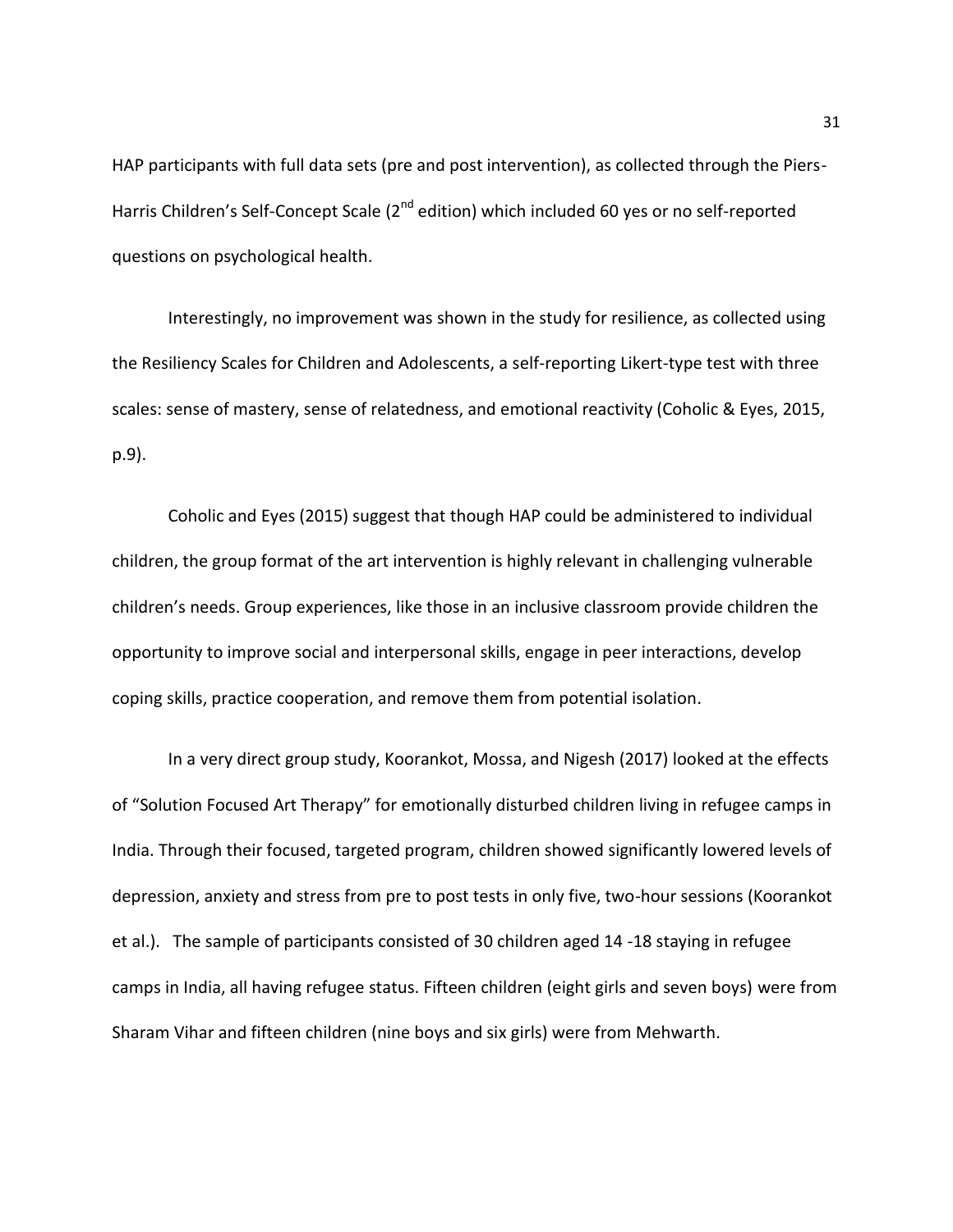HAP participants with full data sets (pre and post intervention), as collected through the Piers-Harris Children's Self-Concept Scale (2<sup>nd</sup> edition) which included 60 yes or no self-reported questions on psychological health.

Interestingly, no improvement was shown in the study for resilience, as collected using the Resiliency Scales for Children and Adolescents, a self-reporting Likert-type test with three scales: sense of mastery, sense of relatedness, and emotional reactivity (Coholic & Eyes, 2015, p.9).

 Coholic and Eyes (2015) suggest that though HAP could be administered to individual children, the group format of the art intervention is highly relevant in challenging vulnerable children's needs. Group experiences, like those in an inclusive classroom provide children the opportunity to improve social and interpersonal skills, engage in peer interactions, develop coping skills, practice cooperation, and remove them from potential isolation.

In a very direct group study, Koorankot, Mossa, and Nigesh (2017) looked at the effects of "Solution Focused Art Therapy" for emotionally disturbed children living in refugee camps in India. Through their focused, targeted program, children showed significantly lowered levels of depression, anxiety and stress from pre to post tests in only five, two-hour sessions (Koorankot et al.). The sample of participants consisted of 30 children aged 14 -18 staying in refugee camps in India, all having refugee status. Fifteen children (eight girls and seven boys) were from Sharam Vihar and fifteen children (nine boys and six girls) were from Mehwarth.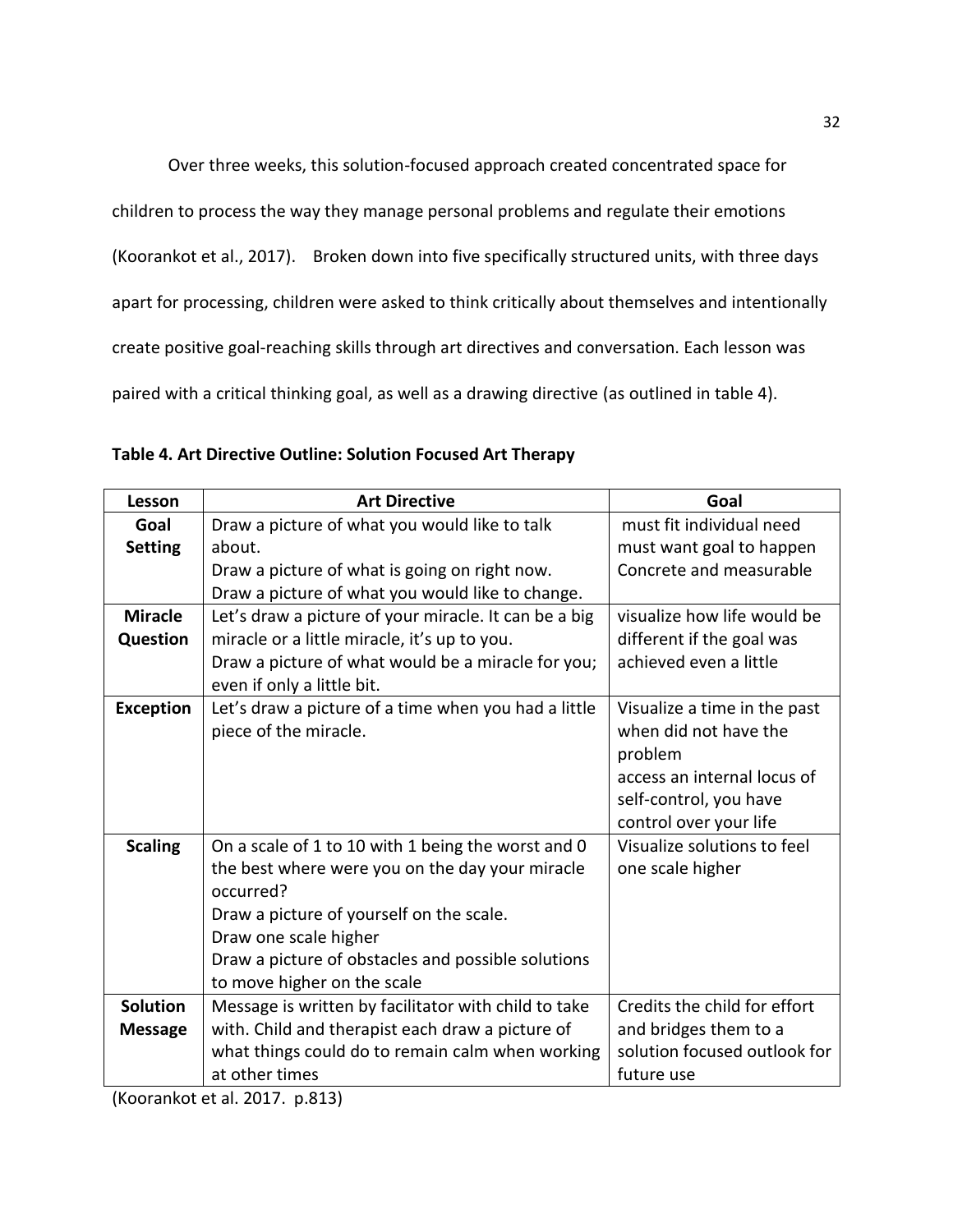Over three weeks, this solution-focused approach created concentrated space for children to process the way they manage personal problems and regulate their emotions (Koorankot et al., 2017). Broken down into five specifically structured units, with three days apart for processing, children were asked to think critically about themselves and intentionally create positive goal-reaching skills through art directives and conversation. Each lesson was paired with a critical thinking goal, as well as a drawing directive (as outlined in table 4).

| Lesson                                                                   | <b>Art Directive</b>                                  | Goal                         |  |
|--------------------------------------------------------------------------|-------------------------------------------------------|------------------------------|--|
| Goal                                                                     | Draw a picture of what you would like to talk         | must fit individual need     |  |
| <b>Setting</b>                                                           | about.                                                | must want goal to happen     |  |
|                                                                          | Draw a picture of what is going on right now.         | Concrete and measurable      |  |
|                                                                          | Draw a picture of what you would like to change.      |                              |  |
| <b>Miracle</b>                                                           | Let's draw a picture of your miracle. It can be a big | visualize how life would be  |  |
| miracle or a little miracle, it's up to you.<br><b>Question</b>          |                                                       | different if the goal was    |  |
| Draw a picture of what would be a miracle for you;                       |                                                       | achieved even a little       |  |
|                                                                          | even if only a little bit.                            |                              |  |
| <b>Exception</b><br>Let's draw a picture of a time when you had a little |                                                       | Visualize a time in the past |  |
|                                                                          | piece of the miracle.                                 | when did not have the        |  |
|                                                                          |                                                       | problem                      |  |
|                                                                          |                                                       | access an internal locus of  |  |
|                                                                          |                                                       | self-control, you have       |  |
|                                                                          |                                                       | control over your life       |  |
| <b>Scaling</b>                                                           | On a scale of 1 to 10 with 1 being the worst and 0    | Visualize solutions to feel  |  |
|                                                                          | the best where were you on the day your miracle       | one scale higher             |  |
|                                                                          | occurred?                                             |                              |  |
|                                                                          | Draw a picture of yourself on the scale.              |                              |  |
|                                                                          | Draw one scale higher                                 |                              |  |
|                                                                          | Draw a picture of obstacles and possible solutions    |                              |  |
|                                                                          | to move higher on the scale                           |                              |  |
| <b>Solution</b>                                                          | Message is written by facilitator with child to take  | Credits the child for effort |  |
| <b>Message</b>                                                           | with. Child and therapist each draw a picture of      | and bridges them to a        |  |
|                                                                          | what things could do to remain calm when working      | solution focused outlook for |  |
|                                                                          | at other times                                        | future use                   |  |

| Table 4. Art Directive Outline: Solution Focused Art Therapy |  |  |  |  |
|--------------------------------------------------------------|--|--|--|--|
|--------------------------------------------------------------|--|--|--|--|

(Koorankot et al. 2017. p.813)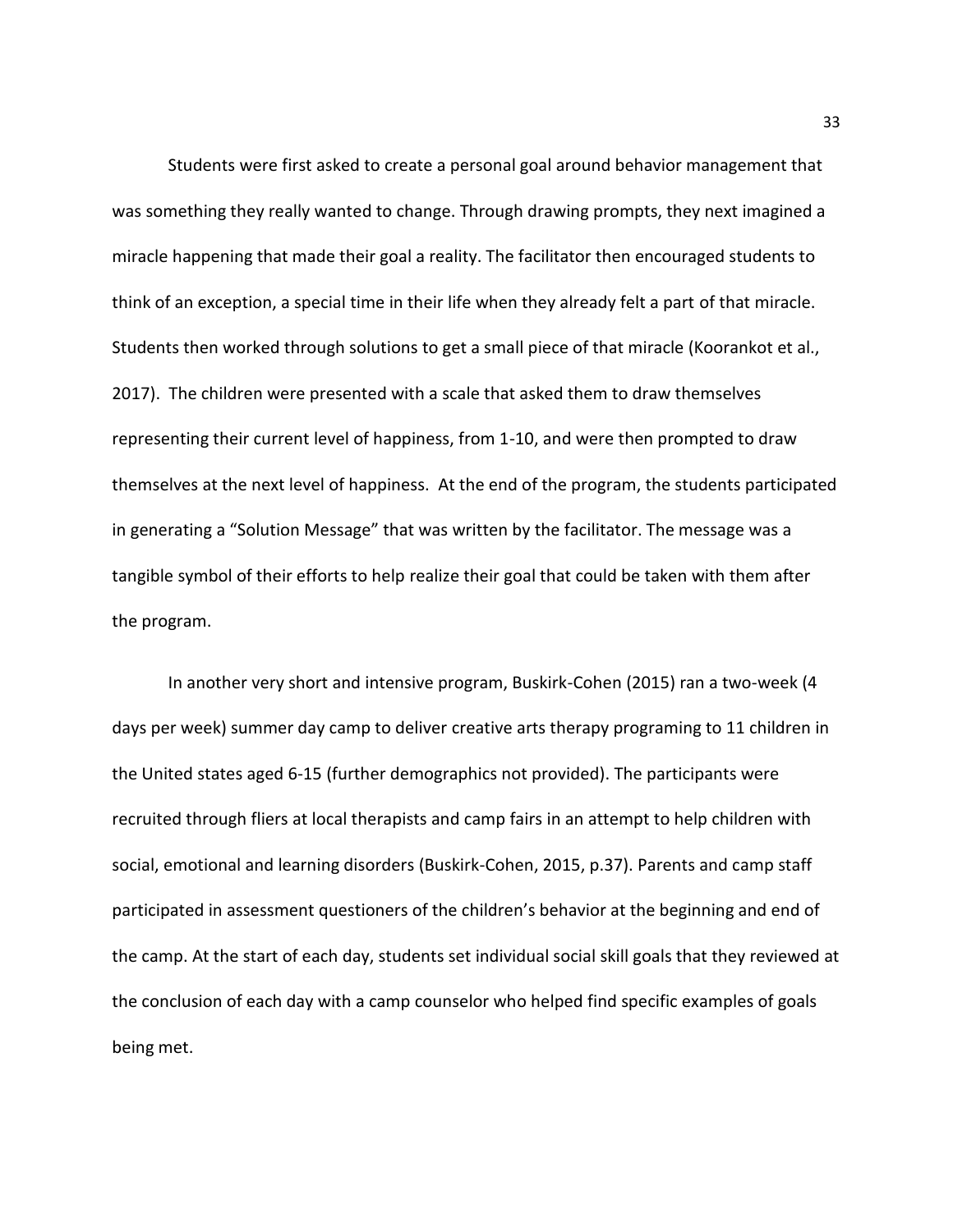Students were first asked to create a personal goal around behavior management that was something they really wanted to change. Through drawing prompts, they next imagined a miracle happening that made their goal a reality. The facilitator then encouraged students to think of an exception, a special time in their life when they already felt a part of that miracle. Students then worked through solutions to get a small piece of that miracle (Koorankot et al., 2017). The children were presented with a scale that asked them to draw themselves representing their current level of happiness, from 1-10, and were then prompted to draw themselves at the next level of happiness. At the end of the program, the students participated in generating a "Solution Message" that was written by the facilitator. The message was a tangible symbol of their efforts to help realize their goal that could be taken with them after the program.

In another very short and intensive program, Buskirk-Cohen (2015) ran a two-week (4 days per week) summer day camp to deliver creative arts therapy programing to 11 children in the United states aged 6-15 (further demographics not provided). The participants were recruited through fliers at local therapists and camp fairs in an attempt to help children with social, emotional and learning disorders (Buskirk-Cohen, 2015, p.37). Parents and camp staff participated in assessment questioners of the children's behavior at the beginning and end of the camp. At the start of each day, students set individual social skill goals that they reviewed at the conclusion of each day with a camp counselor who helped find specific examples of goals being met.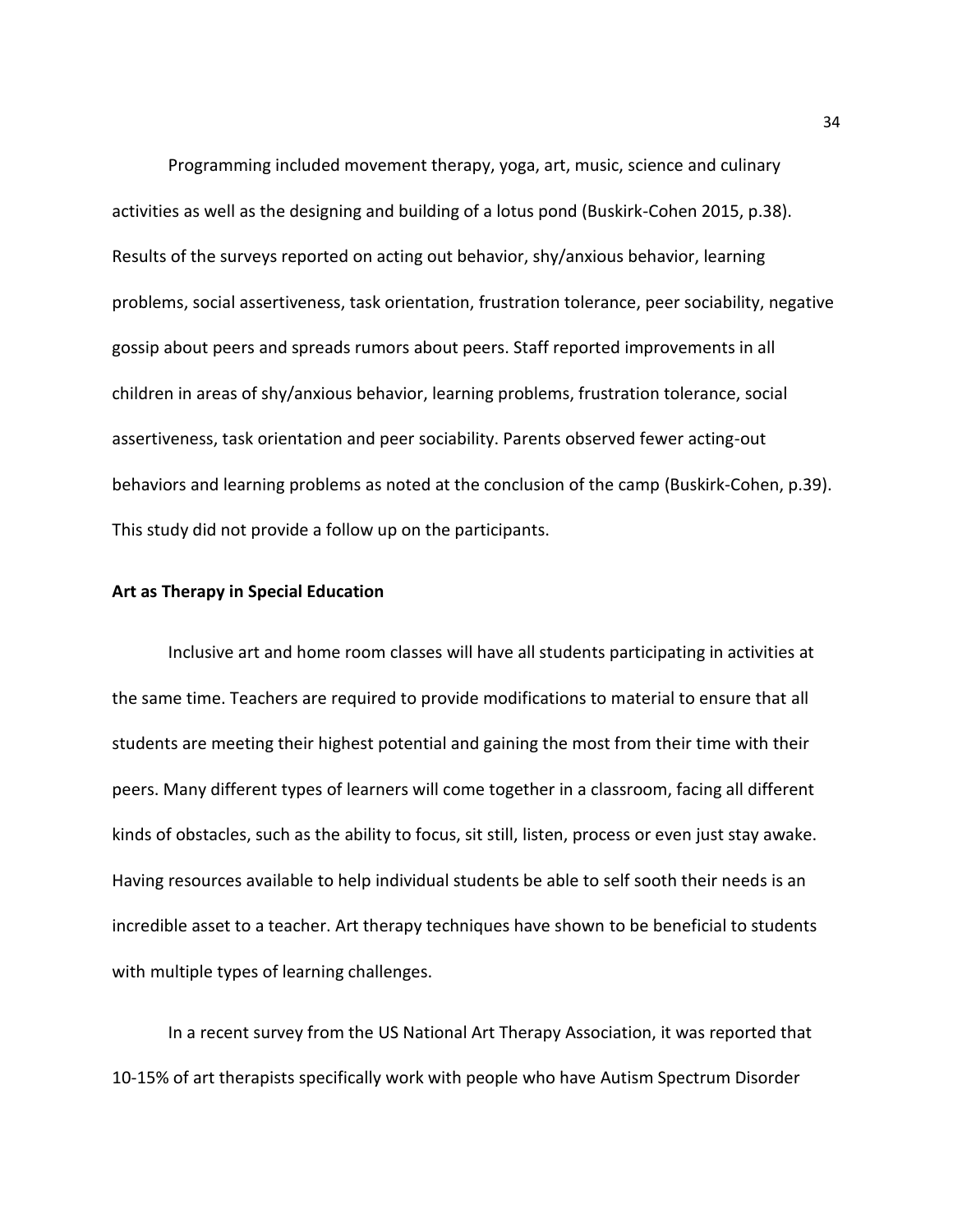Programming included movement therapy, yoga, art, music, science and culinary activities as well as the designing and building of a lotus pond (Buskirk-Cohen 2015, p.38). Results of the surveys reported on acting out behavior, shy/anxious behavior, learning problems, social assertiveness, task orientation, frustration tolerance, peer sociability, negative gossip about peers and spreads rumors about peers. Staff reported improvements in all children in areas of shy/anxious behavior, learning problems, frustration tolerance, social assertiveness, task orientation and peer sociability. Parents observed fewer acting-out behaviors and learning problems as noted at the conclusion of the camp (Buskirk-Cohen, p.39). This study did not provide a follow up on the participants.

#### **Art as Therapy in Special Education**

Inclusive art and home room classes will have all students participating in activities at the same time. Teachers are required to provide modifications to material to ensure that all students are meeting their highest potential and gaining the most from their time with their peers. Many different types of learners will come together in a classroom, facing all different kinds of obstacles, such as the ability to focus, sit still, listen, process or even just stay awake. Having resources available to help individual students be able to self sooth their needs is an incredible asset to a teacher. Art therapy techniques have shown to be beneficial to students with multiple types of learning challenges.

In a recent survey from the US National Art Therapy Association, it was reported that 10-15% of art therapists specifically work with people who have Autism Spectrum Disorder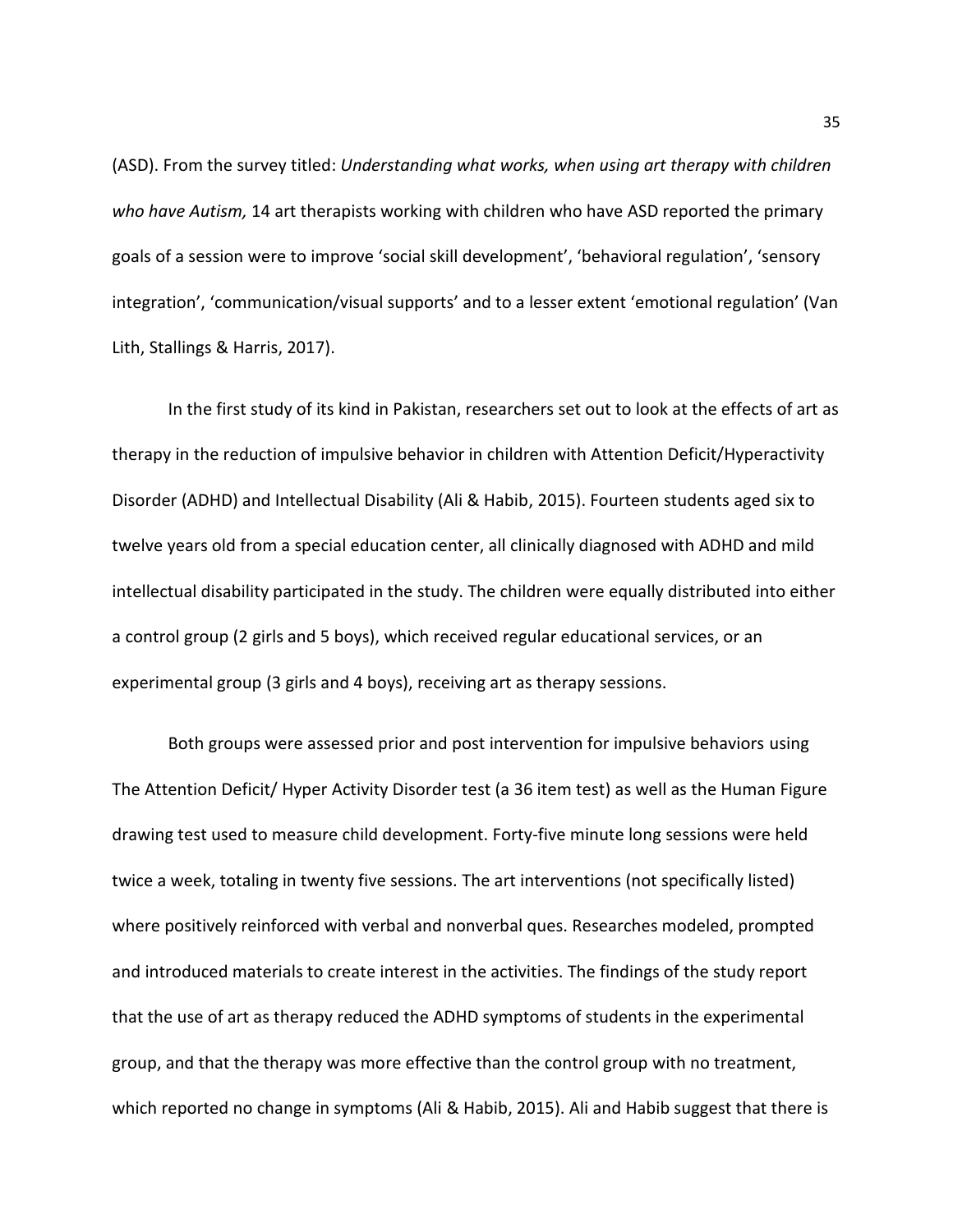(ASD). From the survey titled: *Understanding what works, when using art therapy with children who have Autism,* 14 art therapists working with children who have ASD reported the primary goals of a session were to improve 'social skill development', 'behavioral regulation', 'sensory integration', 'communication/visual supports' and to a lesser extent 'emotional regulation' (Van Lith, Stallings & Harris, 2017).

In the first study of its kind in Pakistan, researchers set out to look at the effects of art as therapy in the reduction of impulsive behavior in children with Attention Deficit/Hyperactivity Disorder (ADHD) and Intellectual Disability (Ali & Habib, 2015). Fourteen students aged six to twelve years old from a special education center, all clinically diagnosed with ADHD and mild intellectual disability participated in the study. The children were equally distributed into either a control group (2 girls and 5 boys), which received regular educational services, or an experimental group (3 girls and 4 boys), receiving art as therapy sessions.

Both groups were assessed prior and post intervention for impulsive behaviors using The Attention Deficit/ Hyper Activity Disorder test (a 36 item test) as well as the Human Figure drawing test used to measure child development. Forty-five minute long sessions were held twice a week, totaling in twenty five sessions. The art interventions (not specifically listed) where positively reinforced with verbal and nonverbal ques. Researches modeled, prompted and introduced materials to create interest in the activities. The findings of the study report that the use of art as therapy reduced the ADHD symptoms of students in the experimental group, and that the therapy was more effective than the control group with no treatment, which reported no change in symptoms (Ali & Habib, 2015). Ali and Habib suggest that there is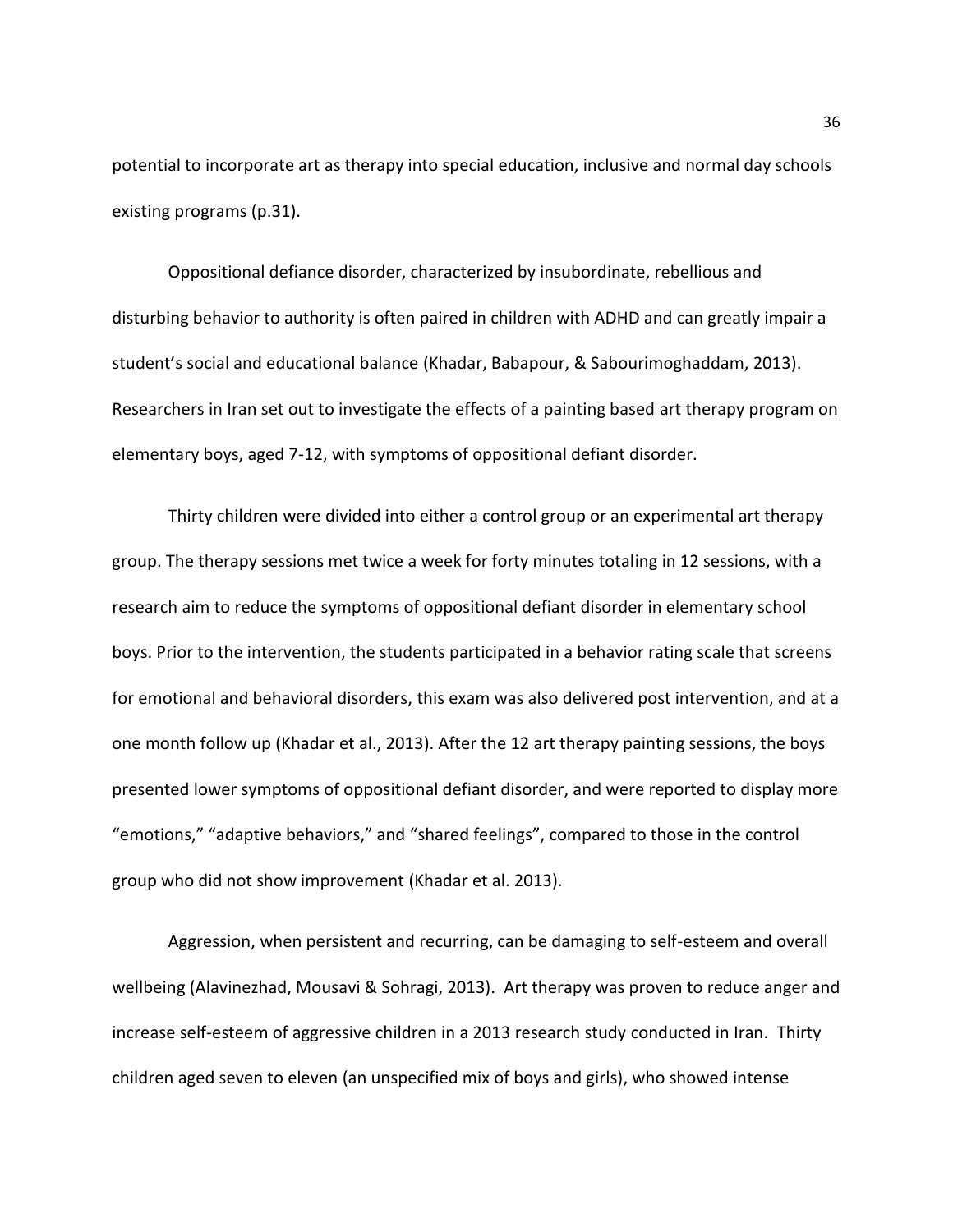potential to incorporate art as therapy into special education, inclusive and normal day schools existing programs (p.31).

Oppositional defiance disorder, characterized by insubordinate, rebellious and disturbing behavior to authority is often paired in children with ADHD and can greatly impair a student's social and educational balance (Khadar, Babapour, & Sabourimoghaddam, 2013). Researchers in Iran set out to investigate the effects of a painting based art therapy program on elementary boys, aged 7-12, with symptoms of oppositional defiant disorder.

Thirty children were divided into either a control group or an experimental art therapy group. The therapy sessions met twice a week for forty minutes totaling in 12 sessions, with a research aim to reduce the symptoms of oppositional defiant disorder in elementary school boys. Prior to the intervention, the students participated in a behavior rating scale that screens for emotional and behavioral disorders, this exam was also delivered post intervention, and at a one month follow up (Khadar et al., 2013). After the 12 art therapy painting sessions, the boys presented lower symptoms of oppositional defiant disorder, and were reported to display more "emotions," "adaptive behaviors," and "shared feelings", compared to those in the control group who did not show improvement (Khadar et al. 2013).

Aggression, when persistent and recurring, can be damaging to self-esteem and overall wellbeing (Alavinezhad, Mousavi & Sohragi, 2013). Art therapy was proven to reduce anger and increase self-esteem of aggressive children in a 2013 research study conducted in Iran. Thirty children aged seven to eleven (an unspecified mix of boys and girls), who showed intense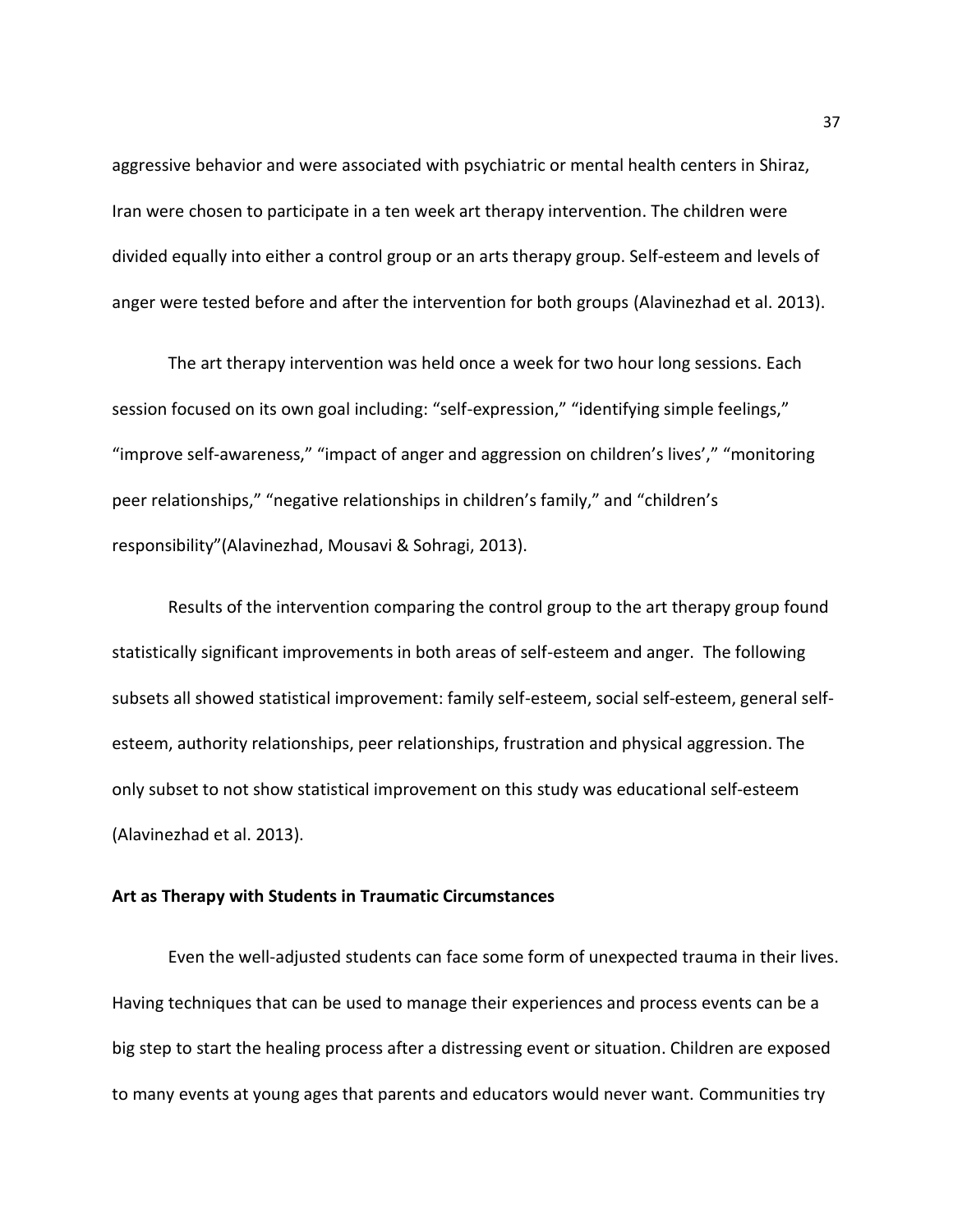aggressive behavior and were associated with psychiatric or mental health centers in Shiraz, Iran were chosen to participate in a ten week art therapy intervention. The children were divided equally into either a control group or an arts therapy group. Self-esteem and levels of anger were tested before and after the intervention for both groups (Alavinezhad et al. 2013).

The art therapy intervention was held once a week for two hour long sessions. Each session focused on its own goal including: "self-expression," "identifying simple feelings," "improve self-awareness," "impact of anger and aggression on children's lives'," "monitoring peer relationships," "negative relationships in children's family," and "children's responsibility"(Alavinezhad, Mousavi & Sohragi, 2013).

 Results of the intervention comparing the control group to the art therapy group found statistically significant improvements in both areas of self-esteem and anger. The following subsets all showed statistical improvement: family self-esteem, social self-esteem, general selfesteem, authority relationships, peer relationships, frustration and physical aggression. The only subset to not show statistical improvement on this study was educational self-esteem (Alavinezhad et al. 2013).

### **Art as Therapy with Students in Traumatic Circumstances**

 Even the well-adjusted students can face some form of unexpected trauma in their lives. Having techniques that can be used to manage their experiences and process events can be a big step to start the healing process after a distressing event or situation. Children are exposed to many events at young ages that parents and educators would never want. Communities try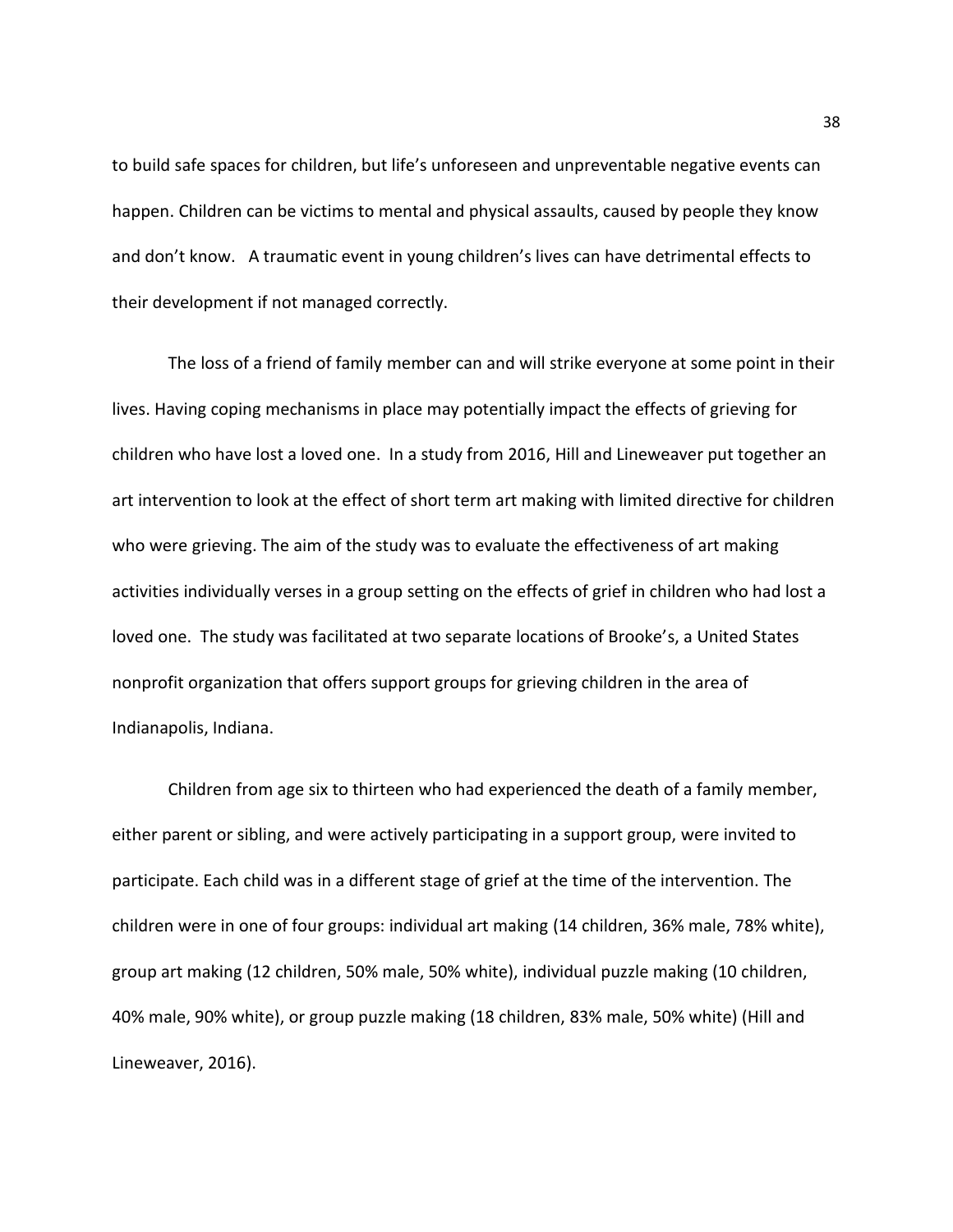to build safe spaces for children, but life's unforeseen and unpreventable negative events can happen. Children can be victims to mental and physical assaults, caused by people they know and don't know. A traumatic event in young children's lives can have detrimental effects to their development if not managed correctly.

The loss of a friend of family member can and will strike everyone at some point in their lives. Having coping mechanisms in place may potentially impact the effects of grieving for children who have lost a loved one. In a study from 2016, Hill and Lineweaver put together an art intervention to look at the effect of short term art making with limited directive for children who were grieving. The aim of the study was to evaluate the effectiveness of art making activities individually verses in a group setting on the effects of grief in children who had lost a loved one. The study was facilitated at two separate locations of Brooke's, a United States nonprofit organization that offers support groups for grieving children in the area of Indianapolis, Indiana.

Children from age six to thirteen who had experienced the death of a family member, either parent or sibling, and were actively participating in a support group, were invited to participate. Each child was in a different stage of grief at the time of the intervention. The children were in one of four groups: individual art making (14 children, 36% male, 78% white), group art making (12 children, 50% male, 50% white), individual puzzle making (10 children, 40% male, 90% white), or group puzzle making (18 children, 83% male, 50% white) (Hill and Lineweaver, 2016).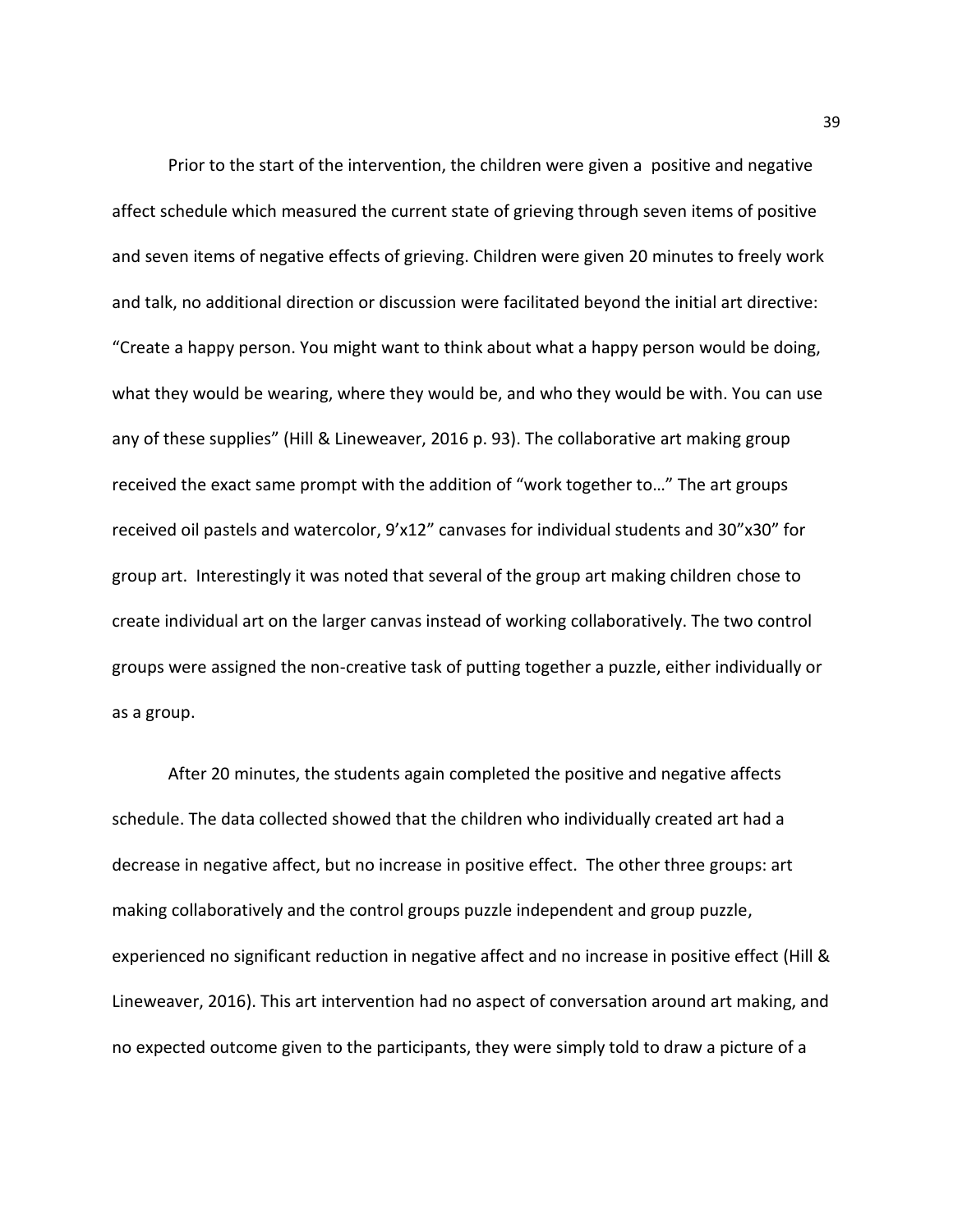Prior to the start of the intervention, the children were given a positive and negative affect schedule which measured the current state of grieving through seven items of positive and seven items of negative effects of grieving. Children were given 20 minutes to freely work and talk, no additional direction or discussion were facilitated beyond the initial art directive: "Create a happy person. You might want to think about what a happy person would be doing, what they would be wearing, where they would be, and who they would be with. You can use any of these supplies" (Hill & Lineweaver, 2016 p. 93). The collaborative art making group received the exact same prompt with the addition of "work together to…" The art groups received oil pastels and watercolor, 9'x12" canvases for individual students and 30"x30" for group art. Interestingly it was noted that several of the group art making children chose to create individual art on the larger canvas instead of working collaboratively. The two control groups were assigned the non-creative task of putting together a puzzle, either individually or as a group.

After 20 minutes, the students again completed the positive and negative affects schedule. The data collected showed that the children who individually created art had a decrease in negative affect, but no increase in positive effect. The other three groups: art making collaboratively and the control groups puzzle independent and group puzzle, experienced no significant reduction in negative affect and no increase in positive effect (Hill & Lineweaver, 2016). This art intervention had no aspect of conversation around art making, and no expected outcome given to the participants, they were simply told to draw a picture of a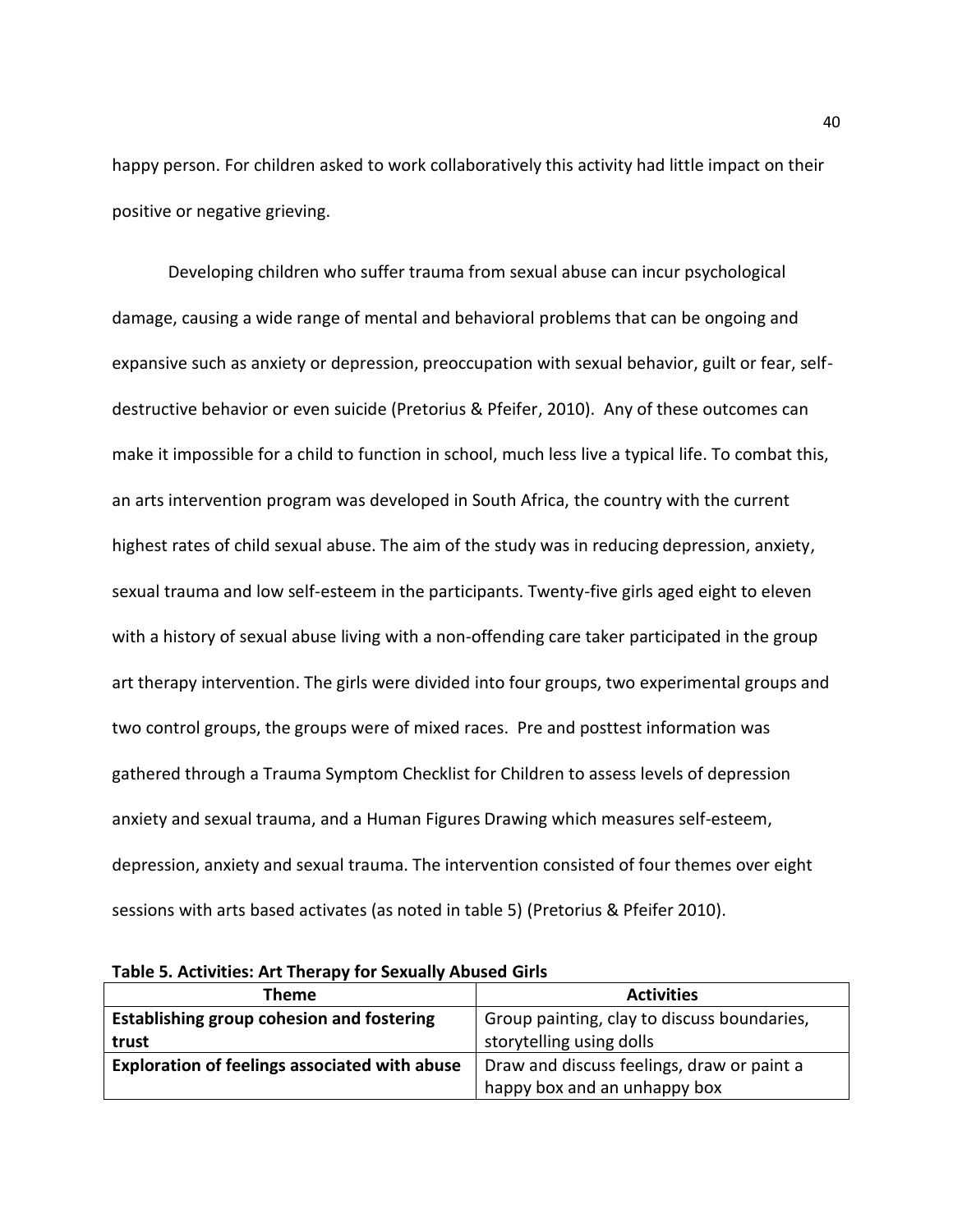happy person. For children asked to work collaboratively this activity had little impact on their positive or negative grieving.

Developing children who suffer trauma from sexual abuse can incur psychological damage, causing a wide range of mental and behavioral problems that can be ongoing and expansive such as anxiety or depression, preoccupation with sexual behavior, guilt or fear, selfdestructive behavior or even suicide (Pretorius & Pfeifer, 2010). Any of these outcomes can make it impossible for a child to function in school, much less live a typical life. To combat this, an arts intervention program was developed in South Africa, the country with the current highest rates of child sexual abuse. The aim of the study was in reducing depression, anxiety, sexual trauma and low self-esteem in the participants. Twenty-five girls aged eight to eleven with a history of sexual abuse living with a non-offending care taker participated in the group art therapy intervention. The girls were divided into four groups, two experimental groups and two control groups, the groups were of mixed races. Pre and posttest information was gathered through a Trauma Symptom Checklist for Children to assess levels of depression anxiety and sexual trauma, and a Human Figures Drawing which measures self-esteem, depression, anxiety and sexual trauma. The intervention consisted of four themes over eight sessions with arts based activates (as noted in table 5) (Pretorius & Pfeifer 2010).

| <b>Theme</b>                                         | <b>Activities</b>                           |
|------------------------------------------------------|---------------------------------------------|
| Establishing group cohesion and fostering            | Group painting, clay to discuss boundaries, |
| trust                                                | storytelling using dolls                    |
| <b>Exploration of feelings associated with abuse</b> | Draw and discuss feelings, draw or paint a  |
|                                                      | happy box and an unhappy box                |

**Table 5. Activities: Art Therapy for Sexually Abused Girls**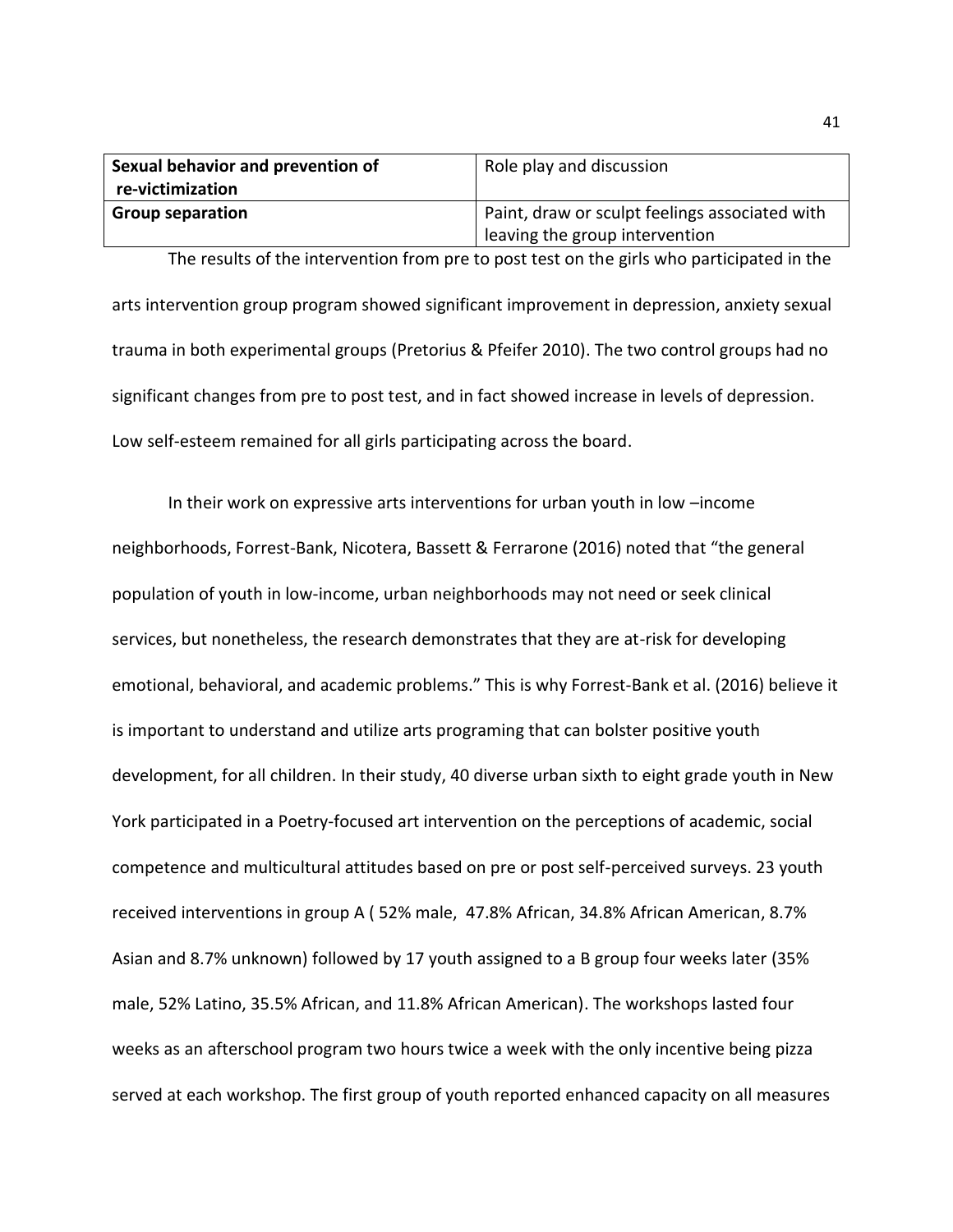| Sexual behavior and prevention of | Role play and discussion                       |
|-----------------------------------|------------------------------------------------|
| re-victimization                  |                                                |
| <b>Group separation</b>           | Paint, draw or sculpt feelings associated with |
|                                   | leaving the group intervention                 |

The results of the intervention from pre to post test on the girls who participated in the arts intervention group program showed significant improvement in depression, anxiety sexual trauma in both experimental groups (Pretorius & Pfeifer 2010). The two control groups had no significant changes from pre to post test, and in fact showed increase in levels of depression. Low self-esteem remained for all girls participating across the board.

In their work on expressive arts interventions for urban youth in low –income neighborhoods, Forrest-Bank, Nicotera, Bassett & Ferrarone (2016) noted that "the general population of youth in low-income, urban neighborhoods may not need or seek clinical services, but nonetheless, the research demonstrates that they are at-risk for developing emotional, behavioral, and academic problems." This is why Forrest-Bank et al. (2016) believe it is important to understand and utilize arts programing that can bolster positive youth development, for all children. In their study, 40 diverse urban sixth to eight grade youth in New York participated in a Poetry-focused art intervention on the perceptions of academic, social competence and multicultural attitudes based on pre or post self-perceived surveys. 23 youth received interventions in group A ( 52% male, 47.8% African, 34.8% African American, 8.7% Asian and 8.7% unknown) followed by 17 youth assigned to a B group four weeks later (35% male, 52% Latino, 35.5% African, and 11.8% African American). The workshops lasted four weeks as an afterschool program two hours twice a week with the only incentive being pizza served at each workshop. The first group of youth reported enhanced capacity on all measures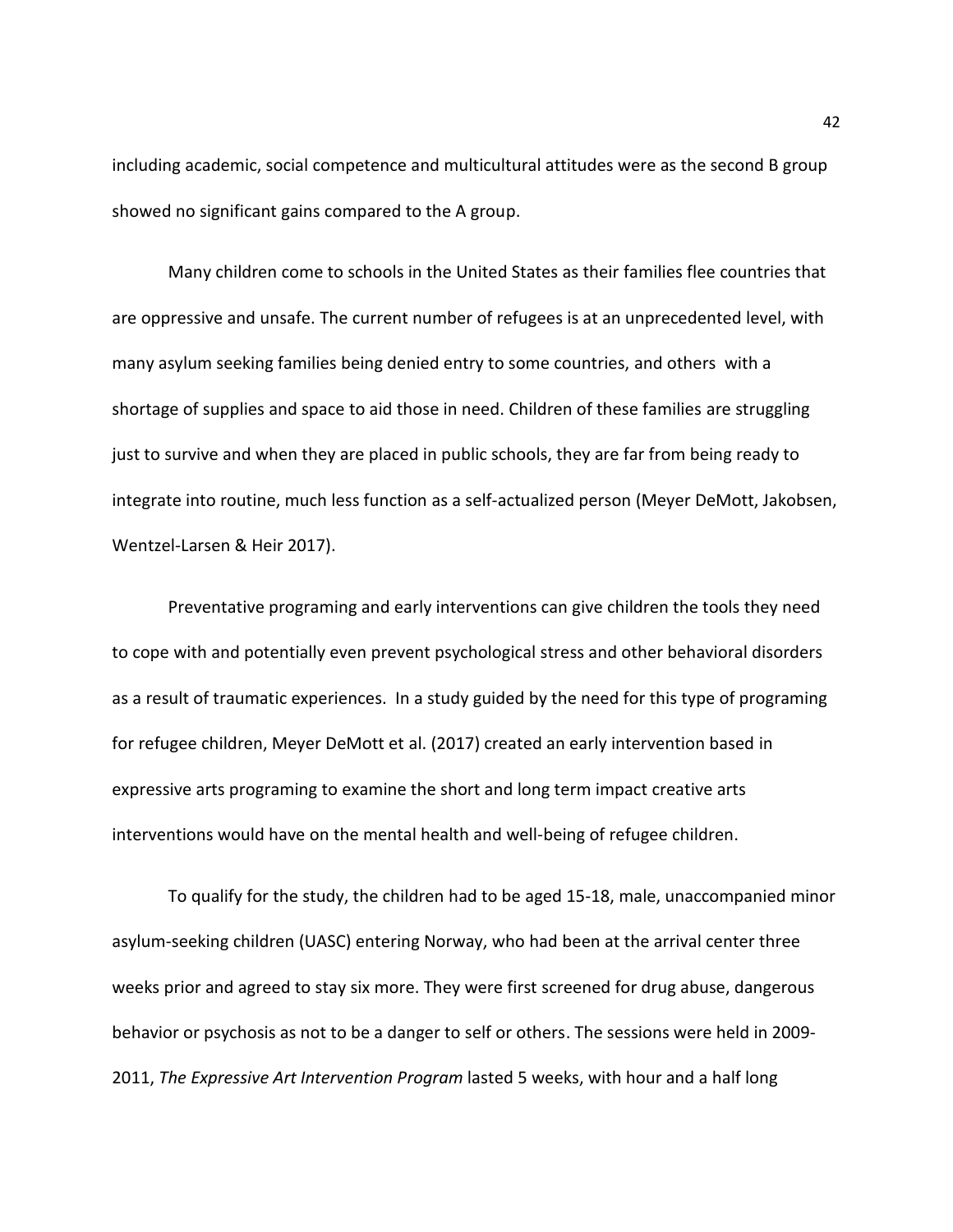including academic, social competence and multicultural attitudes were as the second B group showed no significant gains compared to the A group.

Many children come to schools in the United States as their families flee countries that are oppressive and unsafe. The current number of refugees is at an unprecedented level, with many asylum seeking families being denied entry to some countries, and others with a shortage of supplies and space to aid those in need. Children of these families are struggling just to survive and when they are placed in public schools, they are far from being ready to integrate into routine, much less function as a self-actualized person (Meyer DeMott, Jakobsen, Wentzel‐Larsen & Heir 2017).

Preventative programing and early interventions can give children the tools they need to cope with and potentially even prevent psychological stress and other behavioral disorders as a result of traumatic experiences. In a study guided by the need for this type of programing for refugee children, Meyer DeMott et al. (2017) created an early intervention based in expressive arts programing to examine the short and long term impact creative arts interventions would have on the mental health and well-being of refugee children.

To qualify for the study, the children had to be aged 15-18, male, unaccompanied minor asylum-seeking children (UASC) entering Norway, who had been at the arrival center three weeks prior and agreed to stay six more. They were first screened for drug abuse, dangerous behavior or psychosis as not to be a danger to self or others. The sessions were held in 2009- 2011, *The Expressive Art Intervention Program* lasted 5 weeks, with hour and a half long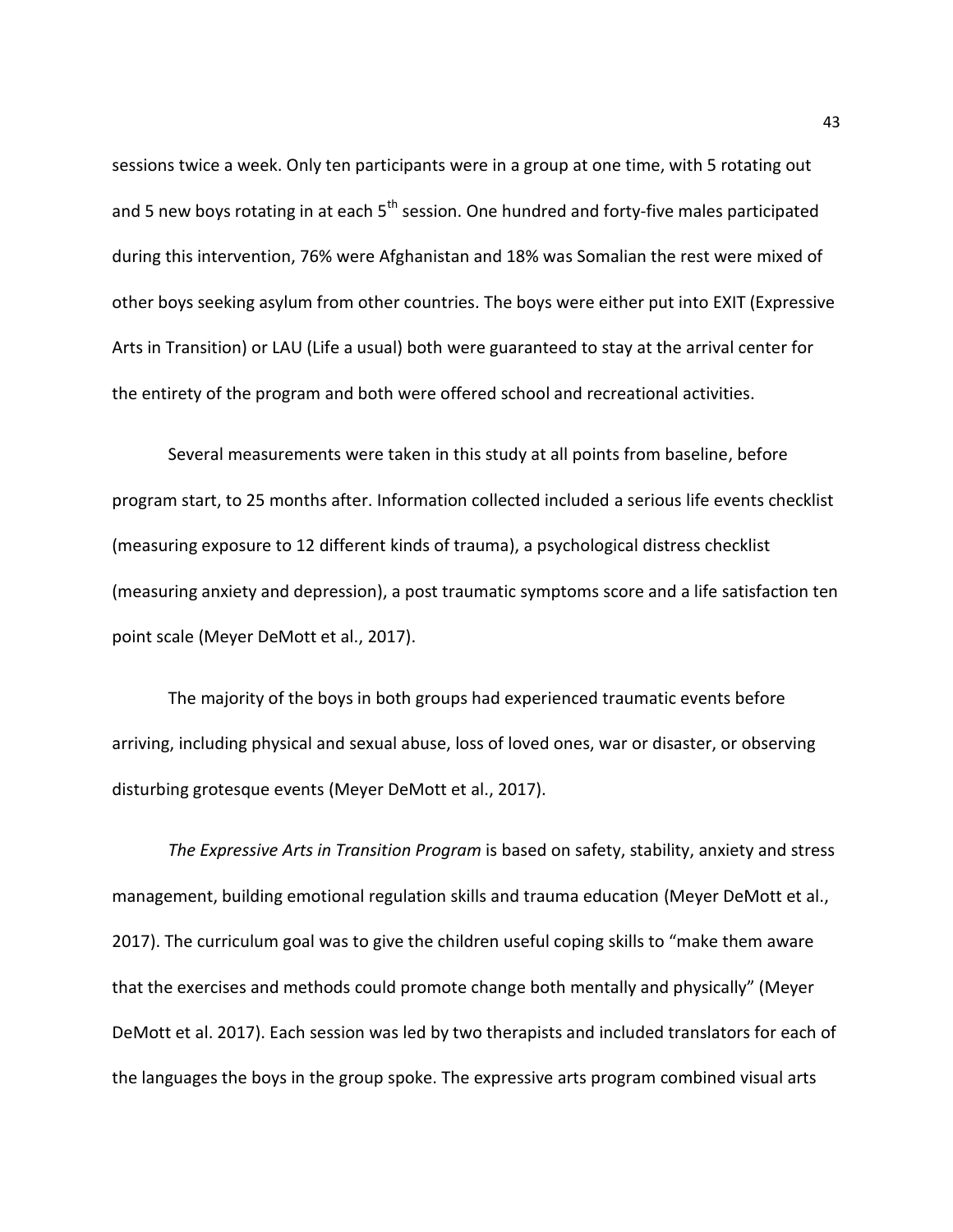sessions twice a week. Only ten participants were in a group at one time, with 5 rotating out and 5 new boys rotating in at each  $5<sup>th</sup>$  session. One hundred and forty-five males participated during this intervention, 76% were Afghanistan and 18% was Somalian the rest were mixed of other boys seeking asylum from other countries. The boys were either put into EXIT (Expressive Arts in Transition) or LAU (Life a usual) both were guaranteed to stay at the arrival center for the entirety of the program and both were offered school and recreational activities.

Several measurements were taken in this study at all points from baseline, before program start, to 25 months after. Information collected included a serious life events checklist (measuring exposure to 12 different kinds of trauma), a psychological distress checklist (measuring anxiety and depression), a post traumatic symptoms score and a life satisfaction ten point scale (Meyer DeMott et al., 2017).

The majority of the boys in both groups had experienced traumatic events before arriving, including physical and sexual abuse, loss of loved ones, war or disaster, or observing disturbing grotesque events (Meyer DeMott et al., 2017).

*The Expressive Arts in Transition Program* is based on safety, stability, anxiety and stress management, building emotional regulation skills and trauma education (Meyer DeMott et al., 2017). The curriculum goal was to give the children useful coping skills to "make them aware that the exercises and methods could promote change both mentally and physically" (Meyer DeMott et al. 2017). Each session was led by two therapists and included translators for each of the languages the boys in the group spoke. The expressive arts program combined visual arts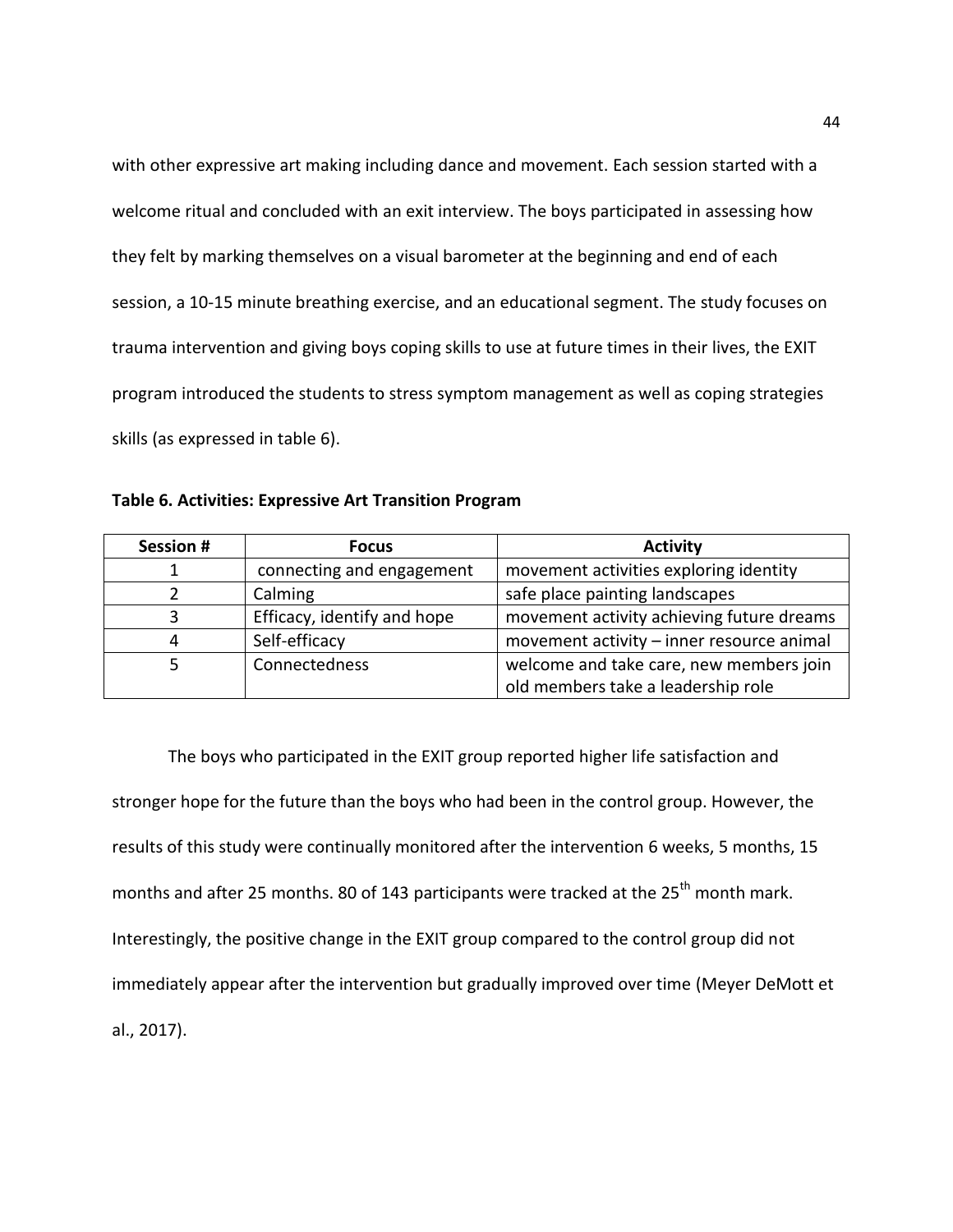with other expressive art making including dance and movement. Each session started with a welcome ritual and concluded with an exit interview. The boys participated in assessing how they felt by marking themselves on a visual barometer at the beginning and end of each session, a 10-15 minute breathing exercise, and an educational segment. The study focuses on trauma intervention and giving boys coping skills to use at future times in their lives, the EXIT program introduced the students to stress symptom management as well as coping strategies skills (as expressed in table 6).

**Table 6. Activities: Expressive Art Transition Program** 

| <b>Session#</b> | <b>Focus</b>                | <b>Activity</b>                           |
|-----------------|-----------------------------|-------------------------------------------|
|                 | connecting and engagement   | movement activities exploring identity    |
|                 | Calming                     | safe place painting landscapes            |
| 3               | Efficacy, identify and hope | movement activity achieving future dreams |
| 4               | Self-efficacy               | movement activity - inner resource animal |
|                 | Connectedness               | welcome and take care, new members join   |
|                 |                             | old members take a leadership role        |

The boys who participated in the EXIT group reported higher life satisfaction and stronger hope for the future than the boys who had been in the control group. However, the results of this study were continually monitored after the intervention 6 weeks, 5 months, 15 months and after 25 months. 80 of 143 participants were tracked at the  $25<sup>th</sup>$  month mark. Interestingly, the positive change in the EXIT group compared to the control group did not immediately appear after the intervention but gradually improved over time (Meyer DeMott et al., 2017).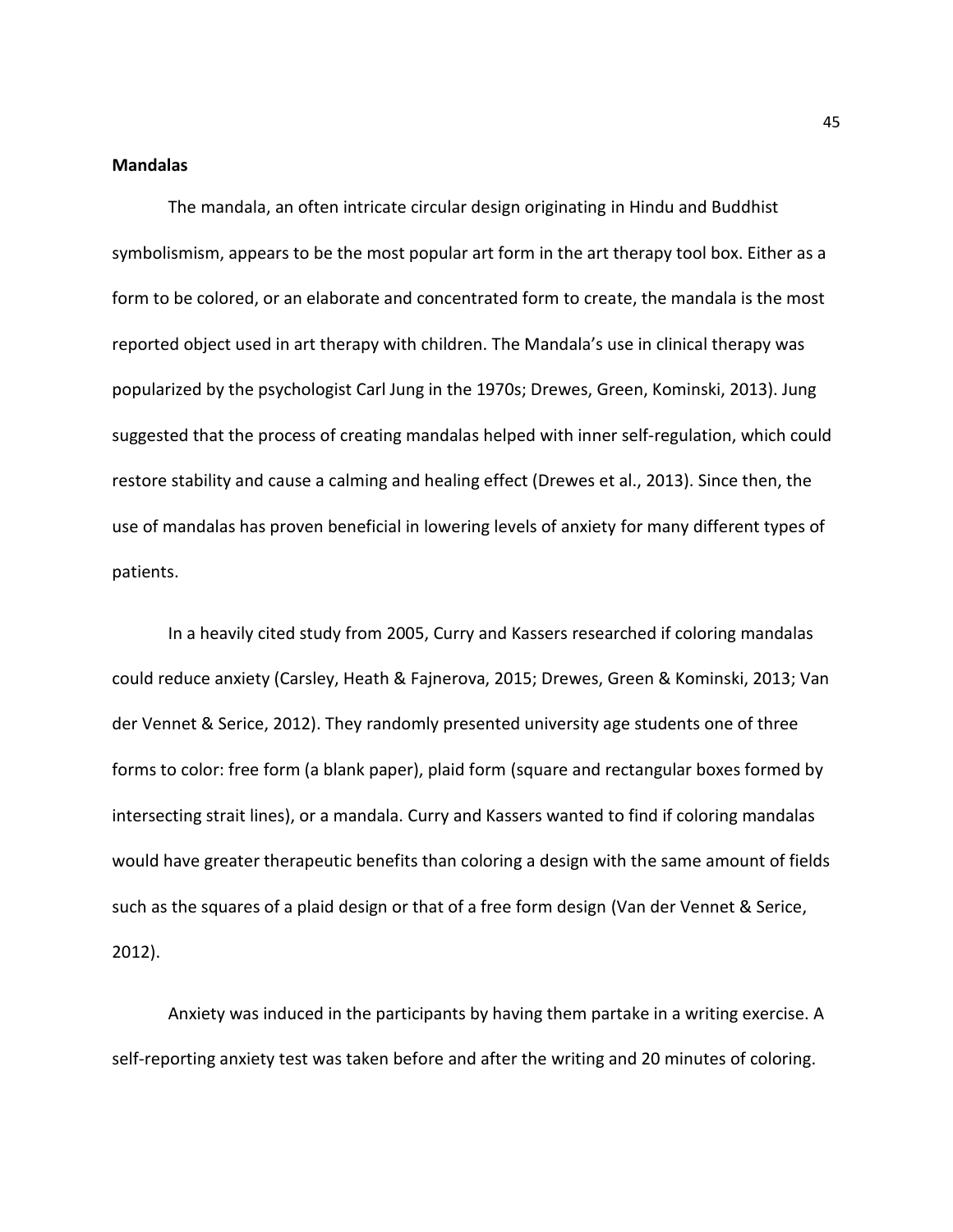## **Mandalas**

The mandala, an often intricate circular design originating in Hindu and Buddhist symbolismism, appears to be the most popular art form in the art therapy tool box. Either as a form to be colored, or an elaborate and concentrated form to create, the mandala is the most reported object used in art therapy with children. The Mandala's use in clinical therapy was popularized by the psychologist Carl Jung in the 1970s; Drewes, Green, Kominski, 2013). Jung suggested that the process of creating mandalas helped with inner self-regulation, which could restore stability and cause a calming and healing effect (Drewes et al., 2013). Since then, the use of mandalas has proven beneficial in lowering levels of anxiety for many different types of patients.

In a heavily cited study from 2005, Curry and Kassers researched if coloring mandalas could reduce anxiety (Carsley, Heath & Fajnerova, 2015; Drewes, Green & Kominski, 2013; Van der Vennet & Serice, 2012). They randomly presented university age students one of three forms to color: free form (a blank paper), plaid form (square and rectangular boxes formed by intersecting strait lines), or a mandala. Curry and Kassers wanted to find if coloring mandalas would have greater therapeutic benefits than coloring a design with the same amount of fields such as the squares of a plaid design or that of a free form design (Van der Vennet & Serice, 2012).

Anxiety was induced in the participants by having them partake in a writing exercise. A self-reporting anxiety test was taken before and after the writing and 20 minutes of coloring.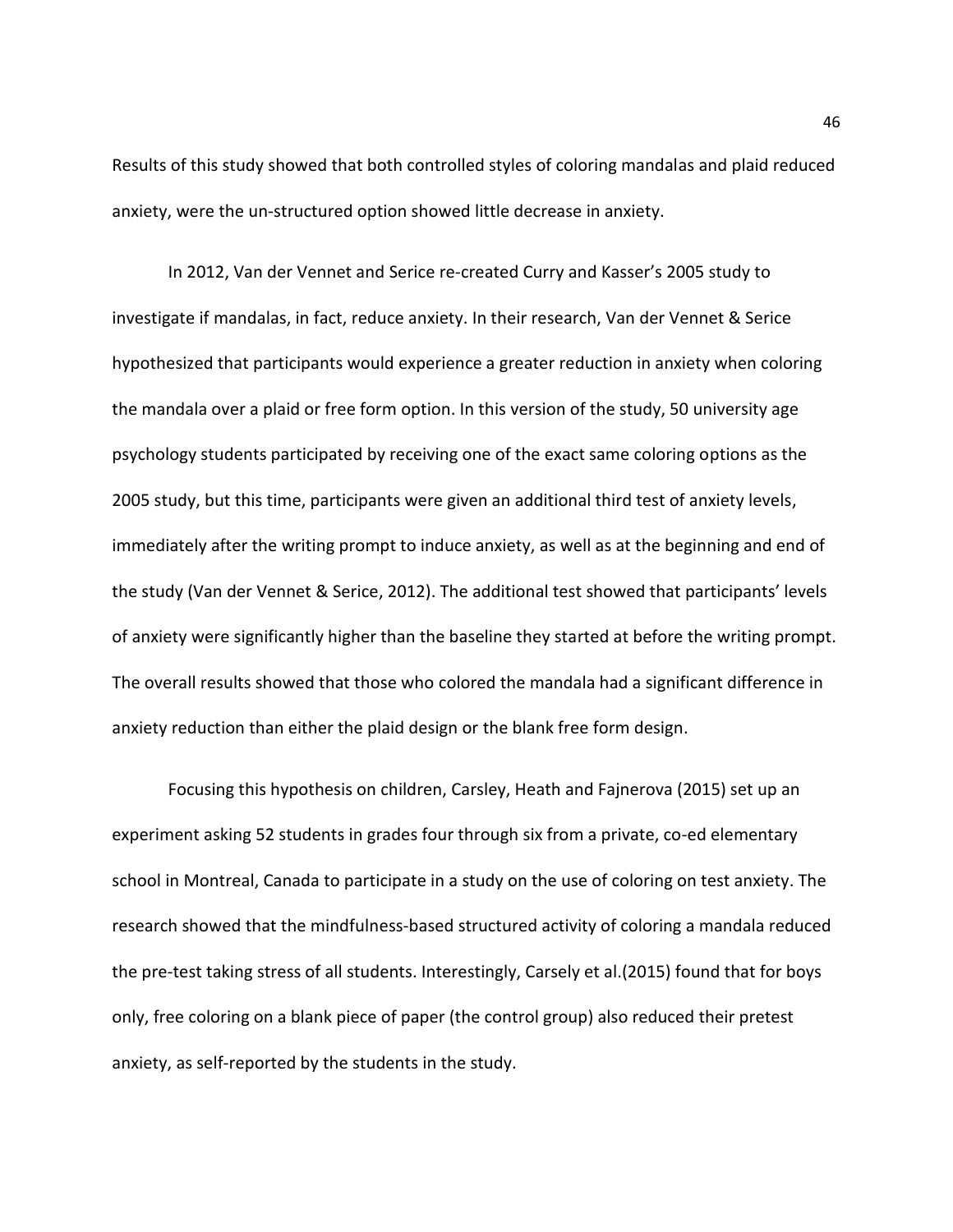Results of this study showed that both controlled styles of coloring mandalas and plaid reduced anxiety, were the un-structured option showed little decrease in anxiety.

In 2012, Van der Vennet and Serice re-created Curry and Kasser's 2005 study to investigate if mandalas, in fact, reduce anxiety. In their research, Van der Vennet & Serice hypothesized that participants would experience a greater reduction in anxiety when coloring the mandala over a plaid or free form option. In this version of the study, 50 university age psychology students participated by receiving one of the exact same coloring options as the 2005 study, but this time, participants were given an additional third test of anxiety levels, immediately after the writing prompt to induce anxiety, as well as at the beginning and end of the study (Van der Vennet & Serice, 2012). The additional test showed that participants' levels of anxiety were significantly higher than the baseline they started at before the writing prompt. The overall results showed that those who colored the mandala had a significant difference in anxiety reduction than either the plaid design or the blank free form design.

Focusing this hypothesis on children, Carsley, Heath and Fajnerova (2015) set up an experiment asking 52 students in grades four through six from a private, co-ed elementary school in Montreal, Canada to participate in a study on the use of coloring on test anxiety. The research showed that the mindfulness-based structured activity of coloring a mandala reduced the pre-test taking stress of all students. Interestingly, Carsely et al.(2015) found that for boys only, free coloring on a blank piece of paper (the control group) also reduced their pretest anxiety, as self-reported by the students in the study.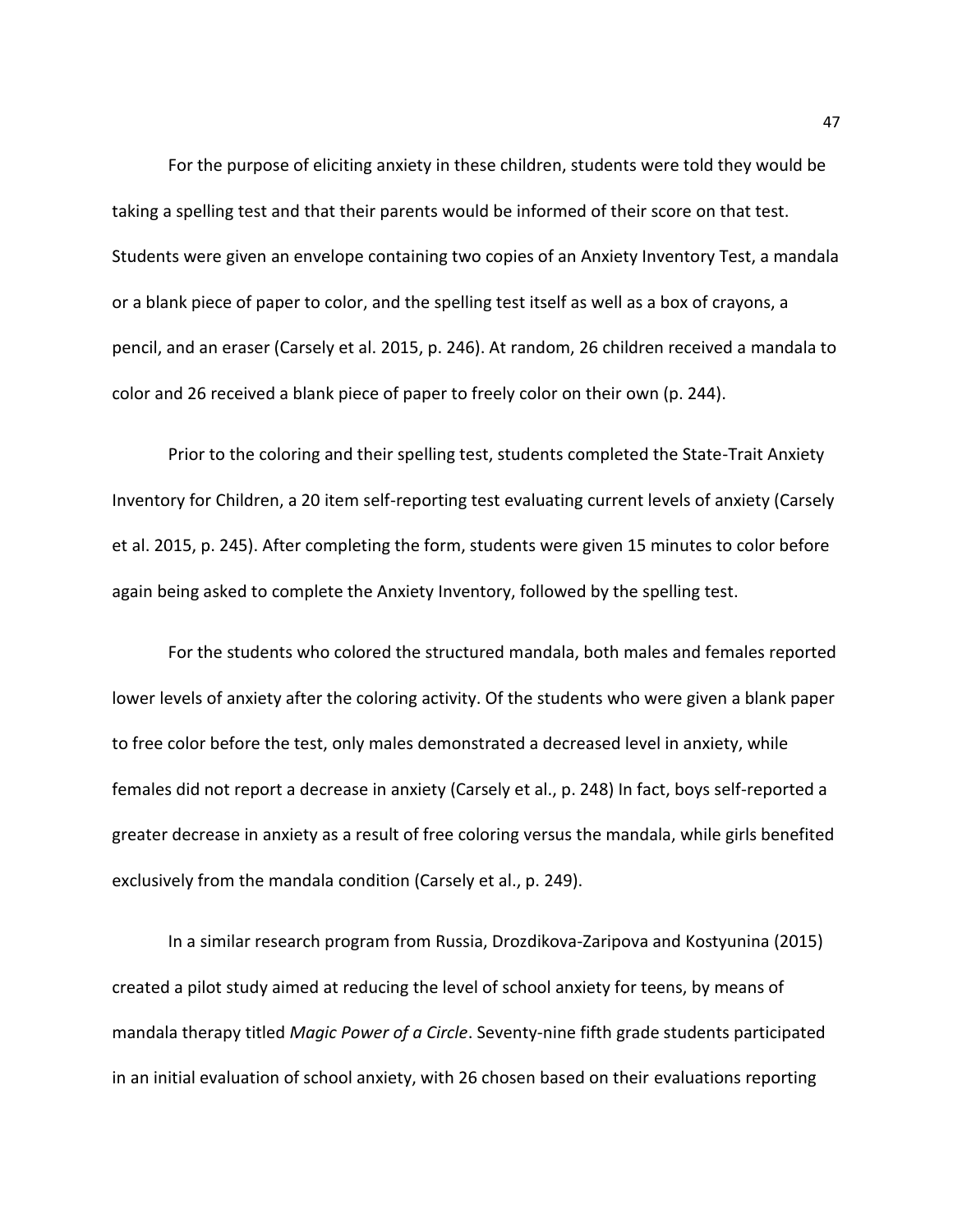For the purpose of eliciting anxiety in these children, students were told they would be taking a spelling test and that their parents would be informed of their score on that test. Students were given an envelope containing two copies of an Anxiety Inventory Test, a mandala or a blank piece of paper to color, and the spelling test itself as well as a box of crayons, a pencil, and an eraser (Carsely et al. 2015, p. 246). At random, 26 children received a mandala to color and 26 received a blank piece of paper to freely color on their own (p. 244).

Prior to the coloring and their spelling test, students completed the State-Trait Anxiety Inventory for Children, a 20 item self-reporting test evaluating current levels of anxiety (Carsely et al. 2015, p. 245). After completing the form, students were given 15 minutes to color before again being asked to complete the Anxiety Inventory, followed by the spelling test.

For the students who colored the structured mandala, both males and females reported lower levels of anxiety after the coloring activity. Of the students who were given a blank paper to free color before the test, only males demonstrated a decreased level in anxiety, while females did not report a decrease in anxiety (Carsely et al., p. 248) In fact, boys self-reported a greater decrease in anxiety as a result of free coloring versus the mandala, while girls benefited exclusively from the mandala condition (Carsely et al., p. 249).

In a similar research program from Russia, Drozdikova-Zaripova and Kostyunina (2015) created a pilot study aimed at reducing the level of school anxiety for teens, by means of mandala therapy titled *Magic Power of a Circle*. Seventy-nine fifth grade students participated in an initial evaluation of school anxiety, with 26 chosen based on their evaluations reporting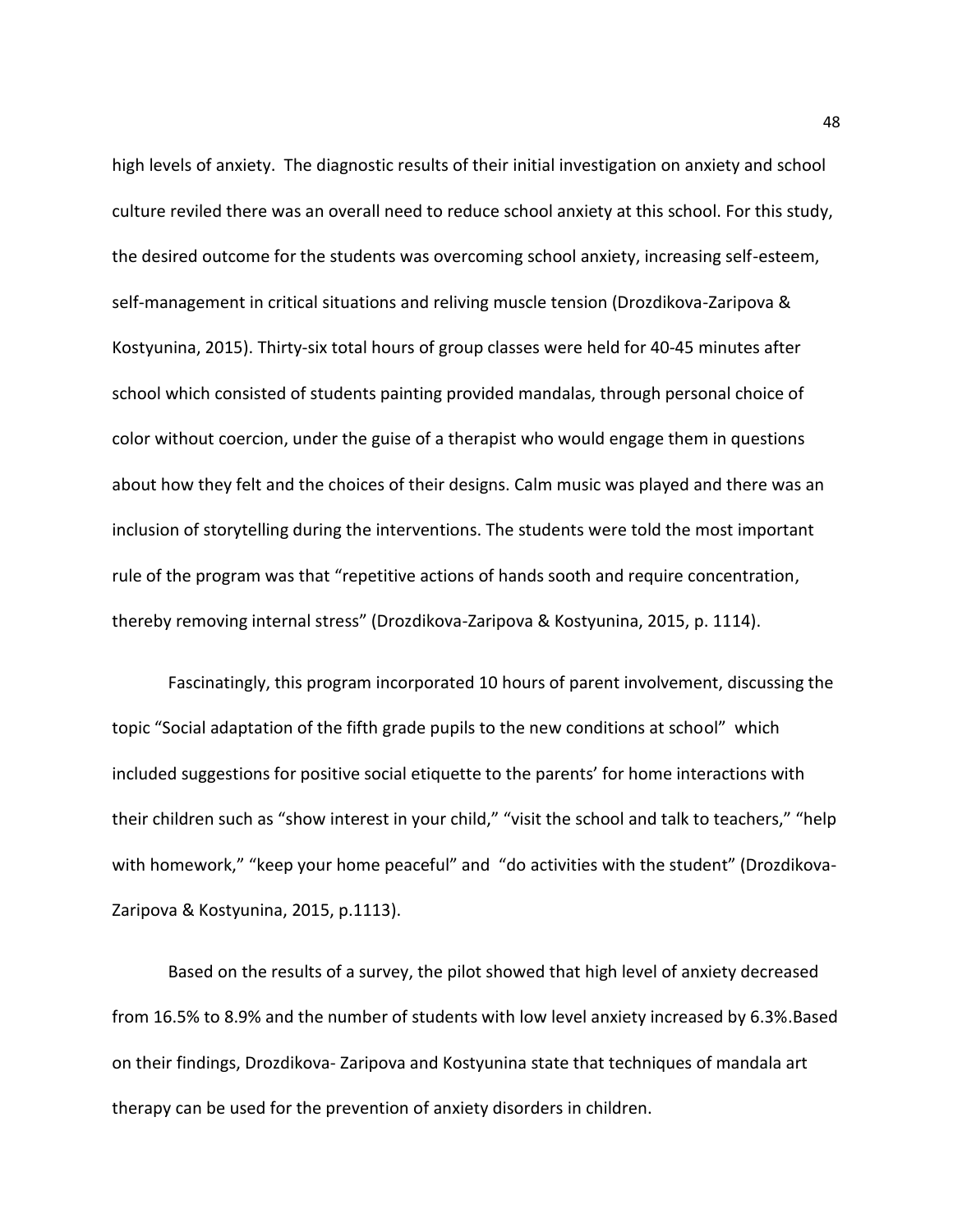high levels of anxiety. The diagnostic results of their initial investigation on anxiety and school culture reviled there was an overall need to reduce school anxiety at this school. For this study, the desired outcome for the students was overcoming school anxiety, increasing self-esteem, self-management in critical situations and reliving muscle tension (Drozdikova-Zaripova & Kostyunina, 2015). Thirty-six total hours of group classes were held for 40-45 minutes after school which consisted of students painting provided mandalas, through personal choice of color without coercion, under the guise of a therapist who would engage them in questions about how they felt and the choices of their designs. Calm music was played and there was an inclusion of storytelling during the interventions. The students were told the most important rule of the program was that "repetitive actions of hands sooth and require concentration, thereby removing internal stress" (Drozdikova-Zaripova & Kostyunina, 2015, p. 1114).

Fascinatingly, this program incorporated 10 hours of parent involvement, discussing the topic "Social adaptation of the fifth grade pupils to the new conditions at school" which included suggestions for positive social etiquette to the parents' for home interactions with their children such as "show interest in your child," "visit the school and talk to teachers," "help with homework," "keep your home peaceful" and "do activities with the student" (Drozdikova-Zaripova & Kostyunina, 2015, p.1113).

Based on the results of a survey, the pilot showed that high level of anxiety decreased from 16.5% to 8.9% and the number of students with low level anxiety increased by 6.3%.Based on their findings, Drozdikova- Zaripova and Kostyunina state that techniques of mandala art therapy can be used for the prevention of anxiety disorders in children.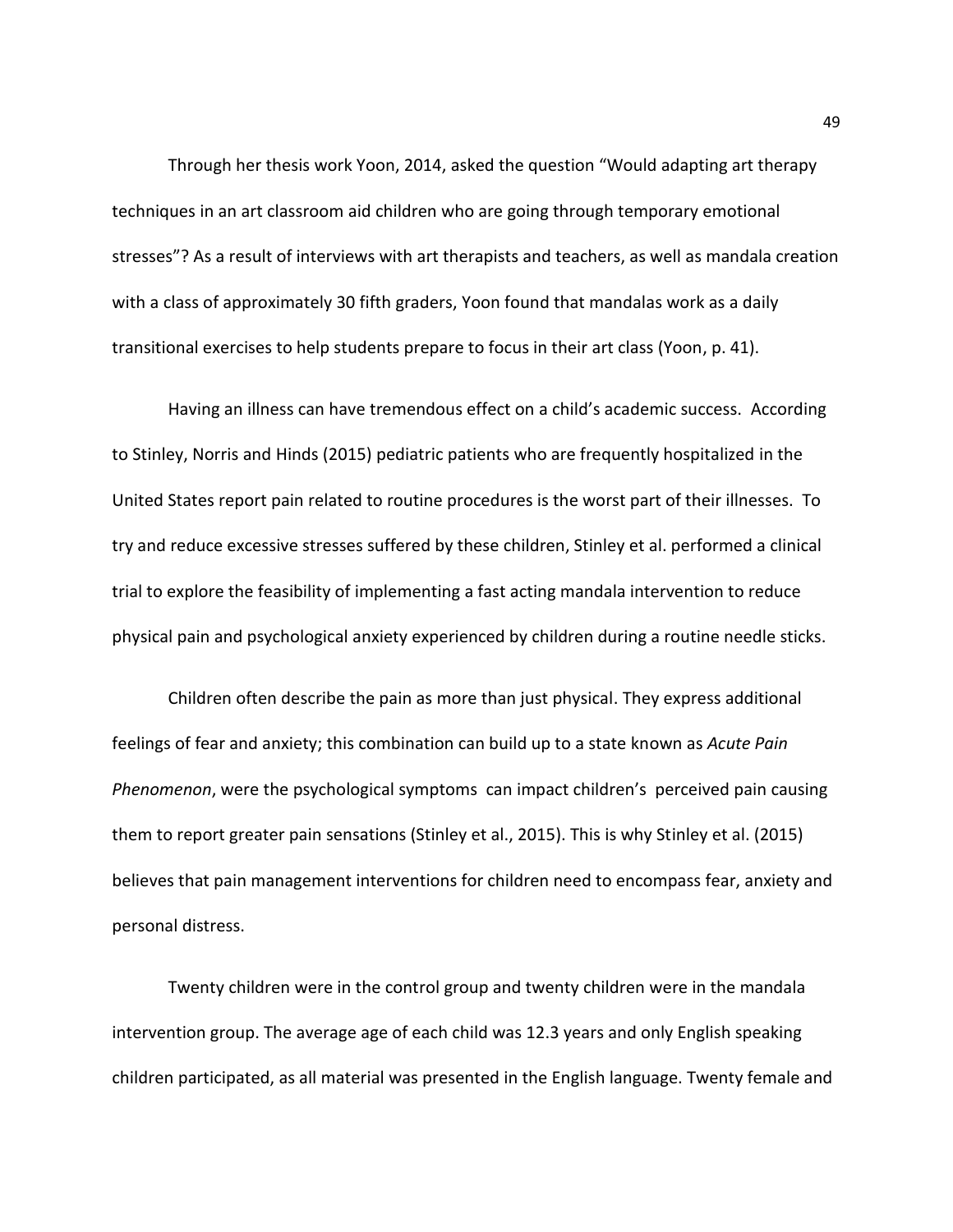Through her thesis work Yoon, 2014, asked the question "Would adapting art therapy techniques in an art classroom aid children who are going through temporary emotional stresses"? As a result of interviews with art therapists and teachers, as well as mandala creation with a class of approximately 30 fifth graders, Yoon found that mandalas work as a daily transitional exercises to help students prepare to focus in their art class (Yoon, p. 41).

Having an illness can have tremendous effect on a child's academic success. According to Stinley, Norris and Hinds (2015) pediatric patients who are frequently hospitalized in the United States report pain related to routine procedures is the worst part of their illnesses. To try and reduce excessive stresses suffered by these children, Stinley et al. performed a clinical trial to explore the feasibility of implementing a fast acting mandala intervention to reduce physical pain and psychological anxiety experienced by children during a routine needle sticks.

Children often describe the pain as more than just physical. They express additional feelings of fear and anxiety; this combination can build up to a state known as *Acute Pain Phenomenon*, were the psychological symptoms can impact children's perceived pain causing them to report greater pain sensations (Stinley et al., 2015). This is why Stinley et al. (2015) believes that pain management interventions for children need to encompass fear, anxiety and personal distress.

Twenty children were in the control group and twenty children were in the mandala intervention group. The average age of each child was 12.3 years and only English speaking children participated, as all material was presented in the English language. Twenty female and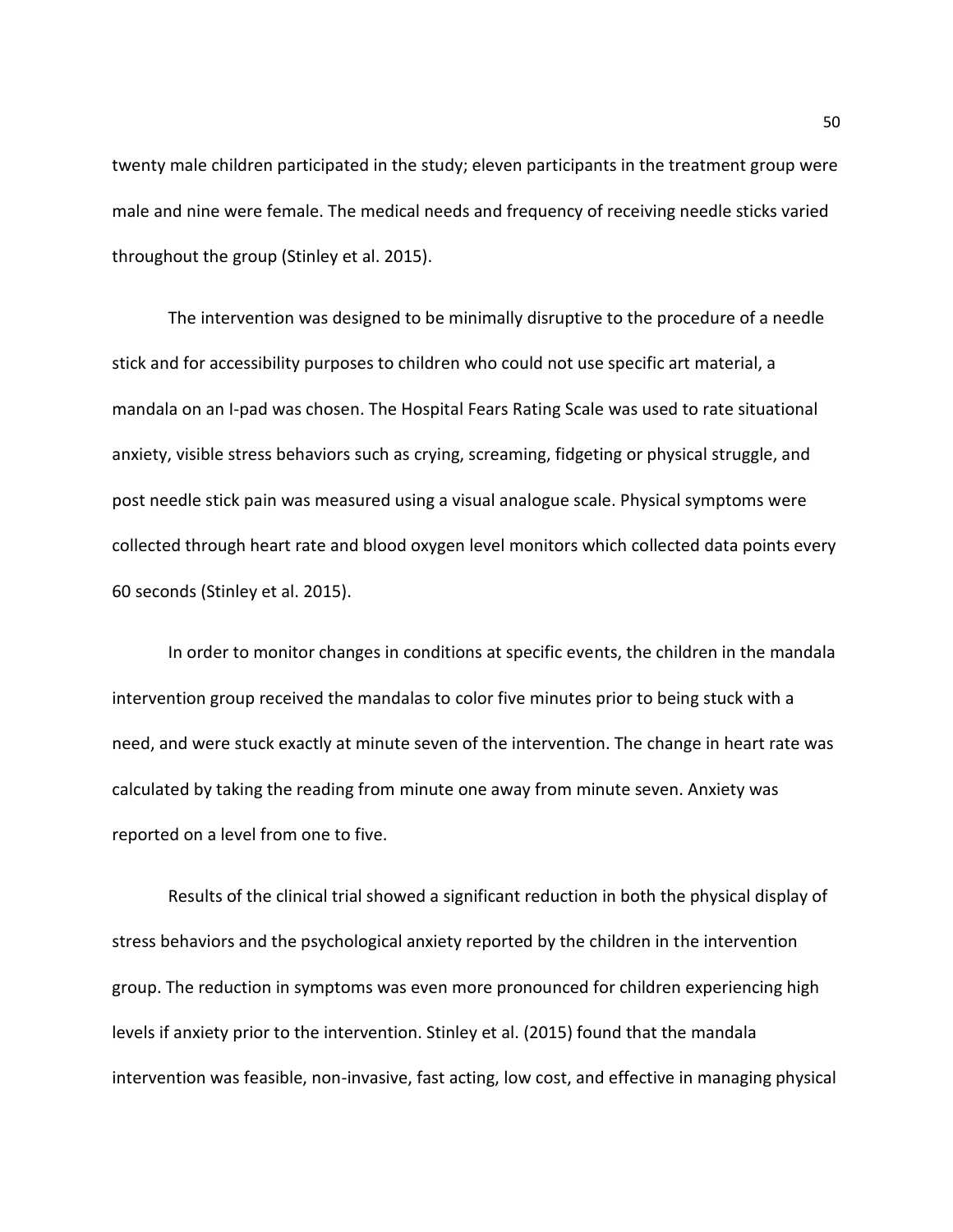twenty male children participated in the study; eleven participants in the treatment group were male and nine were female. The medical needs and frequency of receiving needle sticks varied throughout the group (Stinley et al. 2015).

The intervention was designed to be minimally disruptive to the procedure of a needle stick and for accessibility purposes to children who could not use specific art material, a mandala on an I-pad was chosen. The Hospital Fears Rating Scale was used to rate situational anxiety, visible stress behaviors such as crying, screaming, fidgeting or physical struggle, and post needle stick pain was measured using a visual analogue scale. Physical symptoms were collected through heart rate and blood oxygen level monitors which collected data points every 60 seconds (Stinley et al. 2015).

In order to monitor changes in conditions at specific events, the children in the mandala intervention group received the mandalas to color five minutes prior to being stuck with a need, and were stuck exactly at minute seven of the intervention. The change in heart rate was calculated by taking the reading from minute one away from minute seven. Anxiety was reported on a level from one to five.

Results of the clinical trial showed a significant reduction in both the physical display of stress behaviors and the psychological anxiety reported by the children in the intervention group. The reduction in symptoms was even more pronounced for children experiencing high levels if anxiety prior to the intervention. Stinley et al. (2015) found that the mandala intervention was feasible, non-invasive, fast acting, low cost, and effective in managing physical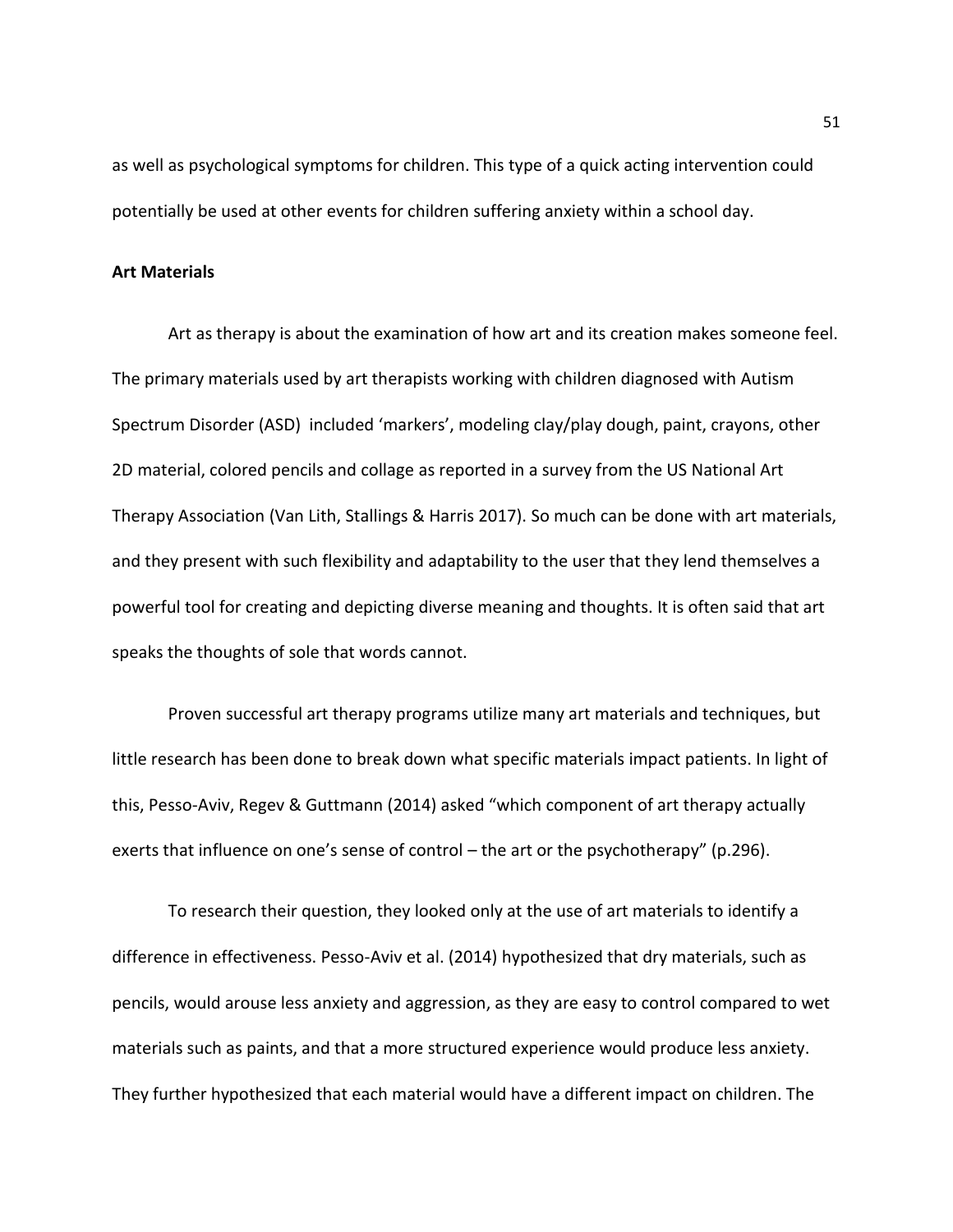as well as psychological symptoms for children. This type of a quick acting intervention could potentially be used at other events for children suffering anxiety within a school day.

### **Art Materials**

Art as therapy is about the examination of how art and its creation makes someone feel. The primary materials used by art therapists working with children diagnosed with Autism Spectrum Disorder (ASD) included 'markers', modeling clay/play dough, paint, crayons, other 2D material, colored pencils and collage as reported in a survey from the US National Art Therapy Association (Van Lith, Stallings & Harris 2017). So much can be done with art materials, and they present with such flexibility and adaptability to the user that they lend themselves a powerful tool for creating and depicting diverse meaning and thoughts. It is often said that art speaks the thoughts of sole that words cannot.

Proven successful art therapy programs utilize many art materials and techniques, but little research has been done to break down what specific materials impact patients. In light of this, Pesso-Aviv, Regev & Guttmann (2014) asked "which component of art therapy actually exerts that influence on one's sense of control – the art or the psychotherapy" (p.296).

To research their question, they looked only at the use of art materials to identify a difference in effectiveness. Pesso-Aviv et al. (2014) hypothesized that dry materials, such as pencils, would arouse less anxiety and aggression, as they are easy to control compared to wet materials such as paints, and that a more structured experience would produce less anxiety. They further hypothesized that each material would have a different impact on children. The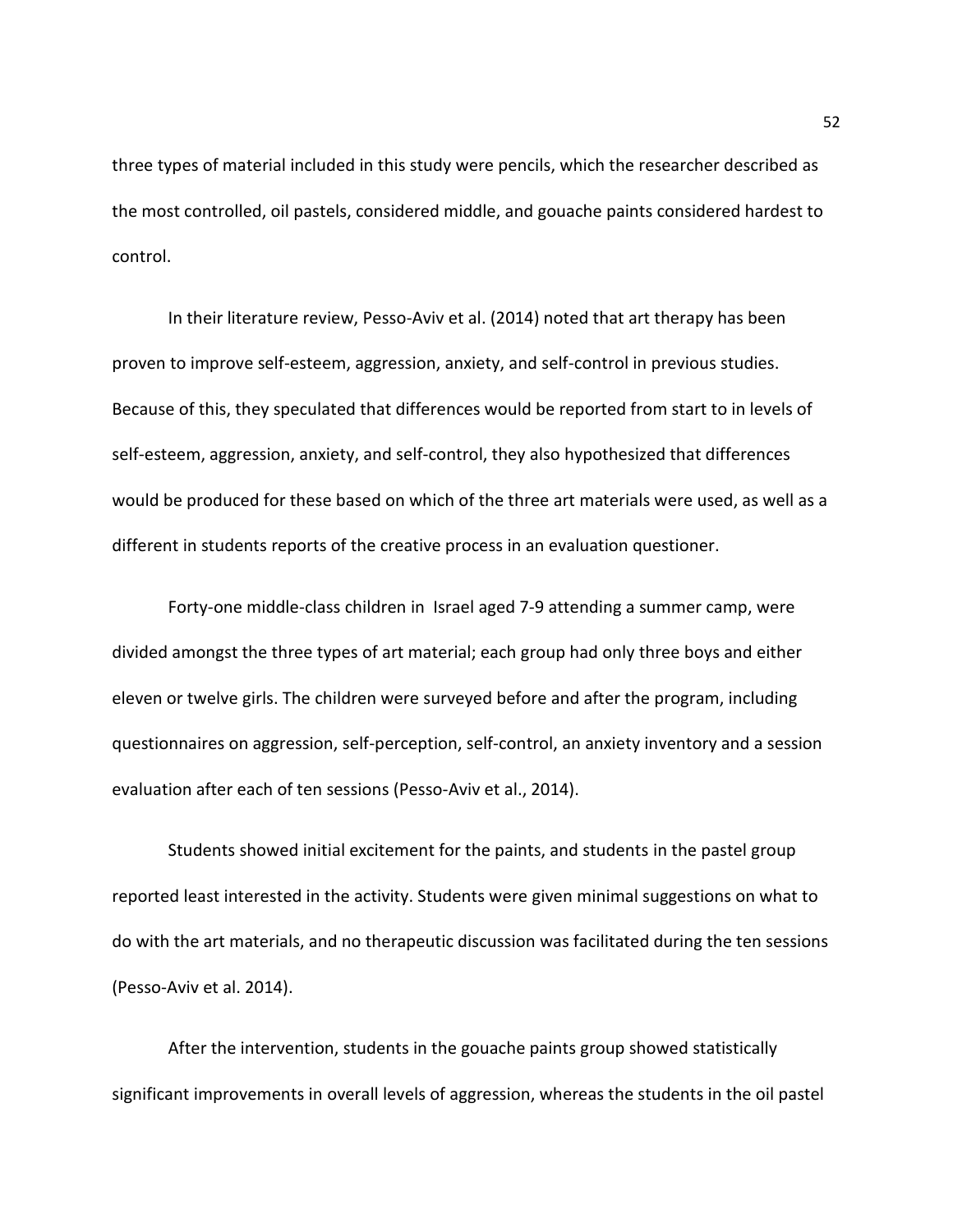three types of material included in this study were pencils, which the researcher described as the most controlled, oil pastels, considered middle, and gouache paints considered hardest to control.

In their literature review, Pesso-Aviv et al. (2014) noted that art therapy has been proven to improve self-esteem, aggression, anxiety, and self-control in previous studies. Because of this, they speculated that differences would be reported from start to in levels of self-esteem, aggression, anxiety, and self-control, they also hypothesized that differences would be produced for these based on which of the three art materials were used, as well as a different in students reports of the creative process in an evaluation questioner.

Forty-one middle-class children in Israel aged 7-9 attending a summer camp, were divided amongst the three types of art material; each group had only three boys and either eleven or twelve girls. The children were surveyed before and after the program, including questionnaires on aggression, self-perception, self-control, an anxiety inventory and a session evaluation after each of ten sessions (Pesso-Aviv et al., 2014).

Students showed initial excitement for the paints, and students in the pastel group reported least interested in the activity. Students were given minimal suggestions on what to do with the art materials, and no therapeutic discussion was facilitated during the ten sessions (Pesso-Aviv et al. 2014).

After the intervention, students in the gouache paints group showed statistically significant improvements in overall levels of aggression, whereas the students in the oil pastel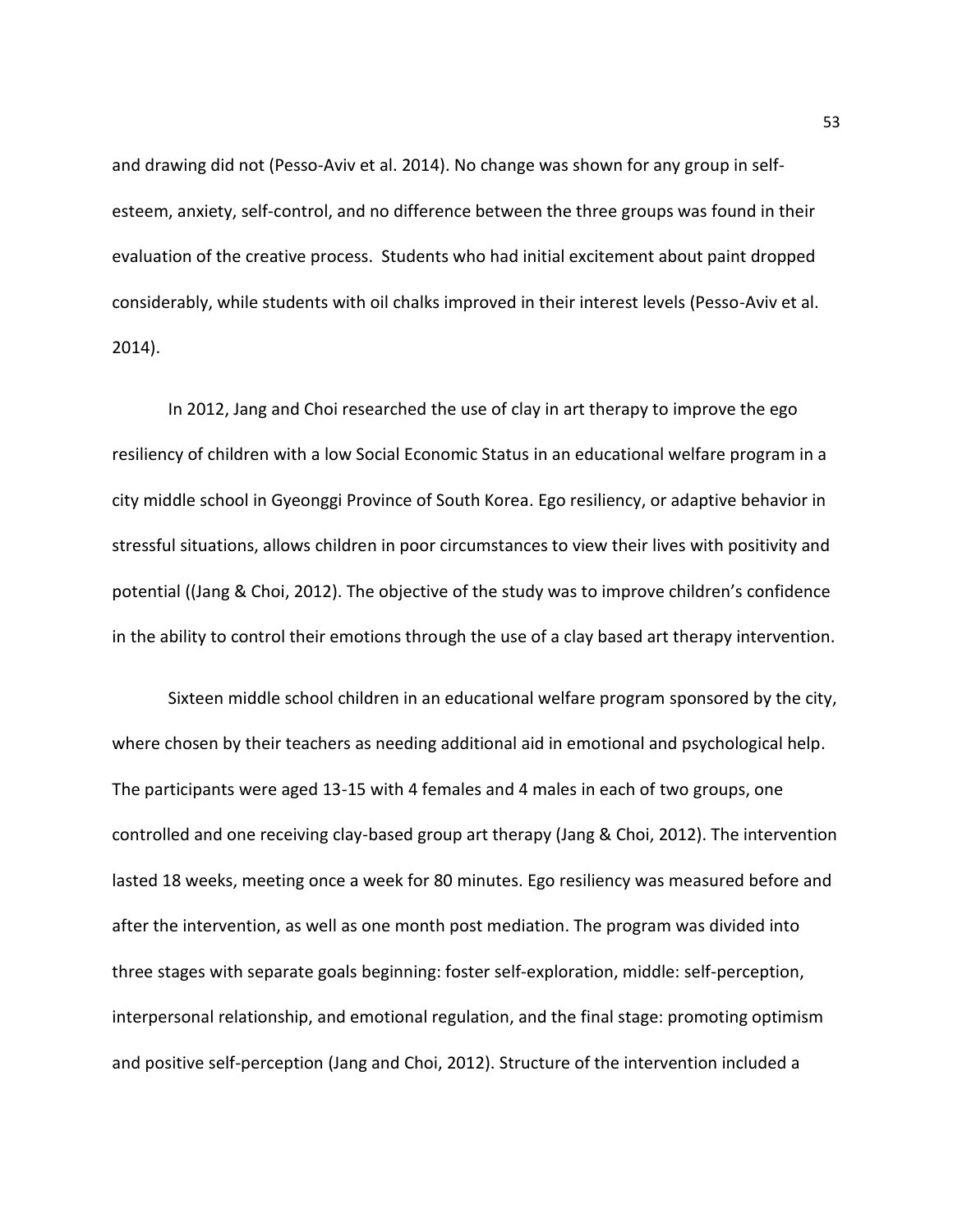and drawing did not (Pesso-Aviv et al. 2014). No change was shown for any group in selfesteem, anxiety, self-control, and no difference between the three groups was found in their evaluation of the creative process. Students who had initial excitement about paint dropped considerably, while students with oil chalks improved in their interest levels (Pesso-Aviv et al. 2014).

In 2012, Jang and Choi researched the use of clay in art therapy to improve the ego resiliency of children with a low Social Economic Status in an educational welfare program in a city middle school in Gyeonggi Province of South Korea. Ego resiliency, or adaptive behavior in stressful situations, allows children in poor circumstances to view their lives with positivity and potential ((Jang & Choi, 2012). The objective of the study was to improve children's confidence in the ability to control their emotions through the use of a clay based art therapy intervention.

Sixteen middle school children in an educational welfare program sponsored by the city, where chosen by their teachers as needing additional aid in emotional and psychological help. The participants were aged 13-15 with 4 females and 4 males in each of two groups, one controlled and one receiving clay-based group art therapy (Jang & Choi, 2012). The intervention lasted 18 weeks, meeting once a week for 80 minutes. Ego resiliency was measured before and after the intervention, as well as one month post mediation. The program was divided into three stages with separate goals beginning: foster self-exploration, middle: self-perception, interpersonal relationship, and emotional regulation, and the final stage: promoting optimism and positive self-perception (Jang and Choi, 2012). Structure of the intervention included a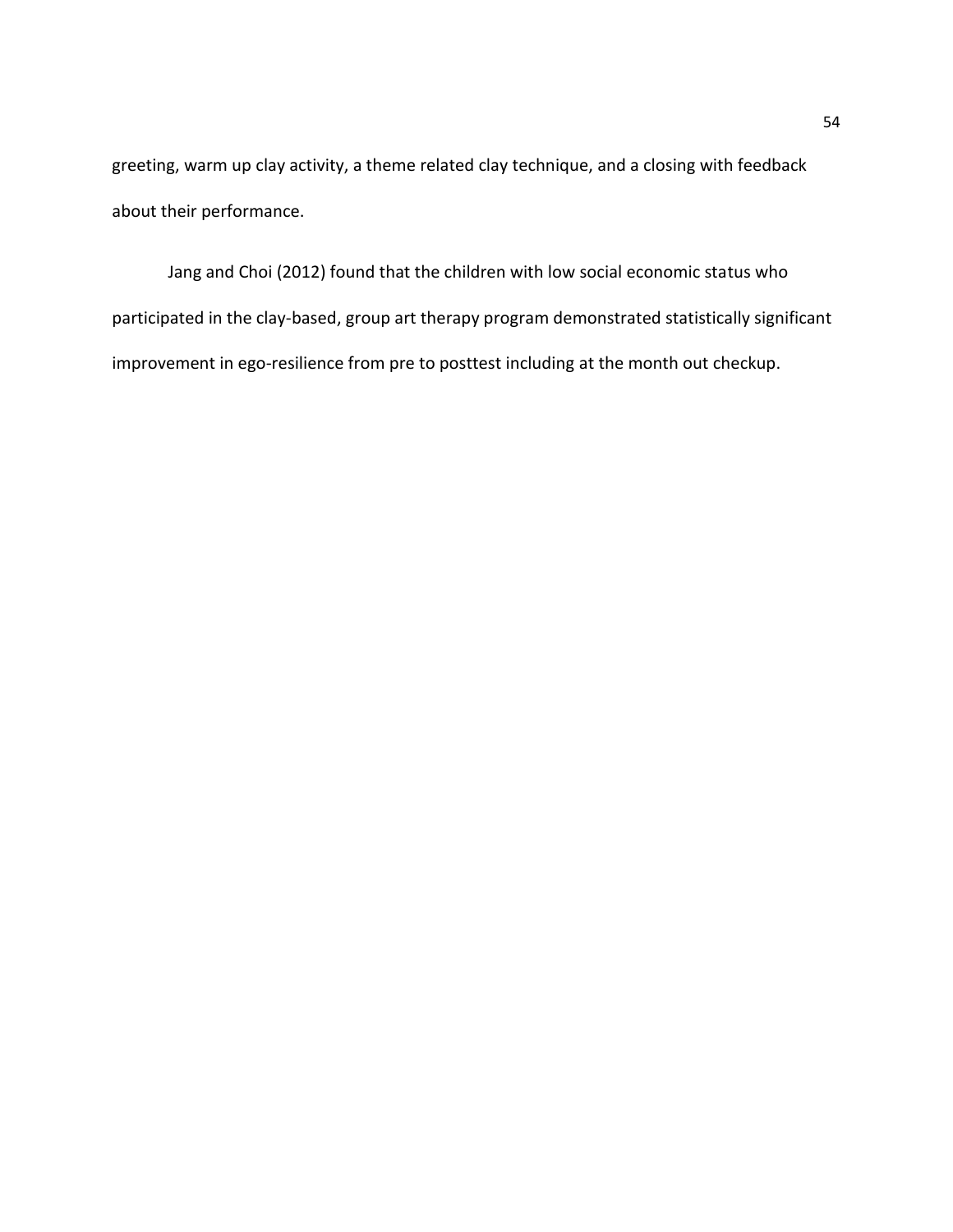greeting, warm up clay activity, a theme related clay technique, and a closing with feedback about their performance.

Jang and Choi (2012) found that the children with low social economic status who participated in the clay-based, group art therapy program demonstrated statistically significant improvement in ego-resilience from pre to posttest including at the month out checkup.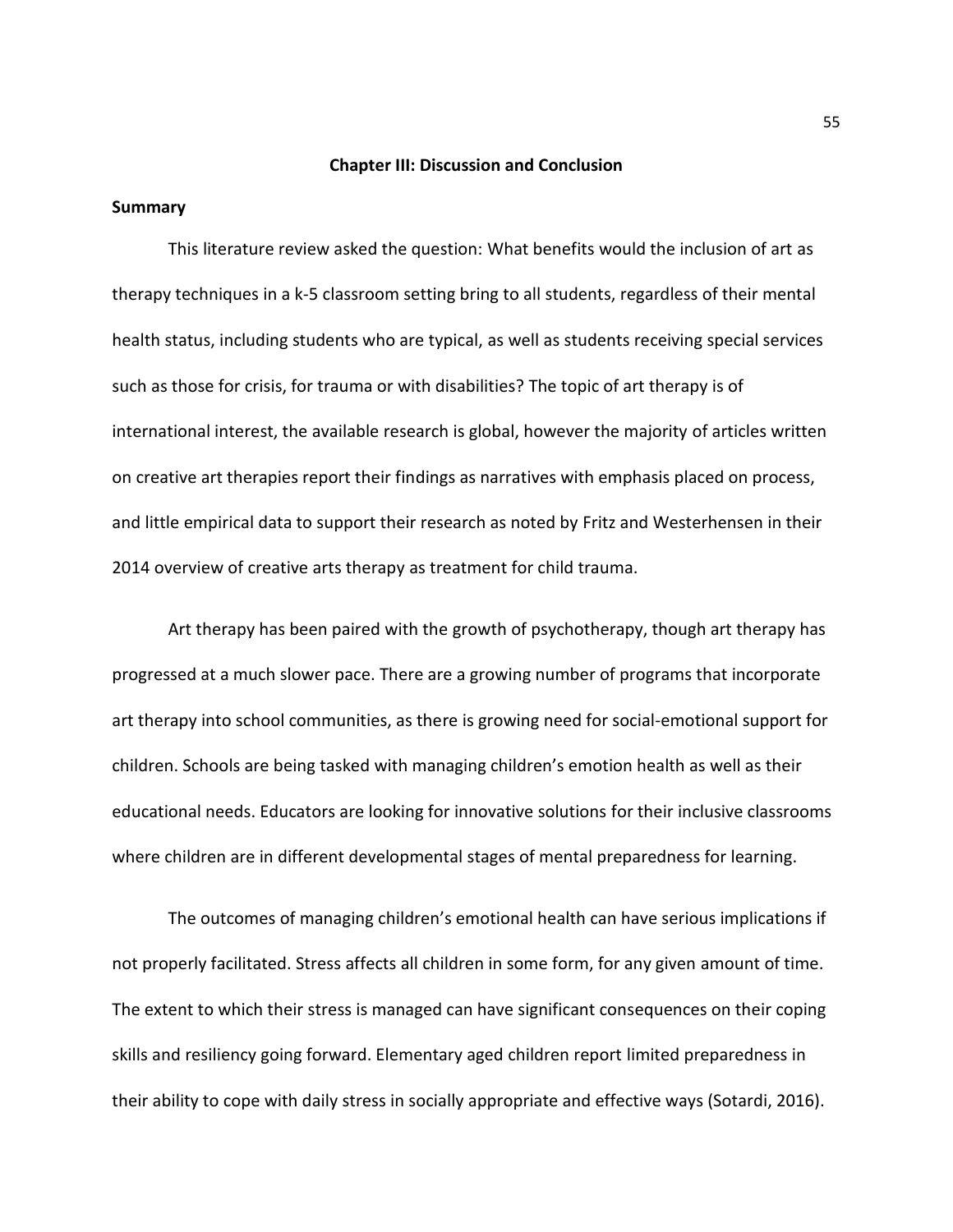### **Chapter III: Discussion and Conclusion**

### **Summary**

This literature review asked the question: What benefits would the inclusion of art as therapy techniques in a k-5 classroom setting bring to all students, regardless of their mental health status, including students who are typical, as well as students receiving special services such as those for crisis, for trauma or with disabilities? The topic of art therapy is of international interest, the available research is global, however the majority of articles written on creative art therapies report their findings as narratives with emphasis placed on process, and little empirical data to support their research as noted by Fritz and Westerhensen in their 2014 overview of creative arts therapy as treatment for child trauma.

Art therapy has been paired with the growth of psychotherapy, though art therapy has progressed at a much slower pace. There are a growing number of programs that incorporate art therapy into school communities, as there is growing need for social-emotional support for children. Schools are being tasked with managing children's emotion health as well as their educational needs. Educators are looking for innovative solutions for their inclusive classrooms where children are in different developmental stages of mental preparedness for learning.

The outcomes of managing children's emotional health can have serious implications if not properly facilitated. Stress affects all children in some form, for any given amount of time. The extent to which their stress is managed can have significant consequences on their coping skills and resiliency going forward. Elementary aged children report limited preparedness in their ability to cope with daily stress in socially appropriate and effective ways (Sotardi, 2016).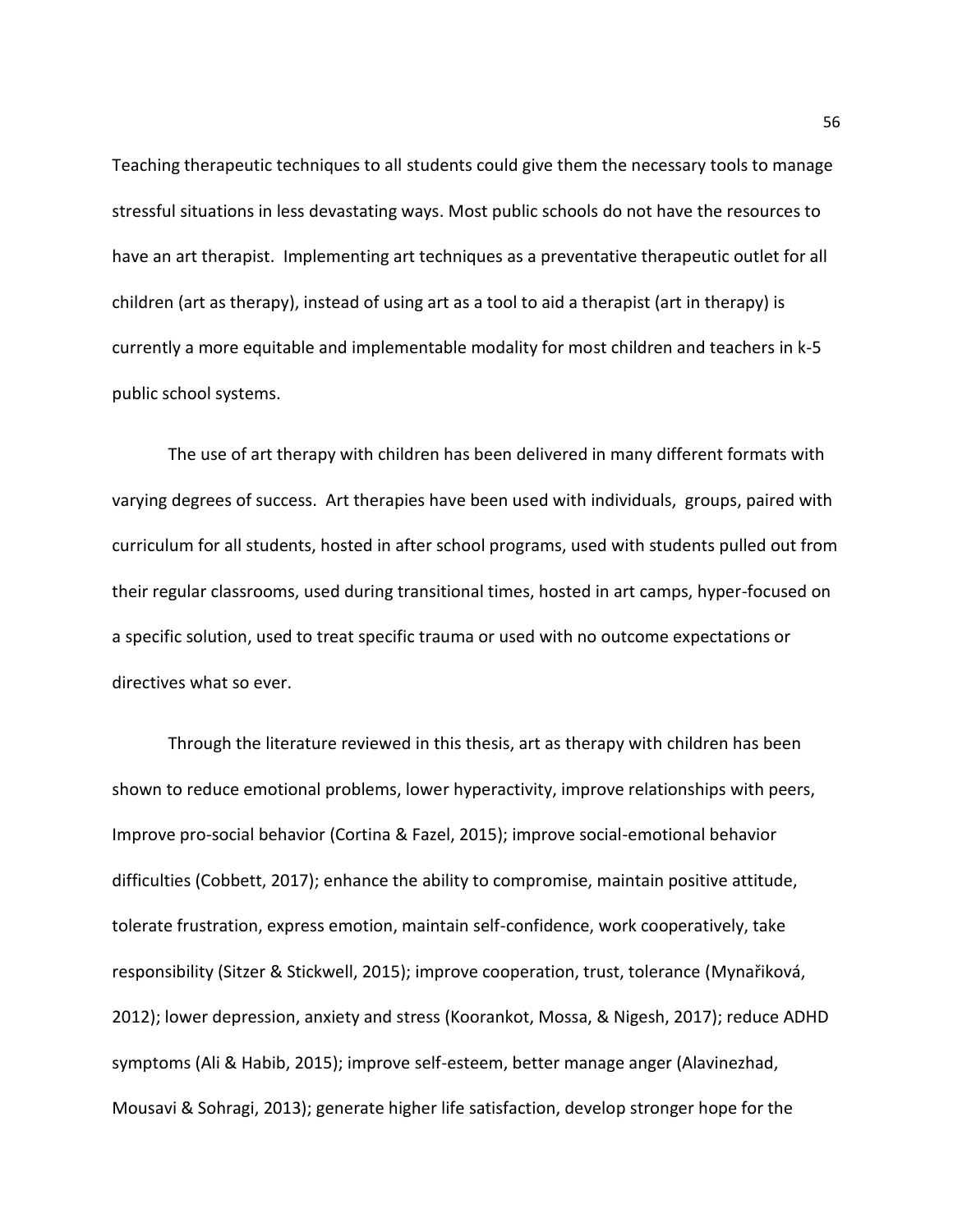Teaching therapeutic techniques to all students could give them the necessary tools to manage stressful situations in less devastating ways. Most public schools do not have the resources to have an art therapist. Implementing art techniques as a preventative therapeutic outlet for all children (art as therapy), instead of using art as a tool to aid a therapist (art in therapy) is currently a more equitable and implementable modality for most children and teachers in k-5 public school systems.

The use of art therapy with children has been delivered in many different formats with varying degrees of success. Art therapies have been used with individuals, groups, paired with curriculum for all students, hosted in after school programs, used with students pulled out from their regular classrooms, used during transitional times, hosted in art camps, hyper-focused on a specific solution, used to treat specific trauma or used with no outcome expectations or directives what so ever.

Through the literature reviewed in this thesis, art as therapy with children has been shown to reduce emotional problems, lower hyperactivity, improve relationships with peers, Improve pro-social behavior (Cortina & Fazel, 2015); improve social-emotional behavior difficulties (Cobbett, 2017); enhance the ability to compromise, maintain positive attitude, tolerate frustration, express emotion, maintain self-confidence, work cooperatively, take responsibility (Sitzer & Stickwell, 2015); improve cooperation, trust, tolerance (Mynařiková, 2012); lower depression, anxiety and stress (Koorankot, Mossa, & Nigesh, 2017); reduce ADHD symptoms (Ali & Habib, 2015); improve self-esteem, better manage anger (Alavinezhad, Mousavi & Sohragi, 2013); generate higher life satisfaction, develop stronger hope for the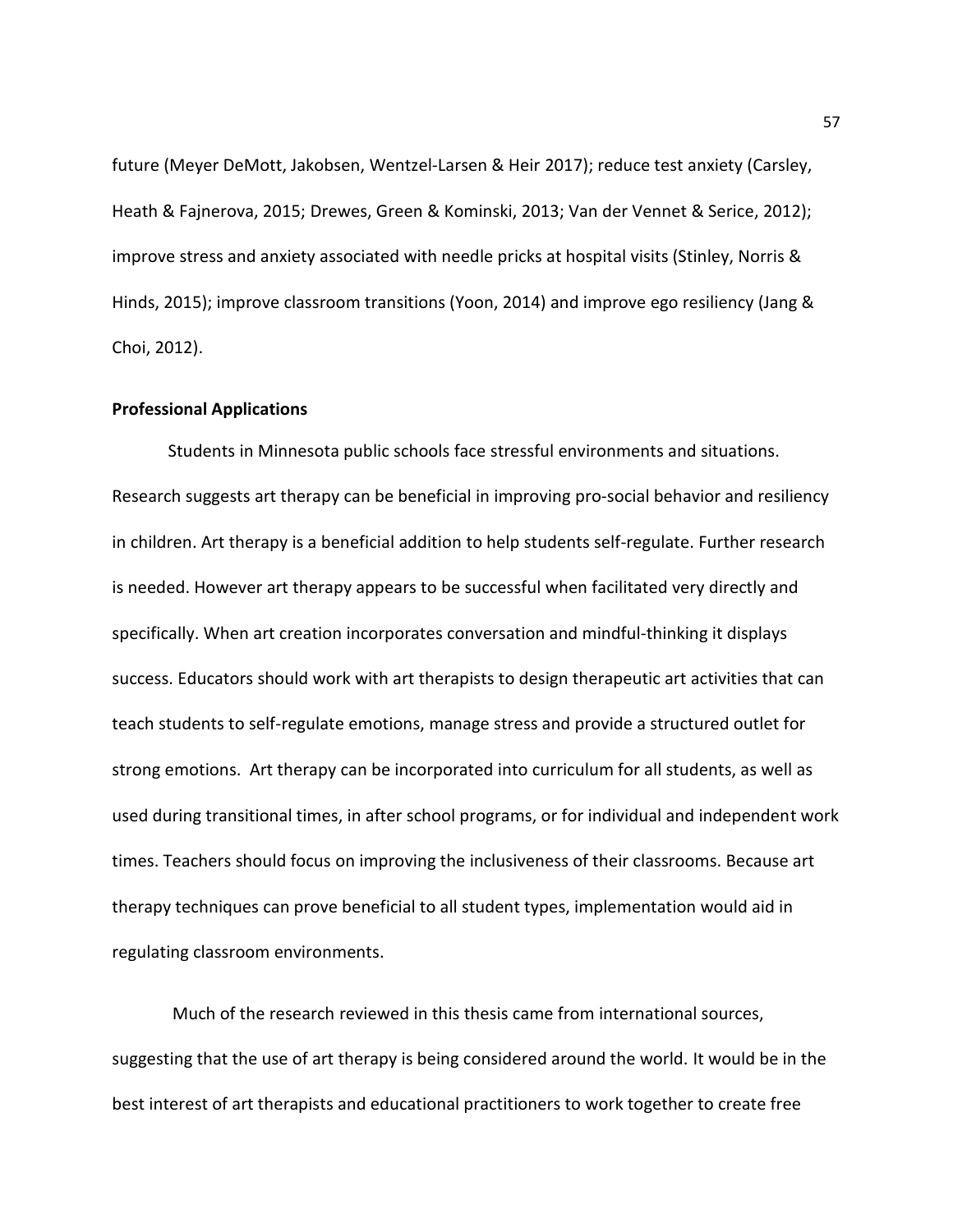future (Meyer DeMott, Jakobsen, Wentzel‐Larsen & Heir 2017); reduce test anxiety (Carsley, Heath & Fajnerova, 2015; Drewes, Green & Kominski, 2013; Van der Vennet & Serice, 2012); improve stress and anxiety associated with needle pricks at hospital visits (Stinley, Norris & Hinds, 2015); improve classroom transitions (Yoon, 2014) and improve ego resiliency (Jang & Choi, 2012).

## **Professional Applications**

Students in Minnesota public schools face stressful environments and situations. Research suggests art therapy can be beneficial in improving pro-social behavior and resiliency in children. Art therapy is a beneficial addition to help students self-regulate. Further research is needed. However art therapy appears to be successful when facilitated very directly and specifically. When art creation incorporates conversation and mindful-thinking it displays success. Educators should work with art therapists to design therapeutic art activities that can teach students to self-regulate emotions, manage stress and provide a structured outlet for strong emotions. Art therapy can be incorporated into curriculum for all students, as well as used during transitional times, in after school programs, or for individual and independent work times. Teachers should focus on improving the inclusiveness of their classrooms. Because art therapy techniques can prove beneficial to all student types, implementation would aid in regulating classroom environments.

 Much of the research reviewed in this thesis came from international sources, suggesting that the use of art therapy is being considered around the world. It would be in the best interest of art therapists and educational practitioners to work together to create free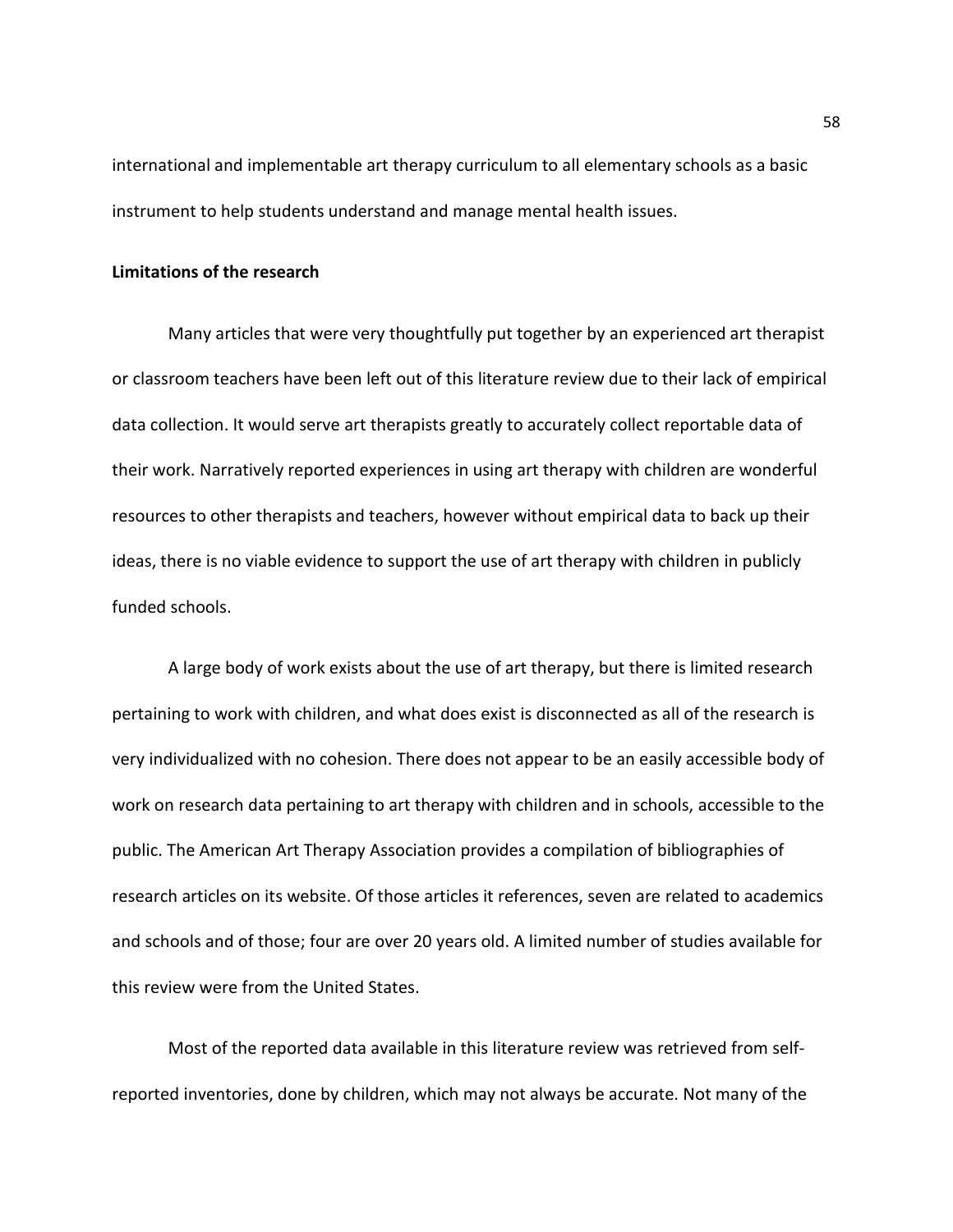international and implementable art therapy curriculum to all elementary schools as a basic instrument to help students understand and manage mental health issues.

## **Limitations of the research**

 Many articles that were very thoughtfully put together by an experienced art therapist or classroom teachers have been left out of this literature review due to their lack of empirical data collection. It would serve art therapists greatly to accurately collect reportable data of their work. Narratively reported experiences in using art therapy with children are wonderful resources to other therapists and teachers, however without empirical data to back up their ideas, there is no viable evidence to support the use of art therapy with children in publicly funded schools.

 A large body of work exists about the use of art therapy, but there is limited research pertaining to work with children, and what does exist is disconnected as all of the research is very individualized with no cohesion. There does not appear to be an easily accessible body of work on research data pertaining to art therapy with children and in schools, accessible to the public. The American Art Therapy Association provides a compilation of bibliographies of research articles on its website. Of those articles it references, seven are related to academics and schools and of those; four are over 20 years old. A limited number of studies available for this review were from the United States.

 Most of the reported data available in this literature review was retrieved from selfreported inventories, done by children, which may not always be accurate. Not many of the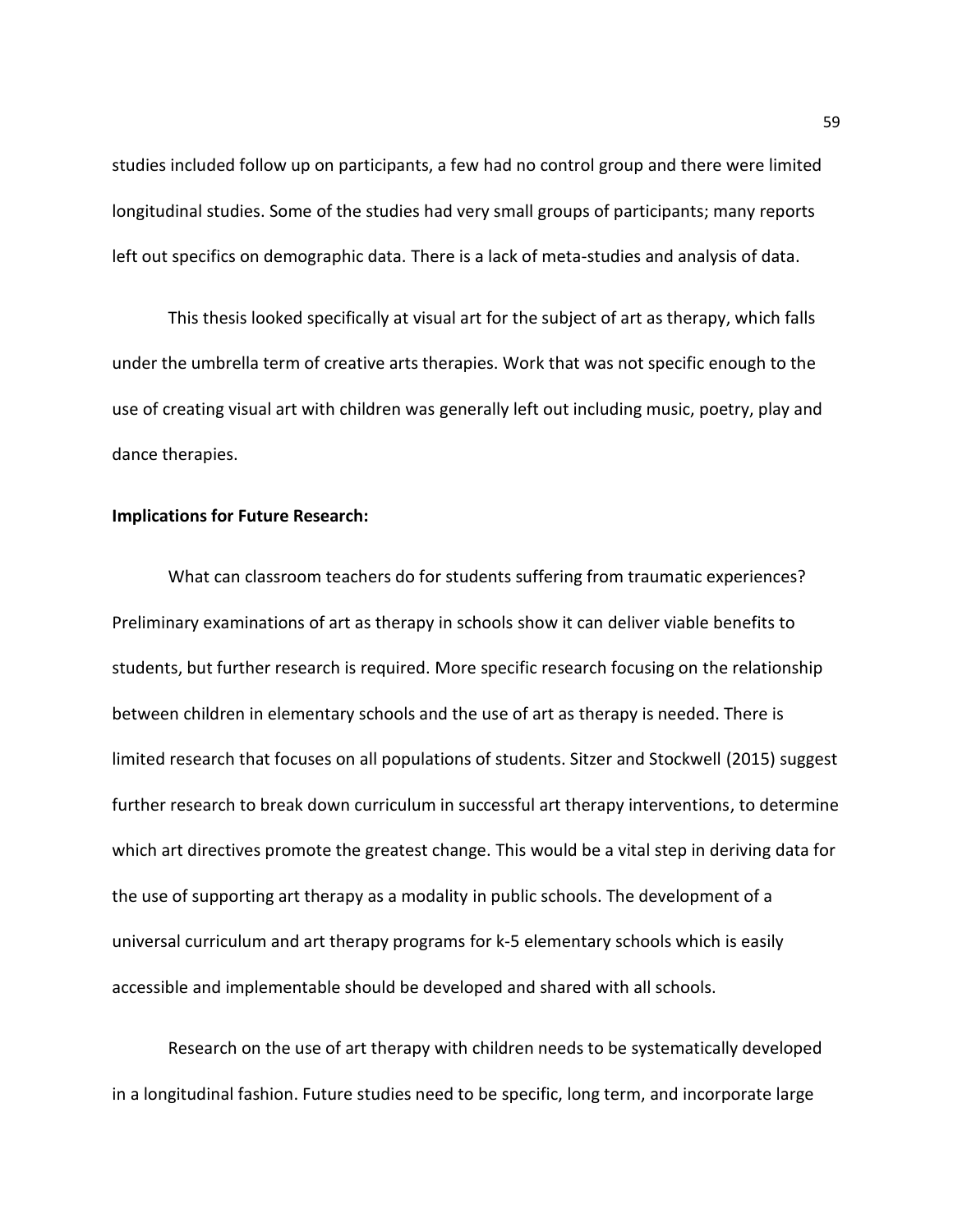studies included follow up on participants, a few had no control group and there were limited longitudinal studies. Some of the studies had very small groups of participants; many reports left out specifics on demographic data. There is a lack of meta-studies and analysis of data.

 This thesis looked specifically at visual art for the subject of art as therapy, which falls under the umbrella term of creative arts therapies. Work that was not specific enough to the use of creating visual art with children was generally left out including music, poetry, play and dance therapies.

## **Implications for Future Research:**

 What can classroom teachers do for students suffering from traumatic experiences? Preliminary examinations of art as therapy in schools show it can deliver viable benefits to students, but further research is required. More specific research focusing on the relationship between children in elementary schools and the use of art as therapy is needed. There is limited research that focuses on all populations of students. Sitzer and Stockwell (2015) suggest further research to break down curriculum in successful art therapy interventions, to determine which art directives promote the greatest change. This would be a vital step in deriving data for the use of supporting art therapy as a modality in public schools. The development of a universal curriculum and art therapy programs for k-5 elementary schools which is easily accessible and implementable should be developed and shared with all schools.

 Research on the use of art therapy with children needs to be systematically developed in a longitudinal fashion. Future studies need to be specific, long term, and incorporate large

59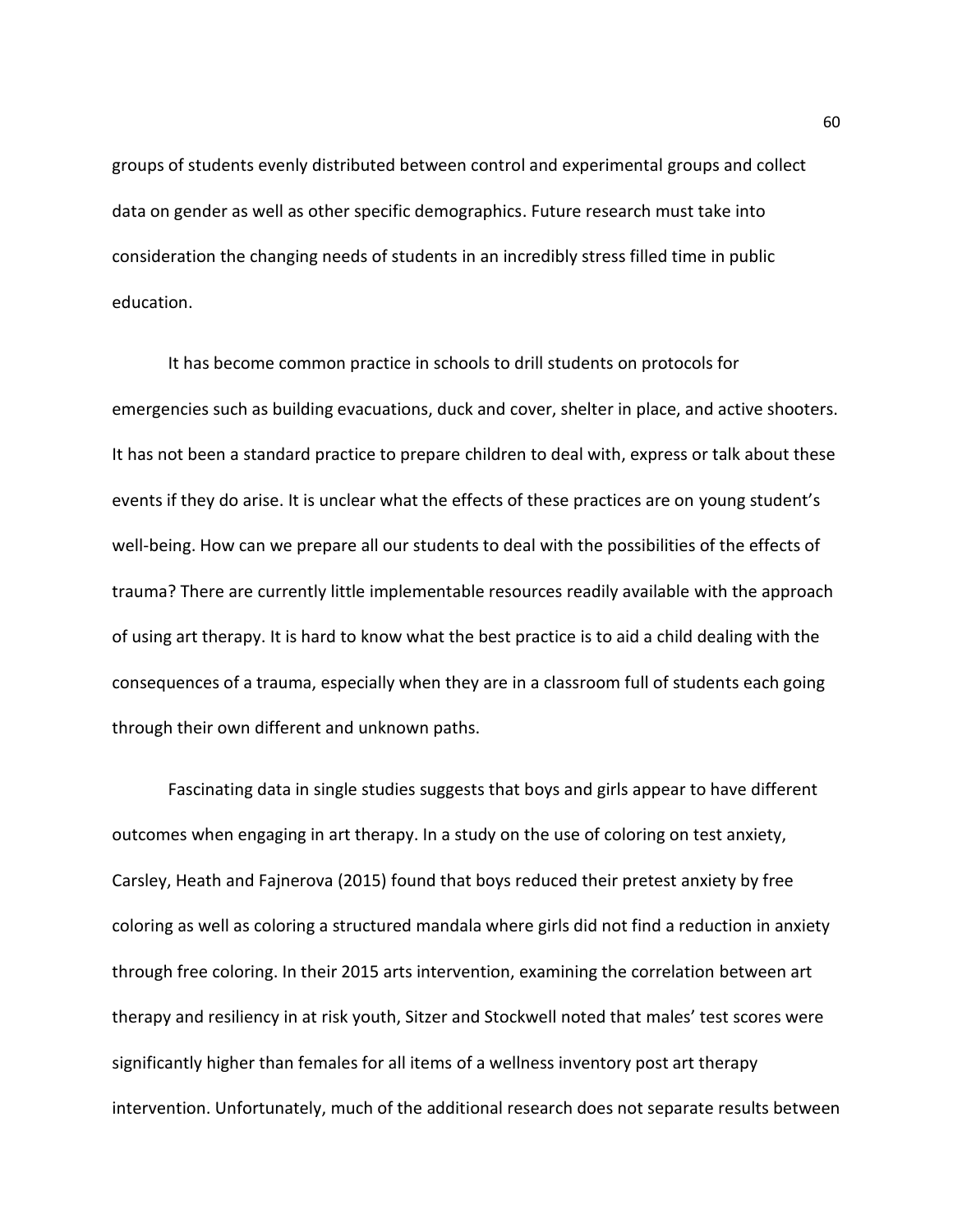groups of students evenly distributed between control and experimental groups and collect data on gender as well as other specific demographics. Future research must take into consideration the changing needs of students in an incredibly stress filled time in public education.

 It has become common practice in schools to drill students on protocols for emergencies such as building evacuations, duck and cover, shelter in place, and active shooters. It has not been a standard practice to prepare children to deal with, express or talk about these events if they do arise. It is unclear what the effects of these practices are on young student's well-being. How can we prepare all our students to deal with the possibilities of the effects of trauma? There are currently little implementable resources readily available with the approach of using art therapy. It is hard to know what the best practice is to aid a child dealing with the consequences of a trauma, especially when they are in a classroom full of students each going through their own different and unknown paths.

 Fascinating data in single studies suggests that boys and girls appear to have different outcomes when engaging in art therapy. In a study on the use of coloring on test anxiety, Carsley, Heath and Fajnerova (2015) found that boys reduced their pretest anxiety by free coloring as well as coloring a structured mandala where girls did not find a reduction in anxiety through free coloring. In their 2015 arts intervention, examining the correlation between art therapy and resiliency in at risk youth, Sitzer and Stockwell noted that males' test scores were significantly higher than females for all items of a wellness inventory post art therapy intervention. Unfortunately, much of the additional research does not separate results between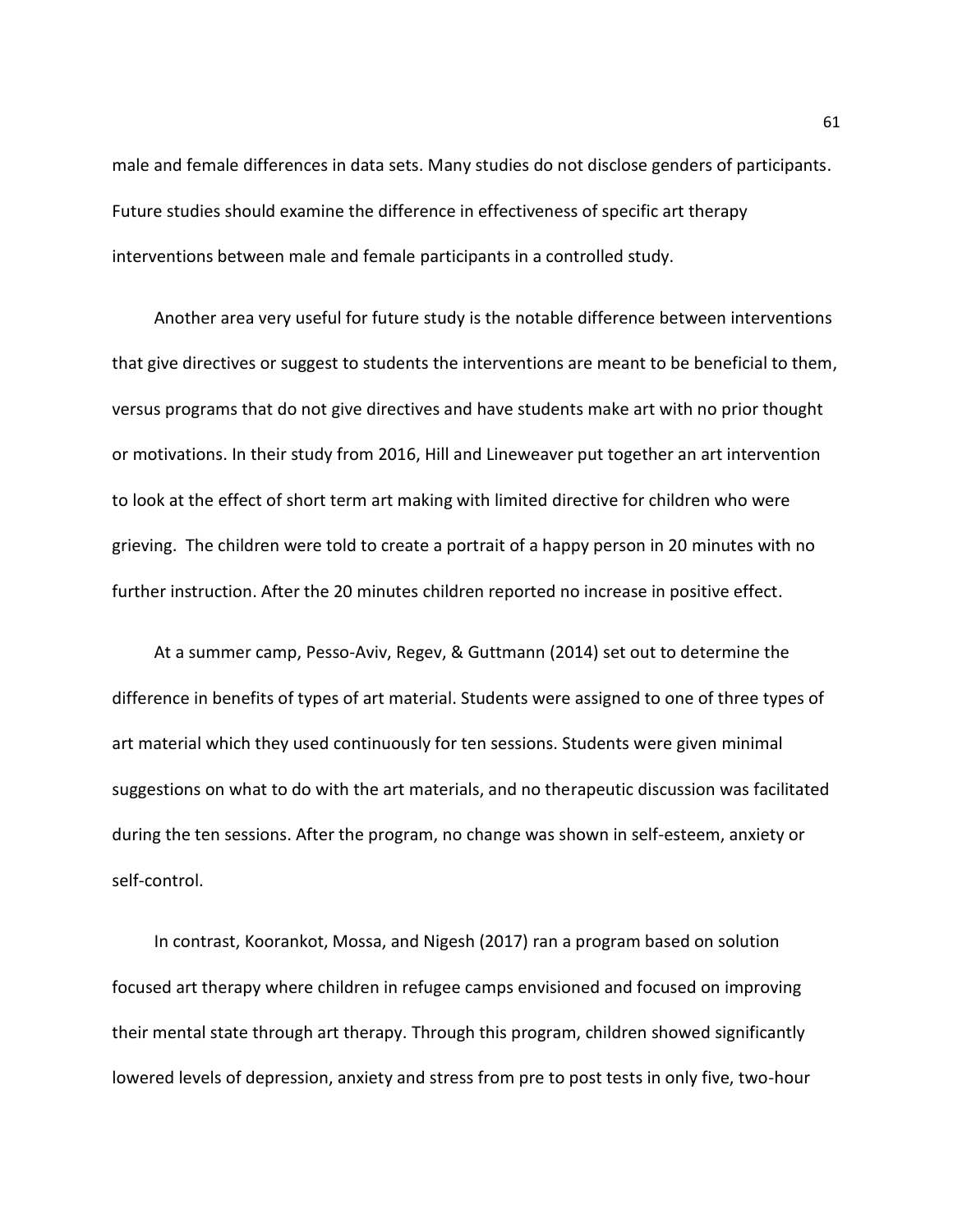male and female differences in data sets. Many studies do not disclose genders of participants. Future studies should examine the difference in effectiveness of specific art therapy interventions between male and female participants in a controlled study.

 Another area very useful for future study is the notable difference between interventions that give directives or suggest to students the interventions are meant to be beneficial to them, versus programs that do not give directives and have students make art with no prior thought or motivations. In their study from 2016, Hill and Lineweaver put together an art intervention to look at the effect of short term art making with limited directive for children who were grieving. The children were told to create a portrait of a happy person in 20 minutes with no further instruction. After the 20 minutes children reported no increase in positive effect.

 At a summer camp, Pesso-Aviv, Regev, & Guttmann (2014) set out to determine the difference in benefits of types of art material. Students were assigned to one of three types of art material which they used continuously for ten sessions. Students were given minimal suggestions on what to do with the art materials, and no therapeutic discussion was facilitated during the ten sessions. After the program, no change was shown in self-esteem, anxiety or self-control.

 In contrast, Koorankot, Mossa, and Nigesh (2017) ran a program based on solution focused art therapy where children in refugee camps envisioned and focused on improving their mental state through art therapy. Through this program, children showed significantly lowered levels of depression, anxiety and stress from pre to post tests in only five, two-hour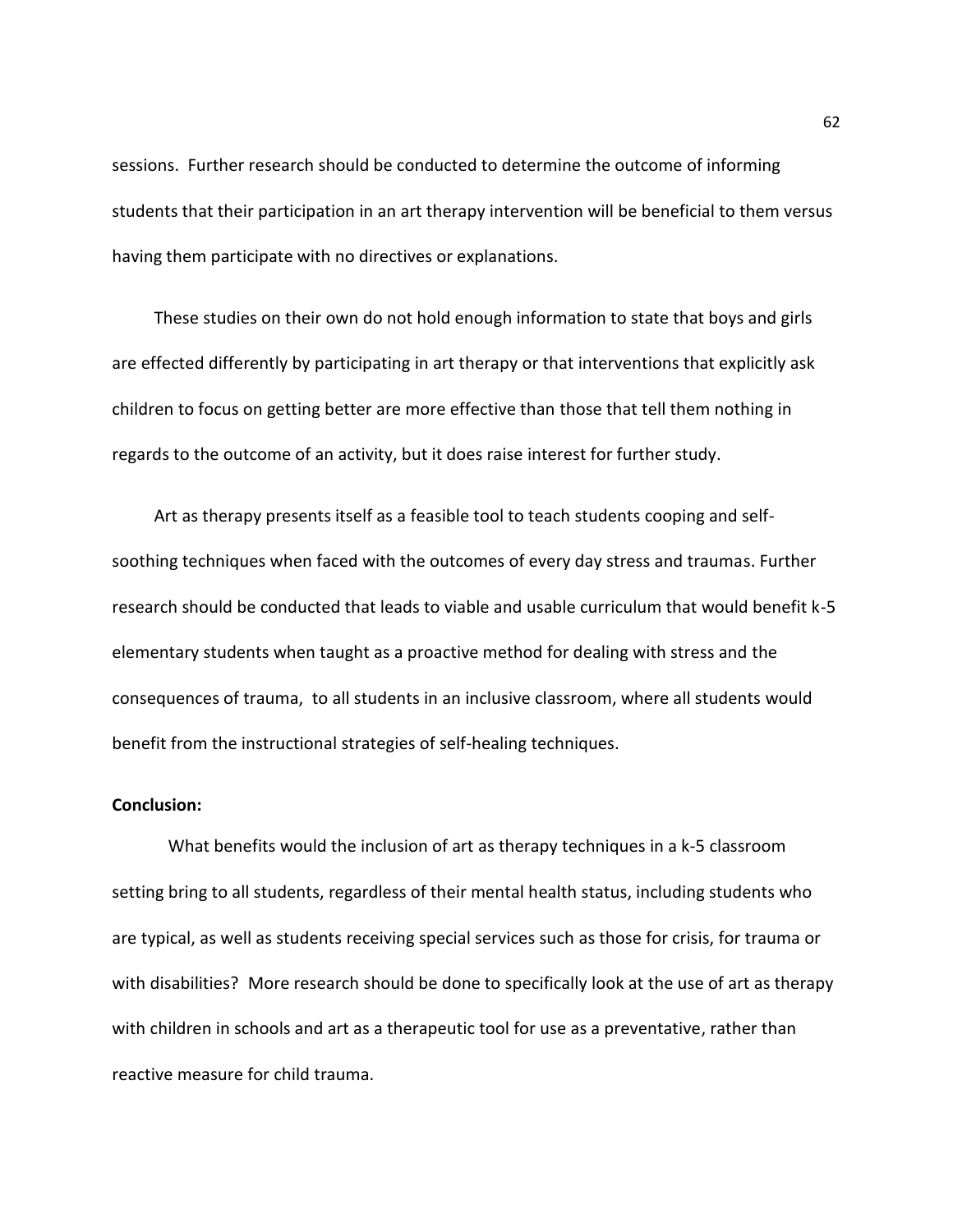sessions. Further research should be conducted to determine the outcome of informing students that their participation in an art therapy intervention will be beneficial to them versus having them participate with no directives or explanations.

 These studies on their own do not hold enough information to state that boys and girls are effected differently by participating in art therapy or that interventions that explicitly ask children to focus on getting better are more effective than those that tell them nothing in regards to the outcome of an activity, but it does raise interest for further study.

 Art as therapy presents itself as a feasible tool to teach students cooping and selfsoothing techniques when faced with the outcomes of every day stress and traumas. Further research should be conducted that leads to viable and usable curriculum that would benefit k-5 elementary students when taught as a proactive method for dealing with stress and the consequences of trauma, to all students in an inclusive classroom, where all students would benefit from the instructional strategies of self-healing techniques.

# **Conclusion:**

 What benefits would the inclusion of art as therapy techniques in a k-5 classroom setting bring to all students, regardless of their mental health status, including students who are typical, as well as students receiving special services such as those for crisis, for trauma or with disabilities? More research should be done to specifically look at the use of art as therapy with children in schools and art as a therapeutic tool for use as a preventative, rather than reactive measure for child trauma.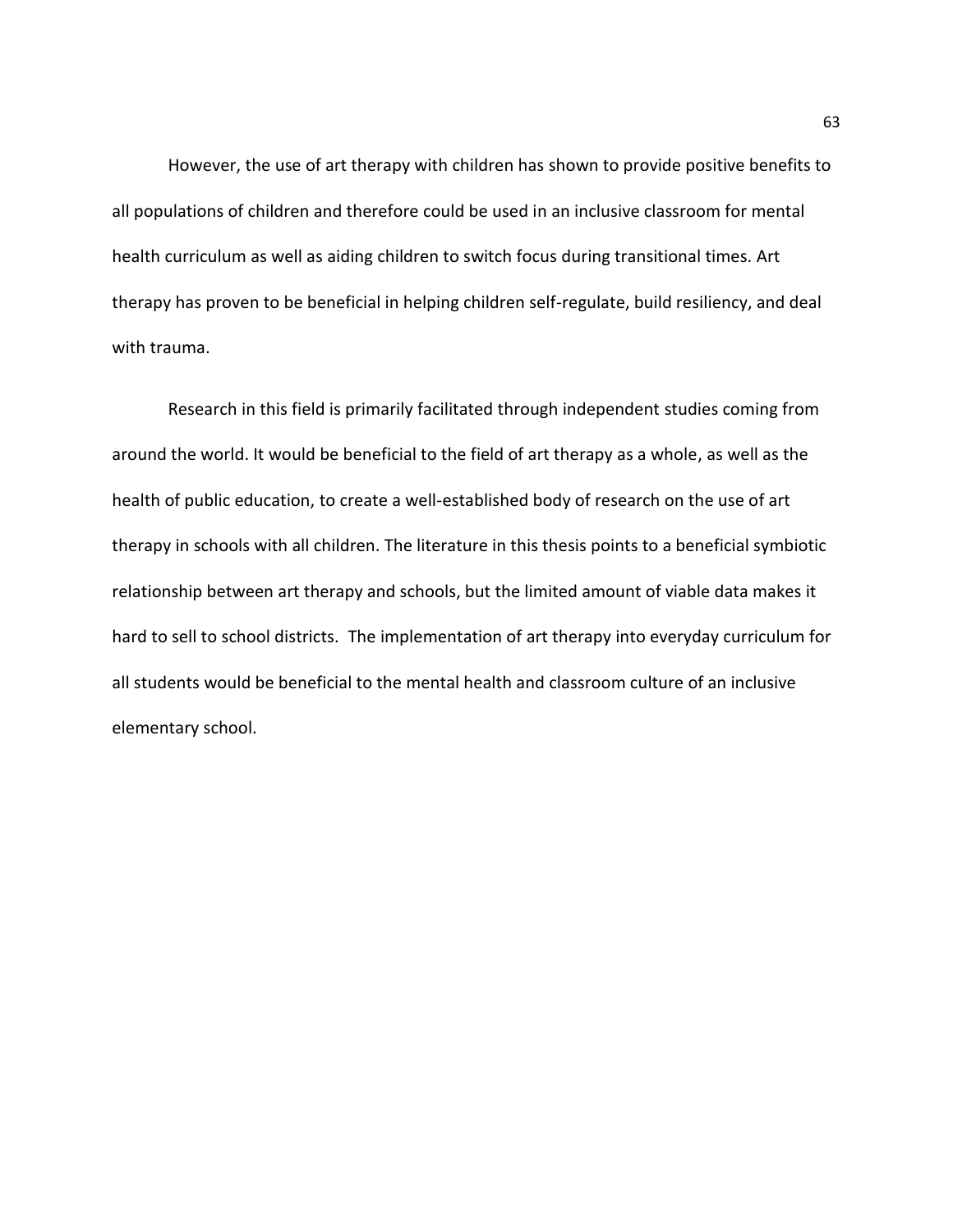However, the use of art therapy with children has shown to provide positive benefits to all populations of children and therefore could be used in an inclusive classroom for mental health curriculum as well as aiding children to switch focus during transitional times. Art therapy has proven to be beneficial in helping children self-regulate, build resiliency, and deal with trauma.

 Research in this field is primarily facilitated through independent studies coming from around the world. It would be beneficial to the field of art therapy as a whole, as well as the health of public education, to create a well-established body of research on the use of art therapy in schools with all children. The literature in this thesis points to a beneficial symbiotic relationship between art therapy and schools, but the limited amount of viable data makes it hard to sell to school districts. The implementation of art therapy into everyday curriculum for all students would be beneficial to the mental health and classroom culture of an inclusive elementary school.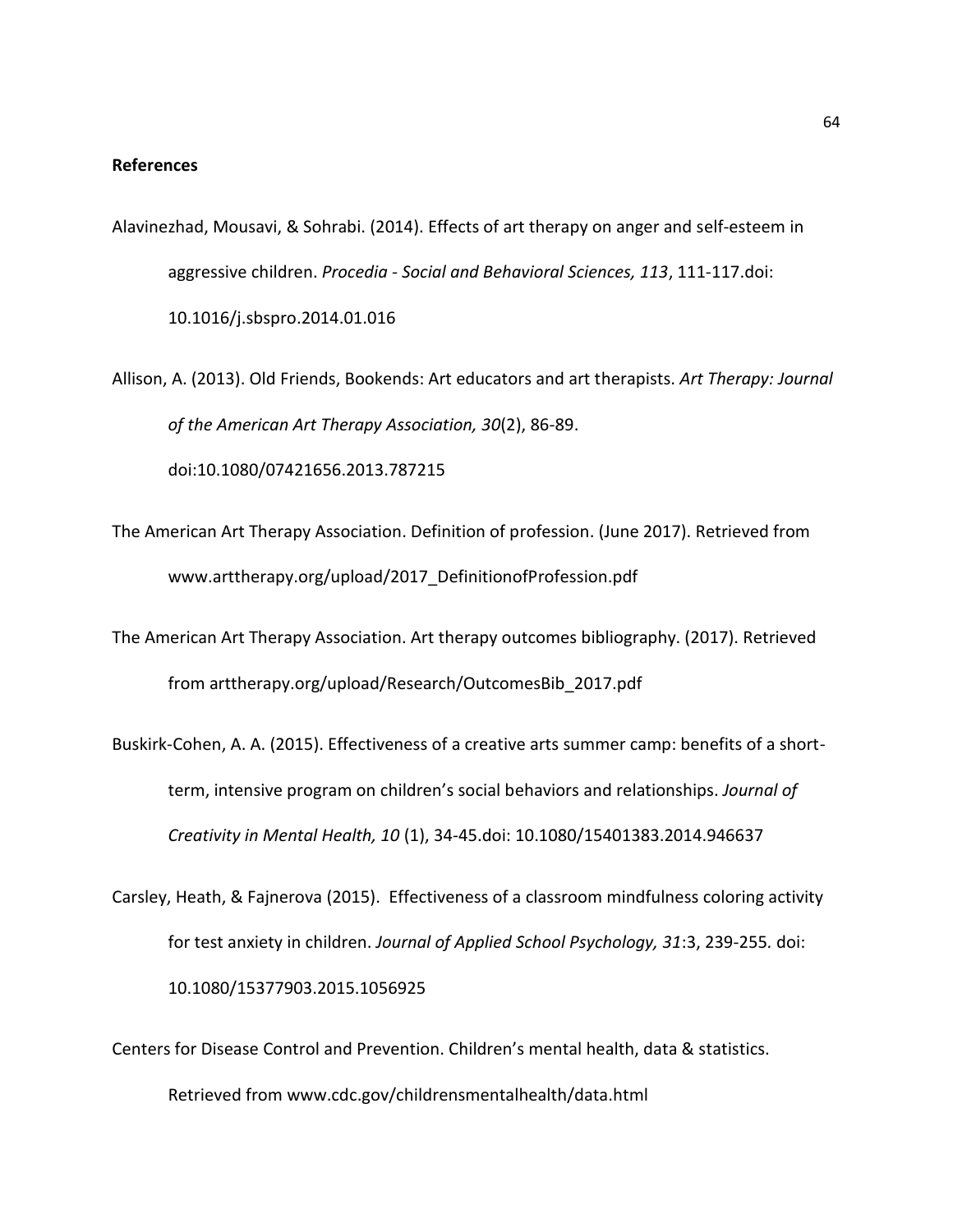## **References**

Alavinezhad, Mousavi, & Sohrabi. (2014). Effects of art therapy on anger and self-esteem in aggressive children. *Procedia - Social and Behavioral Sciences, 113*, 111-117.doi: 10.1016/j.sbspro.2014.01.016

Allison, A. (2013). Old Friends, Bookends: Art educators and art therapists. *Art Therapy: Journal of the American Art Therapy Association, 30*(2), 86-89. doi:10.1080/07421656.2013.787215

- The American Art Therapy Association. Definition of profession. (June 2017). Retrieved from www.arttherapy.org/upload/2017\_DefinitionofProfession.pdf
- The American Art Therapy Association. Art therapy outcomes bibliography. (2017). Retrieved from arttherapy.org/upload/Research/OutcomesBib\_2017.pdf
- Buskirk-Cohen, A. A. (2015). Effectiveness of a creative arts summer camp: benefits of a shortterm, intensive program on children's social behaviors and relationships. *Journal of Creativity in Mental Health, 10* (1), 34-45.doi: 10.1080/15401383.2014.946637
- Carsley, Heath, & Fajnerova (2015). Effectiveness of a classroom mindfulness coloring activity for test anxiety in children. *Journal of Applied School Psychology, 31*:3, 239-255*.* doi: 10.1080/15377903.2015.1056925
- Centers for Disease Control and Prevention. Children's mental health, data & statistics. Retrieved from www.cdc.gov/childrensmentalhealth/data.html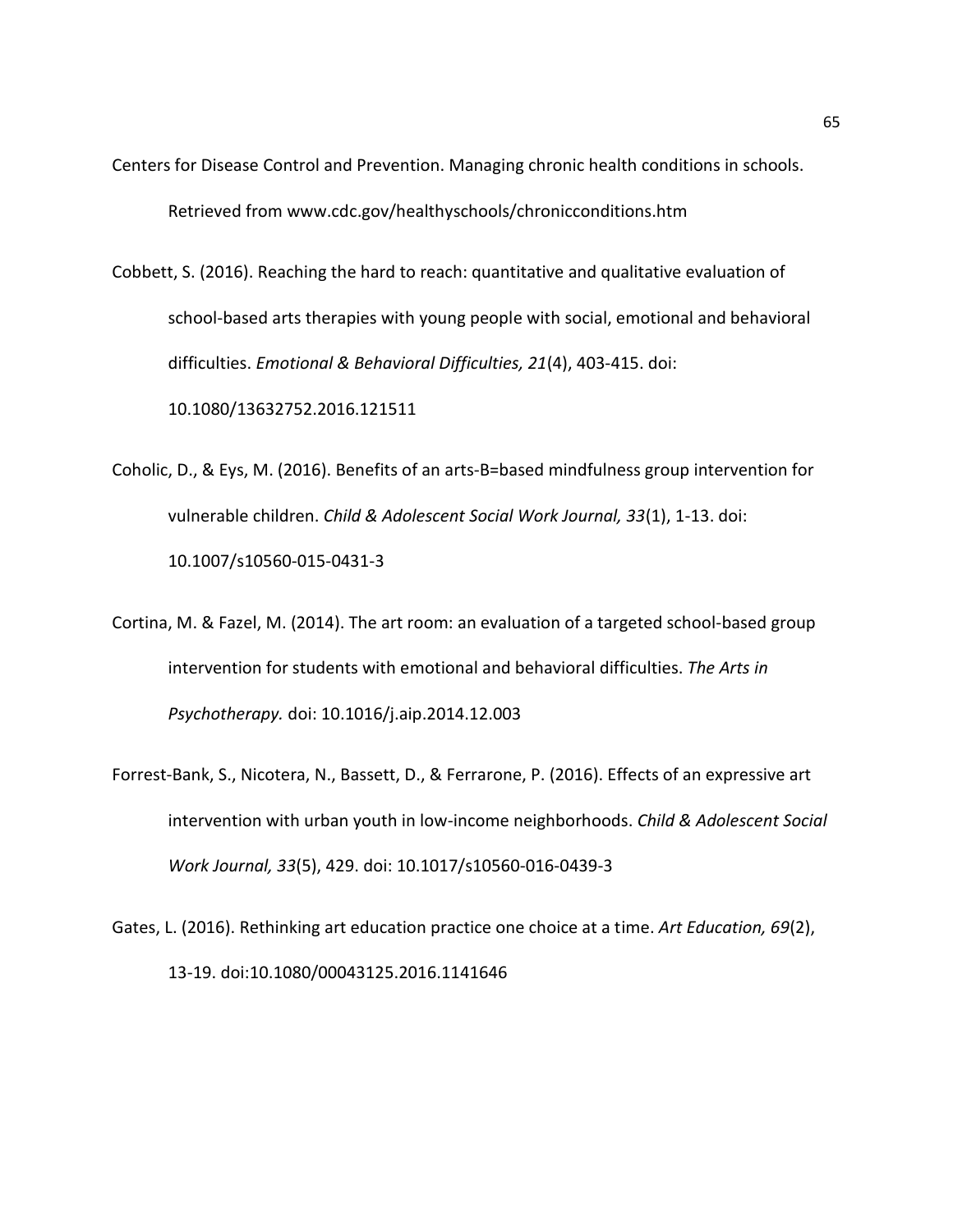- Centers for Disease Control and Prevention. Managing chronic health conditions in schools. Retrieved from www.cdc.gov/healthyschools/chronicconditions.htm
- Cobbett, S. (2016). Reaching the hard to reach: quantitative and qualitative evaluation of school-based arts therapies with young people with social, emotional and behavioral difficulties. *Emotional & Behavioral Difficulties, 21*(4), 403-415. doi: 10.1080/13632752.2016.121511
- Coholic, D., & Eys, M. (2016). Benefits of an arts-B=based mindfulness group intervention for vulnerable children. *Child & Adolescent Social Work Journal, 33*(1), 1-13. doi: 10.1007/s10560-015-0431-3
- Cortina, M. & Fazel, M. (2014). The art room: an evaluation of a targeted school-based group intervention for students with emotional and behavioral difficulties. *The Arts in Psychotherapy.* doi: 10.1016/j.aip.2014.12.003
- Forrest-Bank, S., Nicotera, N., Bassett, D., & Ferrarone, P. (2016). Effects of an expressive art intervention with urban youth in low-income neighborhoods. *Child & Adolescent Social Work Journal, 33*(5), 429. doi: 10.1017/s10560-016-0439-3
- Gates, L. (2016). Rethinking art education practice one choice at a time. *Art Education, 69*(2), 13-19. doi:10.1080/00043125.2016.1141646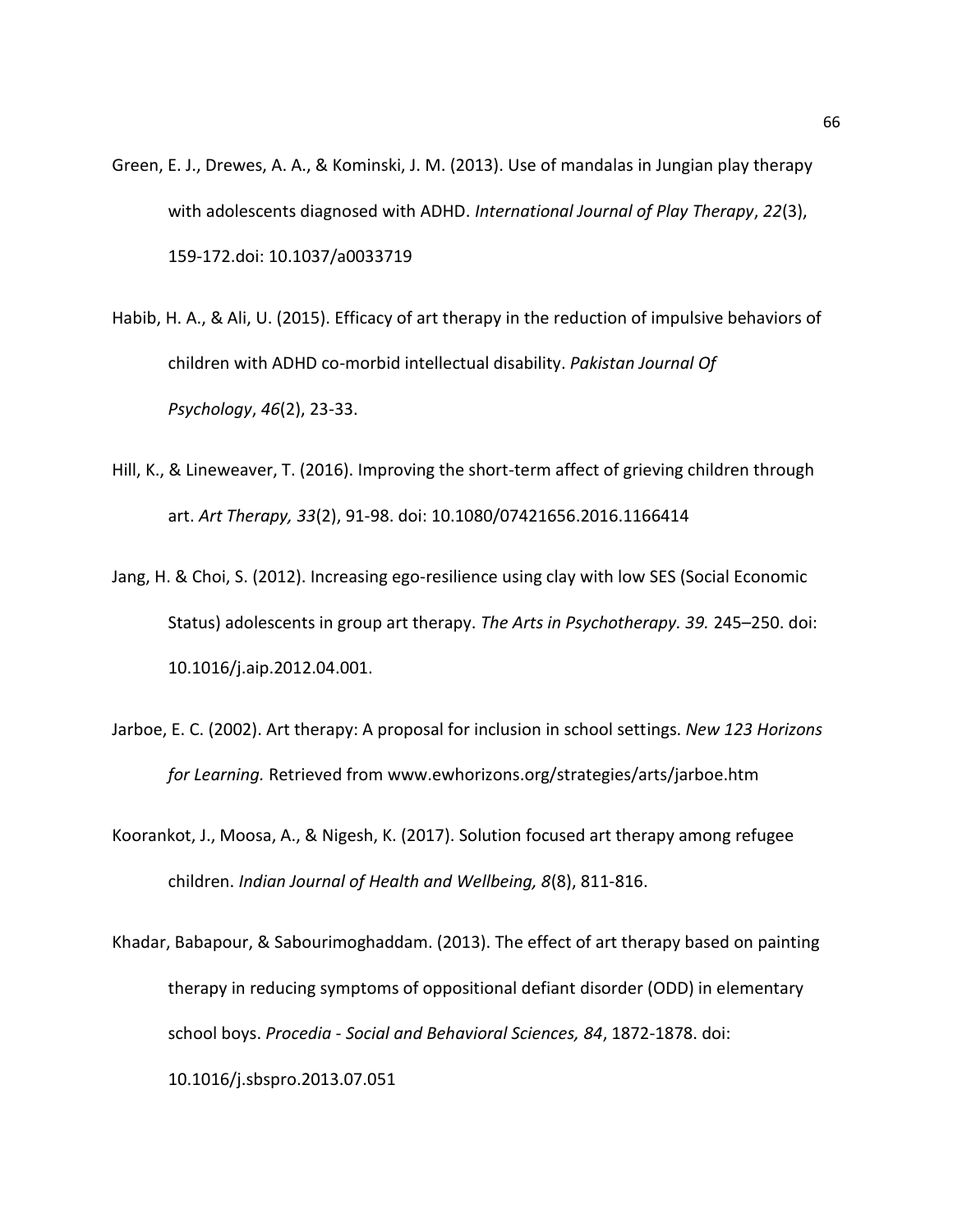- Green, E. J., Drewes, A. A., & Kominski, J. M. (2013). Use of mandalas in Jungian play therapy with adolescents diagnosed with ADHD. *International Journal of Play Therapy*, *22*(3), 159-172.doi: 10.1037/a0033719
- Habib, H. A., & Ali, U. (2015). Efficacy of art therapy in the reduction of impulsive behaviors of children with ADHD co-morbid intellectual disability. *Pakistan Journal Of Psychology*, *46*(2), 23-33.
- Hill, K., & Lineweaver, T. (2016). Improving the short-term affect of grieving children through art. *Art Therapy, 33*(2), 91-98. doi: 10.1080/07421656.2016.1166414
- Jang, H. & Choi, S. (2012). Increasing ego-resilience using clay with low SES (Social Economic Status) adolescents in group art therapy. *The Arts in Psychotherapy. 39.* 245–250. doi: 10.1016/j.aip.2012.04.001.
- Jarboe, E. C. (2002). Art therapy: A proposal for inclusion in school settings. *New 123 Horizons for Learning.* Retrieved from www.ewhorizons.org/strategies/arts/jarboe.htm
- Koorankot, J., Moosa, A., & Nigesh, K. (2017). Solution focused art therapy among refugee children. *Indian Journal of Health and Wellbeing, 8*(8), 811-816.
- Khadar, Babapour, & Sabourimoghaddam. (2013). The effect of art therapy based on painting therapy in reducing symptoms of oppositional defiant disorder (ODD) in elementary school boys. *Procedia - Social and Behavioral Sciences, 84*, 1872-1878. doi: 10.1016/j.sbspro.2013.07.051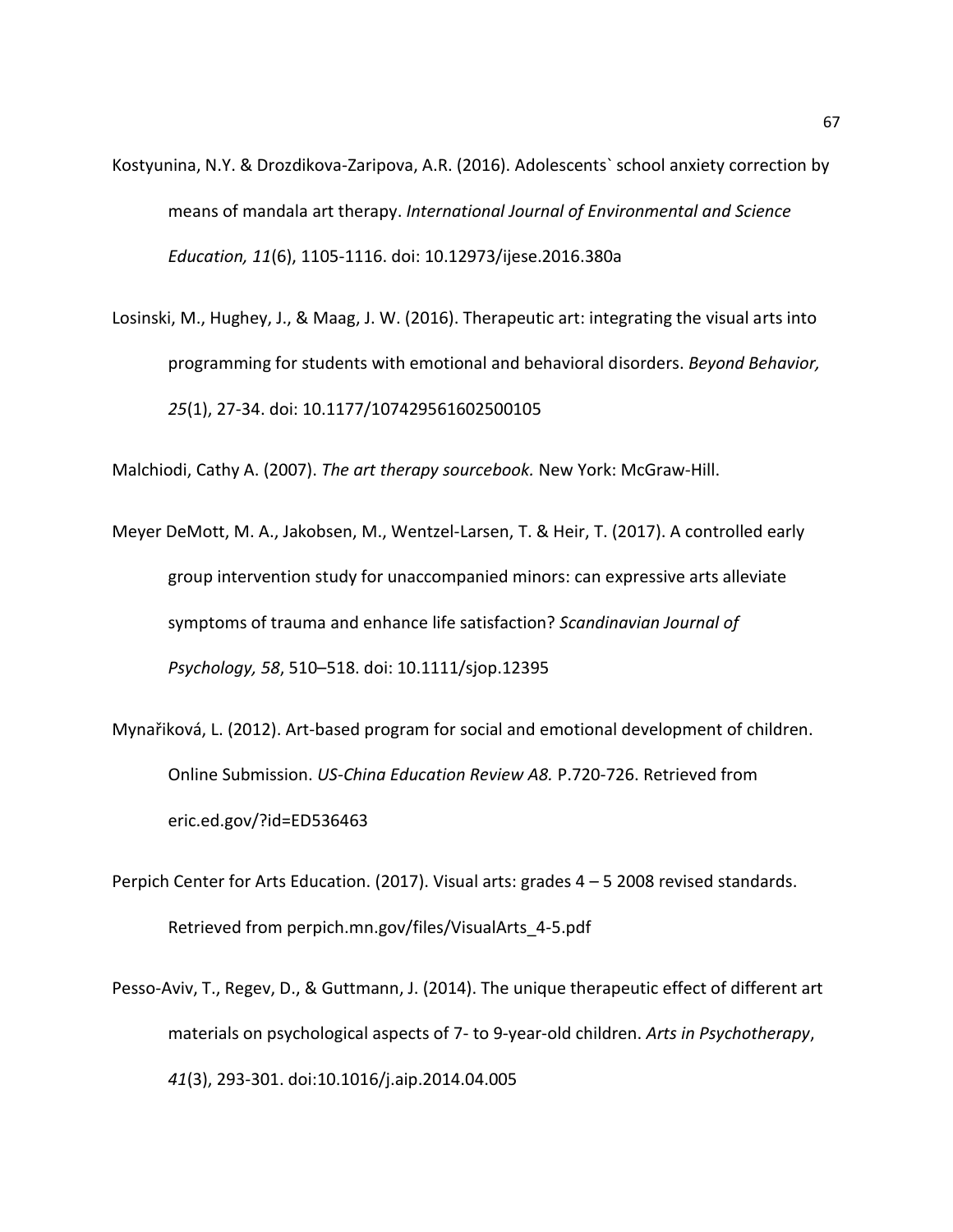- Kostyunina, N.Y. & Drozdikova-Zaripova, A.R. (2016). Adolescents` school anxiety correction by means of mandala art therapy. *International Journal of Environmental and Science Education, 11*(6), 1105-1116. doi: 10.12973/ijese.2016.380a
- Losinski, M., Hughey, J., & Maag, J. W. (2016). Therapeutic art: integrating the visual arts into programming for students with emotional and behavioral disorders. *Beyond Behavior, 25*(1), 27-34. doi: 10.1177/107429561602500105

Malchiodi, Cathy A. (2007). *The art therapy sourcebook.* New York: McGraw-Hill.

- Meyer DeMott, M. A., Jakobsen, M., Wentzel‐Larsen, T. & Heir, T. (2017). A controlled early group intervention study for unaccompanied minors: can expressive arts alleviate symptoms of trauma and enhance life satisfaction? *Scandinavian Journal of Psychology, 58*, 510–518. doi: 10.1111/sjop.12395
- Mynařiková, L. (2012). Art-based program for social and emotional development of children. Online Submission. *US-China Education Review A8.* P.720-726. Retrieved from eric.ed.gov/?id=ED536463
- Perpich Center for Arts Education. (2017). Visual arts: grades 4 5 2008 revised standards. Retrieved from perpich.mn.gov/files/VisualArts\_4-5.pdf
- Pesso-Aviv, T., Regev, D., & Guttmann, J. (2014). The unique therapeutic effect of different art materials on psychological aspects of 7- to 9-year-old children. *Arts in Psychotherapy*, *41*(3), 293-301. doi:10.1016/j.aip.2014.04.005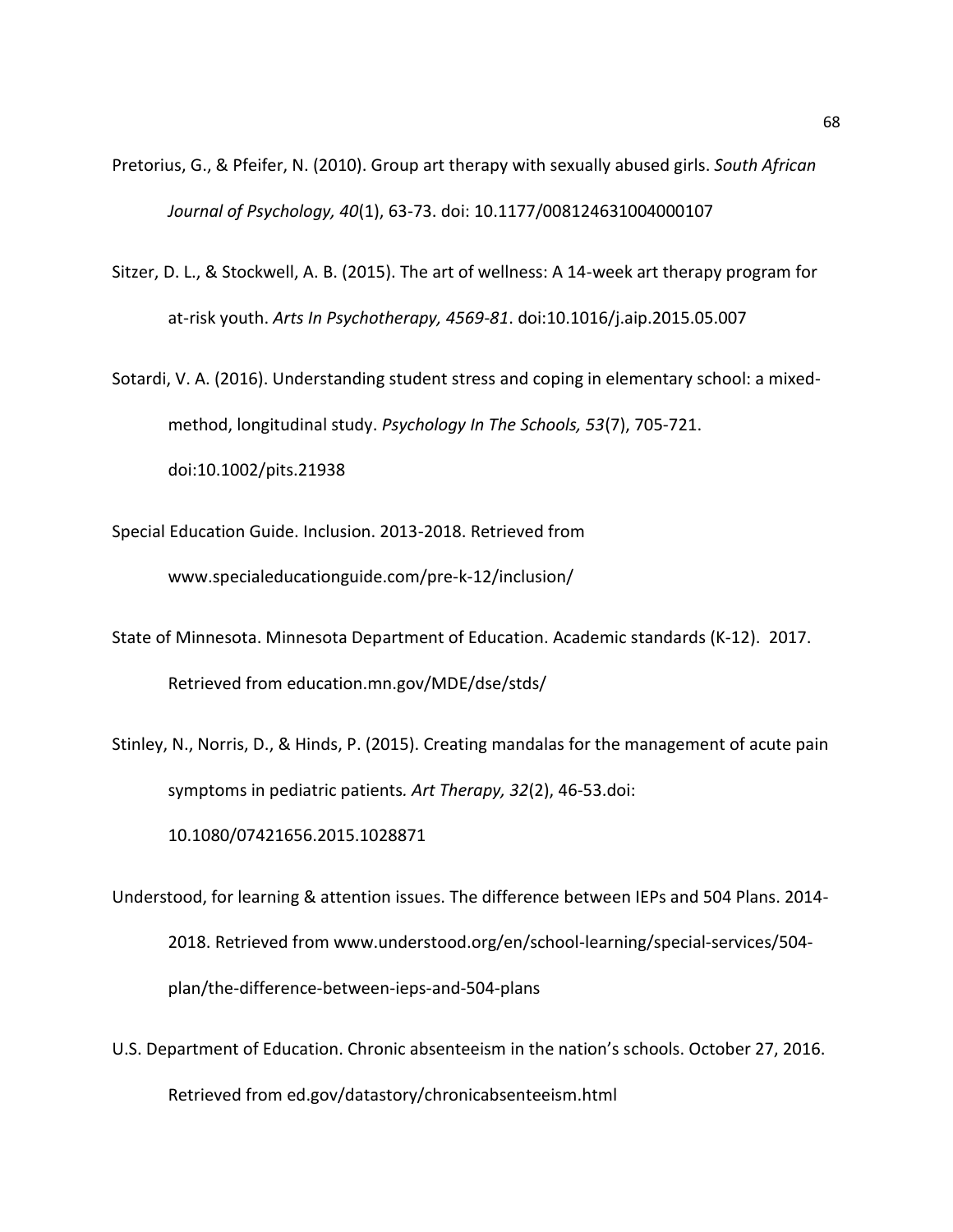- Pretorius, G., & Pfeifer, N. (2010). Group art therapy with sexually abused girls. *South African Journal of Psychology, 40*(1), 63-73. doi: 10.1177/008124631004000107
- Sitzer, D. L., & Stockwell, A. B. (2015). The art of wellness: A 14-week art therapy program for at-risk youth. *Arts In Psychotherapy, 4569-81*. doi:10.1016/j.aip.2015.05.007
- Sotardi, V. A. (2016). Understanding student stress and coping in elementary school: a mixedmethod, longitudinal study. *Psychology In The Schools, 53*(7), 705-721. doi:10.1002/pits.21938
- Special Education Guide. Inclusion. 2013-2018. Retrieved from www.specialeducationguide.com/pre-k-12/inclusion/
- State of Minnesota. Minnesota Department of Education. Academic standards (K-12). 2017. Retrieved from education.mn.gov/MDE/dse/stds/
- Stinley, N., Norris, D., & Hinds, P. (2015). Creating mandalas for the management of acute pain symptoms in pediatric patients*. Art Therapy, 32*(2), 46-53.doi: 10.1080/07421656.2015.1028871
- Understood, for learning & attention issues. The difference between IEPs and 504 Plans. 2014- 2018. Retrieved from www.understood.org/en/school-learning/special-services/504 plan/the-difference-between-ieps-and-504-plans
- U.S. Department of Education. Chronic absenteeism in the nation's schools. October 27, 2016. Retrieved from ed.gov/datastory/chronicabsenteeism.html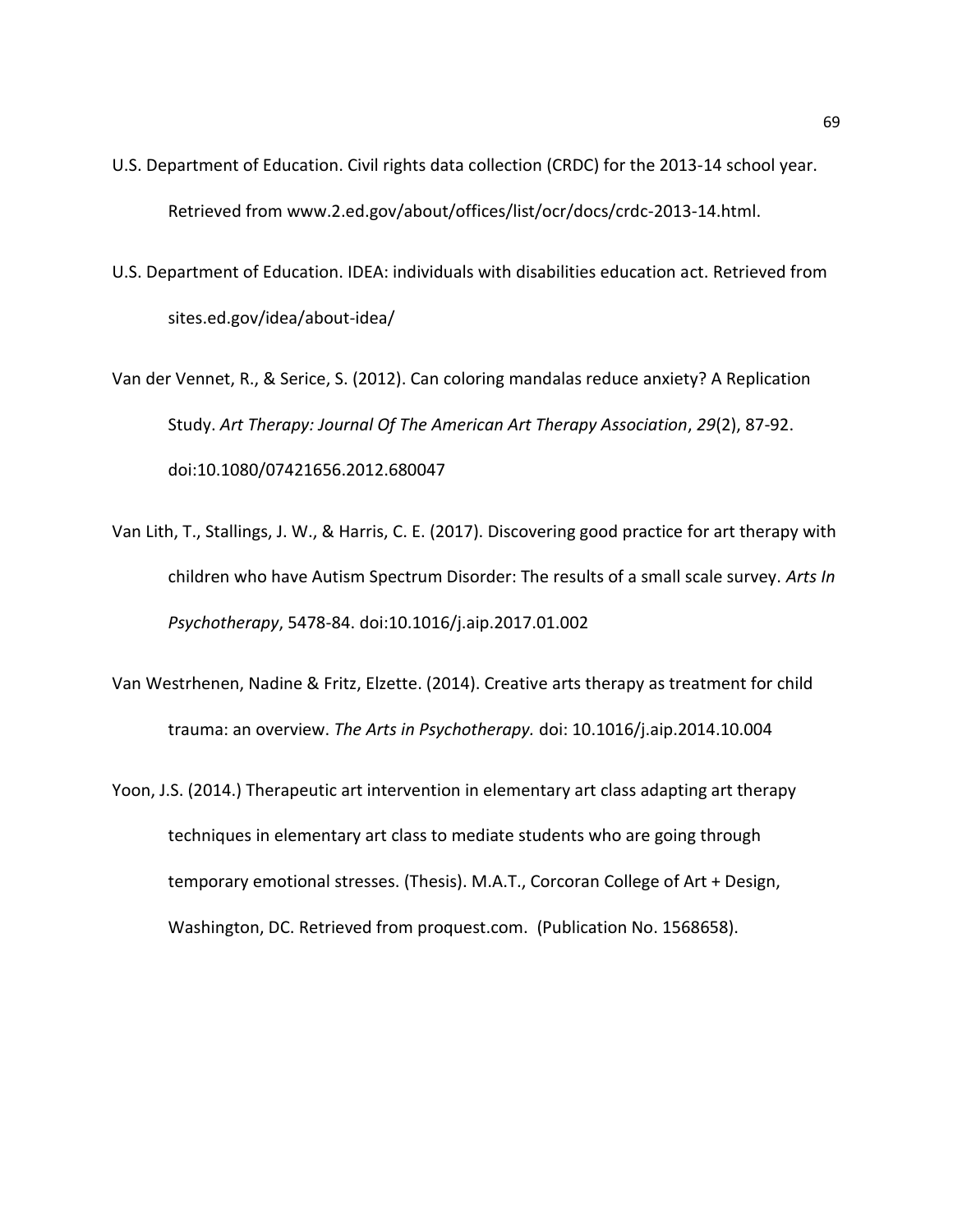- U.S. Department of Education. Civil rights data collection (CRDC) for the 2013-14 school year. Retrieved from www.2.ed.gov/about/offices/list/ocr/docs/crdc-2013-14.html.
- U.S. Department of Education. IDEA: individuals with disabilities education act. Retrieved from sites.ed.gov/idea/about-idea/

Van der Vennet, R., & Serice, S. (2012). Can coloring mandalas reduce anxiety? A Replication Study. *Art Therapy: Journal Of The American Art Therapy Association*, *29*(2), 87-92. doi:10.1080/07421656.2012.680047

- Van Lith, T., Stallings, J. W., & Harris, C. E. (2017). Discovering good practice for art therapy with children who have Autism Spectrum Disorder: The results of a small scale survey. *Arts In Psychotherapy*, 5478-84. doi:10.1016/j.aip.2017.01.002
- Van Westrhenen, Nadine & Fritz, Elzette. (2014). Creative arts therapy as treatment for child trauma: an overview. *The Arts in Psychotherapy.* doi: 10.1016/j.aip.2014.10.004
- Yoon, J.S. (2014.) Therapeutic art intervention in elementary art class adapting art therapy techniques in elementary art class to mediate students who are going through temporary emotional stresses. (Thesis). M.A.T., Corcoran College of Art + Design, Washington, DC. Retrieved from proquest.com. (Publication No. 1568658).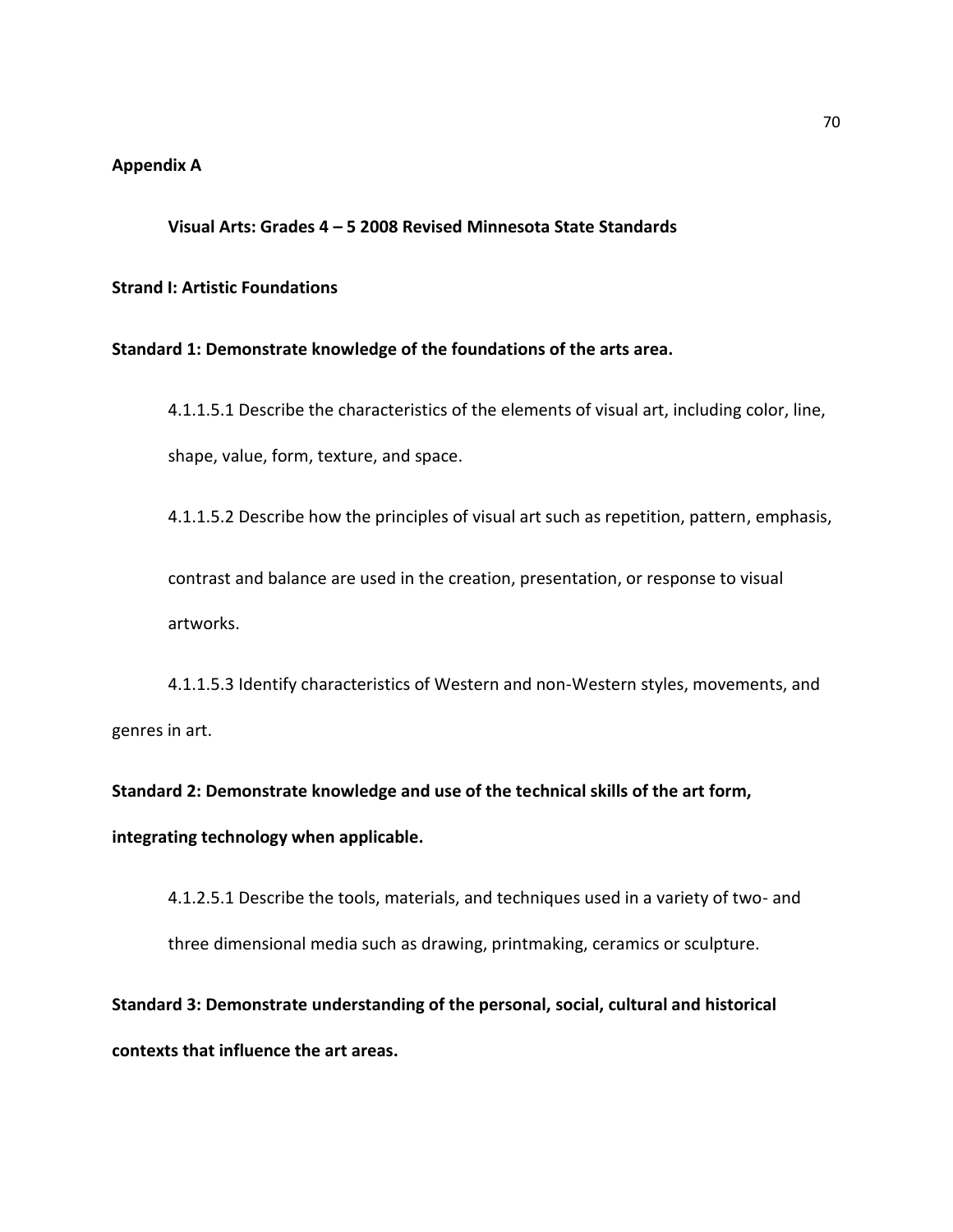# **Appendix A**

### **Visual Arts: Grades 4 – 5 2008 Revised Minnesota State Standards**

## **Strand I: Artistic Foundations**

### **Standard 1: Demonstrate knowledge of the foundations of the arts area.**

4.1.1.5.1 Describe the characteristics of the elements of visual art, including color, line, shape, value, form, texture, and space.

4.1.1.5.2 Describe how the principles of visual art such as repetition, pattern, emphasis,

contrast and balance are used in the creation, presentation, or response to visual artworks.

4.1.1.5.3 Identify characteristics of Western and non-Western styles, movements, and genres in art.

**Standard 2: Demonstrate knowledge and use of the technical skills of the art form, integrating technology when applicable.** 

4.1.2.5.1 Describe the tools, materials, and techniques used in a variety of two- and three dimensional media such as drawing, printmaking, ceramics or sculpture.

**Standard 3: Demonstrate understanding of the personal, social, cultural and historical contexts that influence the art areas.**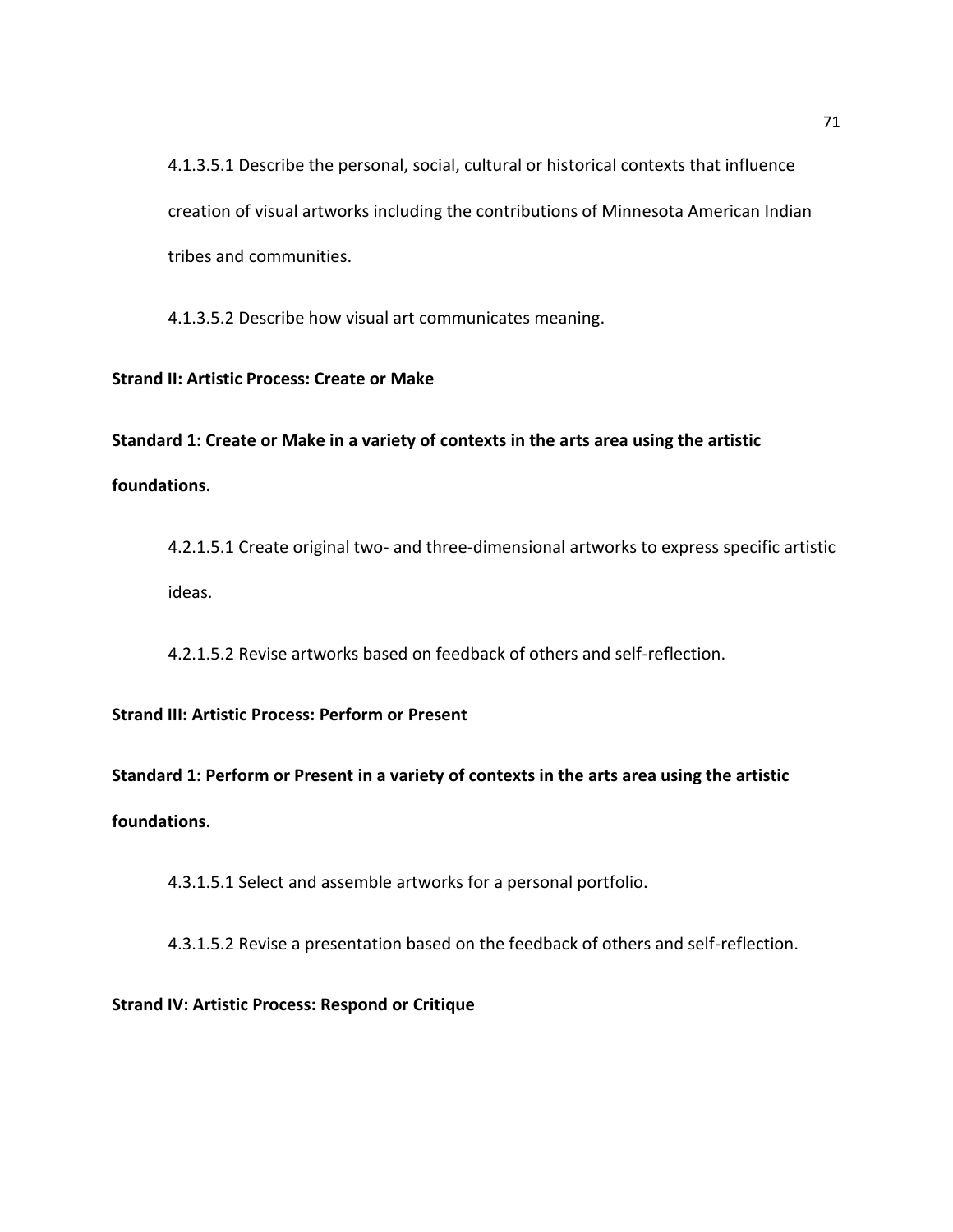4.1.3.5.1 Describe the personal, social, cultural or historical contexts that influence creation of visual artworks including the contributions of Minnesota American Indian tribes and communities.

4.1.3.5.2 Describe how visual art communicates meaning.

# **Strand II: Artistic Process: Create or Make**

**Standard 1: Create or Make in a variety of contexts in the arts area using the artistic foundations.** 

4.2.1.5.1 Create original two- and three-dimensional artworks to express specific artistic ideas.

4.2.1.5.2 Revise artworks based on feedback of others and self-reflection.

**Strand III: Artistic Process: Perform or Present** 

**Standard 1: Perform or Present in a variety of contexts in the arts area using the artistic foundations.** 

4.3.1.5.1 Select and assemble artworks for a personal portfolio.

4.3.1.5.2 Revise a presentation based on the feedback of others and self-reflection.

**Strand IV: Artistic Process: Respond or Critique**